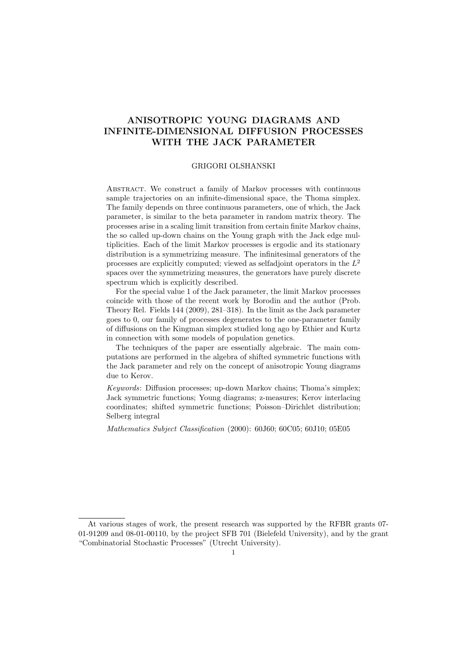# ANISOTROPIC YOUNG DIAGRAMS AND INFINITE-DIMENSIONAL DIFFUSION PROCESSES WITH THE JACK PARAMETER

#### GRIGORI OLSHANSKI

Abstract. We construct a family of Markov processes with continuous sample trajectories on an infinite-dimensional space, the Thoma simplex. The family depends on three continuous parameters, one of which, the Jack parameter, is similar to the beta parameter in random matrix theory. The processes arise in a scaling limit transition from certain finite Markov chains, the so called up-down chains on the Young graph with the Jack edge multiplicities. Each of the limit Markov processes is ergodic and its stationary distribution is a symmetrizing measure. The infinitesimal generators of the processes are explicitly computed; viewed as selfadjoint operators in the  $L^2$ spaces over the symmetrizing measures, the generators have purely discrete spectrum which is explicitly described.

For the special value 1 of the Jack parameter, the limit Markov processes coincide with those of the recent work by Borodin and the author (Prob. Theory Rel. Fields 144 (2009), 281–318). In the limit as the Jack parameter goes to 0, our family of processes degenerates to the one-parameter family of diffusions on the Kingman simplex studied long ago by Ethier and Kurtz in connection with some models of population genetics.

The techniques of the paper are essentially algebraic. The main computations are performed in the algebra of shifted symmetric functions with the Jack parameter and rely on the concept of anisotropic Young diagrams due to Kerov.

Keywords: Diffusion processes; up-down Markov chains; Thoma's simplex; Jack symmetric functions; Young diagrams; z-measures; Kerov interlacing coordinates; shifted symmetric functions; Poisson–Dirichlet distribution; Selberg integral

Mathematics Subject Classification (2000): 60J60; 60C05; 60J10; 05E05

At various stages of work, the present research was supported by the RFBR grants 07- 01-91209 and 08-01-00110, by the project SFB 701 (Bielefeld University), and by the grant "Combinatorial Stochastic Processes" (Utrecht University).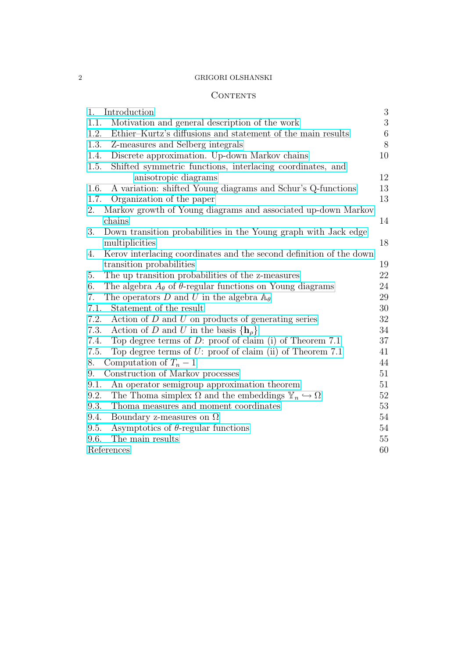### 2 GRIGORI OLSHANSKI

## CONTENTS

| 1.   | Introduction                                                                        | 3     |
|------|-------------------------------------------------------------------------------------|-------|
| 1.1. | Motivation and general description of the work                                      | 3     |
| 1.2. | Ethier–Kurtz's diffusions and statement of the main results                         | $\,6$ |
| 1.3. | Z-measures and Selberg integrals                                                    | 8     |
| 1.4. | Discrete approximation. Up-down Markov chains                                       | 10    |
| 1.5. | Shifted symmetric functions, interlacing coordinates, and                           |       |
|      | anisotropic diagrams                                                                | 12    |
| 1.6. | A variation: shifted Young diagrams and Schur's Q-functions                         | 13    |
| 1.7. | Organization of the paper                                                           | 13    |
| 2.   | Markov growth of Young diagrams and associated up-down Markov                       |       |
|      | chains                                                                              | 14    |
| 3.   | Down transition probabilities in the Young graph with Jack edge                     |       |
|      | multiplicities                                                                      | 18    |
| 4.   | Kerov interlacing coordinates and the second definition of the down                 |       |
|      | transition probabilities                                                            | 19    |
| 5.   | The up transition probabilities of the z-measures                                   | 22    |
| 6.   | The algebra $A_{\theta}$ of $\theta$ -regular functions on Young diagrams           | 24    |
| 7.   | The operators D and U in the algebra $\mathbb{A}_{\theta}$                          | 29    |
| 7.1. | Statement of the result                                                             | 30    |
| 7.2. | Action of $D$ and $U$ on products of generating series                              | 32    |
| 7.3. | Action of D and U in the basis $\{h_{\rho}\}\$                                      | 34    |
| 7.4. | Top degree terms of $D$ : proof of claim (i) of Theorem 7.1                         | 37    |
| 7.5. | Top degree terms of $U$ : proof of claim (ii) of Theorem 7.1                        | 41    |
| 8.   | Computation of $T_n-1$                                                              | 44    |
| 9.   | Construction of Markov processes                                                    | 51    |
| 9.1. | An operator semigroup approximation theorem                                         | 51    |
| 9.2. | The Thoma simplex $\Omega$ and the embeddings $\mathbb{Y}_n \hookrightarrow \Omega$ | 52    |
| 9.3. | Thoma measures and moment coordinates                                               | 53    |
| 9.4. | Boundary z-measures on $\Omega$                                                     | 54    |
| 9.5. | Asymptotics of $\theta$ -regular functions                                          | 54    |
| 9.6. | The main results                                                                    | 55    |
|      | References                                                                          | 60    |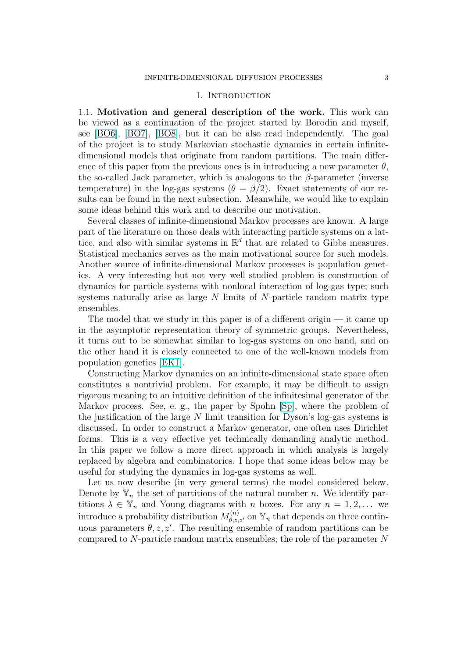#### 1. INTRODUCTION

<span id="page-2-0"></span>1.1. Motivation and general description of the work. This work can be viewed as a continuation of the project started by Borodin and myself, see [BO6], [BO7], [BO8], but it can be also read independently. The goal of the project is to study Markovian stochastic dynamics in certain infinitedimensional models that originate from random partitions. The main difference of this paper from the previous ones is in introducing a new parameter  $\theta$ , the [so-cal](#page-60-0)le[d Jack](#page-60-0) [param](#page-60-0)eter, which is analogous to the  $\beta$ -parameter (inverse temperature) in the log-gas systems ( $\theta = \beta/2$ ). Exact statements of our results can be found in the next subsection. Meanwhile, we would like to explain some ideas behind this work and to describe our motivation.

Several classes of infinite-dimensional Markov processes are known. A large part of the literature on those deals with interacting particle systems on a lattice, and also with similar systems in  $\mathbb{R}^d$  that are related to Gibbs measures. Statistical mechanics serves as the main motivational source for such models. Another source of infinite-dimensional Markov processes is population genetics. A very interesting but not very well studied problem is construction of dynamics for particle systems with nonlocal interaction of log-gas type; such systems naturally arise as large  $N$  limits of  $N$ -particle random matrix type ensembles.

The model that we study in this paper is of a different origin  $-$  it came up in the asymptotic representation theory of symmetric groups. Nevertheless, it turns out to be somewhat similar to log-gas systems on one hand, and on the other hand it is closely connected to one of the well-known models from population genetics [EK1].

Constructing Markov dynamics on an infinite-dimensional state space often constitutes a nontrivial problem. For example, it may be difficult to assign rigorous meaning to an intuitive definition of the infinitesimal generator of the Markov process. Se[e, e. g](#page-60-0)., the paper by Spohn [Sp], where the problem of the justification of the large  $N$  limit transition for Dyson's log-gas systems is discussed. In order to construct a Markov generator, one often uses Dirichlet forms. This is a very effective yet technically demanding analytic method. In this paper we follow a more direct approach i[n w](#page-62-0)hich analysis is largely replaced by algebra and combinatorics. I hope that some ideas below may be useful for studying the dynamics in log-gas systems as well.

Let us now describe (in very general terms) the model considered below. Denote by  $\mathbb{Y}_n$  the set of partitions of the natural number n. We identify partitions  $\lambda \in \mathbb{Y}_n$  and Young diagrams with n boxes. For any  $n = 1, 2, \ldots$  we introduce a probability distribution  $M_{\theta,z,z'}^{(n)}$  on  $\mathbb{Y}_n$  that depends on three continuous parameters  $\theta$ , z, z'. The resulting ensemble of random partitions can be compared to N-particle random matrix ensembles; the role of the parameter N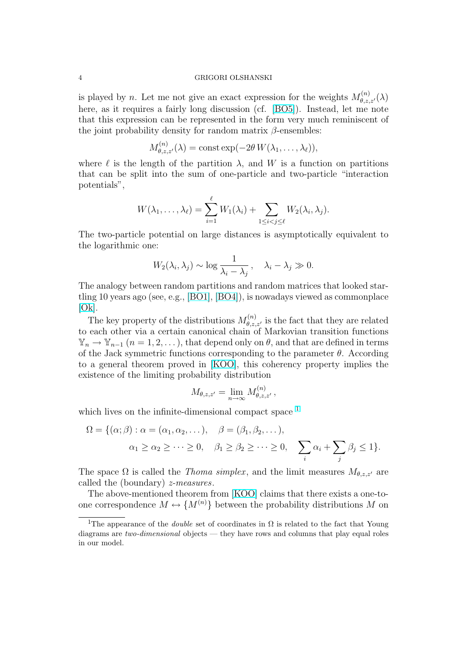#### 4 GRIGORI OLSHANSKI

is played by n. Let me not give an exact expression for the weights  $M_{\theta,z,z'}^{(n)}(\lambda)$ here, as it requires a fairly long discussion (cf. [BO5]). Instead, let me note that this expression can be represented in the form very much reminiscent of the joint probability density for random matrix  $\beta$ -ensembles:

$$
M_{\theta,z,z'}^{(n)}(\lambda) = \text{const} \exp(-2\theta W(\lambda_1,\ldots,\lambda_\ell)),
$$

where  $\ell$  is the length of the partition  $\lambda$ , and W is a function on partitions that can be split into the sum of one-particle and two-particle "interaction potentials",

$$
W(\lambda_1,\ldots,\lambda_\ell)=\sum_{i=1}^\ell W_1(\lambda_i)+\sum_{1\leq i
$$

The two-particle potential on large distances is asymptotically equivalent to the logarithmic one:

$$
W_2(\lambda_i, \lambda_j) \sim \log \frac{1}{\lambda_i - \lambda_j}, \quad \lambda_i - \lambda_j \gg 0.
$$

The analogy between random partitions and random matrices that looked startling 10 years ago (see, e.g., [BO1], [BO4]), is nowadays viewed as commonplace  $[Ok].$ 

The key property of the distributions  $M_{\theta,z,z'}^{(n)}$  is the fact that they are related to each other via a certain [canon](#page-60-0)i[cal ch](#page-60-0)ain of Markovian transition functions  $\mathbb{Y}_n \to \mathbb{Y}_{n-1}$   $(n = 1, 2, \dots)$ , that depend only on  $\theta$ , and that are defined in terms [of th](#page-61-0)e Jack symmetric functions corresponding to the parameter  $\theta$ . According to a general theorem proved in [KOO], this coherency property implies the existence of the limiting probability distribution

$$
M_{\theta,z,z'} = \lim_{n \to \infty} M_{\theta,z,z'}^{(n)},
$$

which lives on the infinite-dimensional compact space <sup>1</sup>

$$
\Omega = \{ (\alpha; \beta) : \alpha = (\alpha_1, \alpha_2, \dots), \quad \beta = (\beta_1, \beta_2, \dots),
$$
  

$$
\alpha_1 \ge \alpha_2 \ge \dots \ge 0, \quad \beta_1 \ge \beta_2 \ge \dots \ge 0, \quad \sum_i \alpha_i + \sum_j \beta_j \le 1 \}.
$$

The space  $\Omega$  is called the *Thoma simplex*, and the limit measures  $M_{\theta,z,z'}$  are called the (boundary) z-measures.

The above-mentioned theorem from [KOO] claims that there exists a one-toone correspondence  $M \leftrightarrow \{M^{(n)}\}$  between the probability distributions M on

<sup>&</sup>lt;sup>1</sup>The appearance of the *double* set of coordinates in  $\Omega$  is related to the fact that Young diagrams are *two-dimensional* objects — the[y have r](#page-61-0)ows and columns that play equal roles in our model.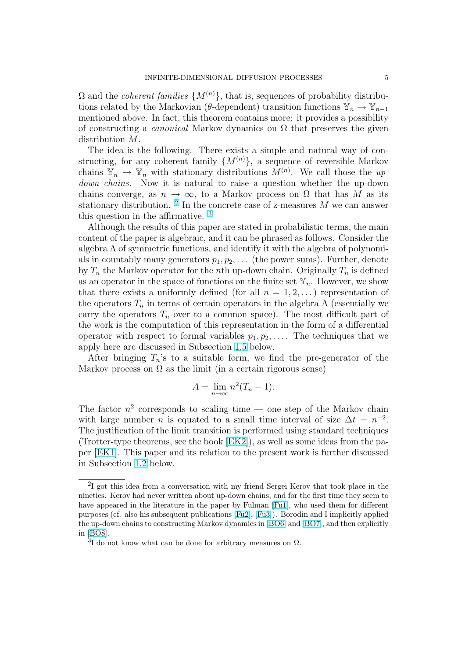$\Omega$  and the *coherent families*  $\{M^{(n)}\}\$ , that is, sequences of probability distributions related by the Markovian (θ-dependent) transition functions  $\mathbb{Y}_n \to \mathbb{Y}_{n-1}$ mentioned above. In fact, this theorem contains more: it provides a possibility of constructing a *canonical* Markov dynamics on  $\Omega$  that preserves the given distribution M.

The idea is the following. There exists a simple and natural way of constructing, for any coherent family  $\{M^{(n)}\}\$ , a sequence of reversible Markov chains  $\mathbb{Y}_n \to \mathbb{Y}_n$  with stationary distributions  $M^{(n)}$ . We call those the updown chains. Now it is natural to raise a question whether the up-down chains converge, as  $n \to \infty$ , to a Markov process on  $\Omega$  that has M as its stationary distribution. <sup>2</sup> In the concrete case of z-measures  $M$  we can answer this question in the affirmative. <sup>3</sup>

Although the results of this paper are stated in probabilistic terms, the main content of the paper is algebraic, and it can be phrased as follows. Consider the algebra  $\Lambda$  of symmetric functions, and identify it with the algebra of polynomials in countably many generators  $p_1, p_2, \ldots$  (the power sums). Further, denote by  $T_n$  the Markov operator for the nth up-down chain. Originally  $T_n$  is defined as an operator in the space of functions on the finite set  $\mathbb{Y}_n$ . However, we show that there exists a uniformly defined (for all  $n = 1, 2, \ldots$ ) representation of the operators  $T_n$  in terms of certain operators in the algebra  $\Lambda$  (essentially we carry the operators  $T_n$  over to a common space). The most difficult part of the work is the computation of this representation in the form of a differential operator with respect to formal variables  $p_1, p_2, \ldots$ . The techniques that we apply here are discussed in Subsection 1.5 below.

After bringing  $T_n$ 's to a suitable form, we find the pre-generator of the Markov process on  $\Omega$  as the limit (in a certain rigorous sense)

$$
A = \lim_{n \to \infty} n^2 (T_n - 1).
$$

The factor  $n^2$  corresponds to scaling time — one step of the Markov chain with large number *n* is equated to a small time interval of size  $\Delta t = n^{-2}$ . The justification of the limit transition is performed using standard techniques (Trotter-type theorems, see the book [EK2]), as well as some ideas from the paper [EK1]. This paper and its relation to the present work is further discussed in Subsection 1.2 below.

<sup>&</sup>lt;sup>2</sup>I got this idea from a conversation wit[h my fr](#page-60-0)iend Sergei Kerov that took place in the ninet[ies. K](#page-60-0)erov had never written about up-down chains, and for the first time they seem to have appeared i[n the](#page-5-0) literature in the paper by Fulman [Fu1], who used them for different purposes (cf. also his subsequent publications [Fu2], [Fu3]). Borodin and I implicitly applied the up-down chains to constructing Markov dynamics in [BO6] and [BO7], and then explicitly in [BO8].

 $3I$  do not know what can be done for arbitrary measu[res on](#page-60-0)  $\Omega$ .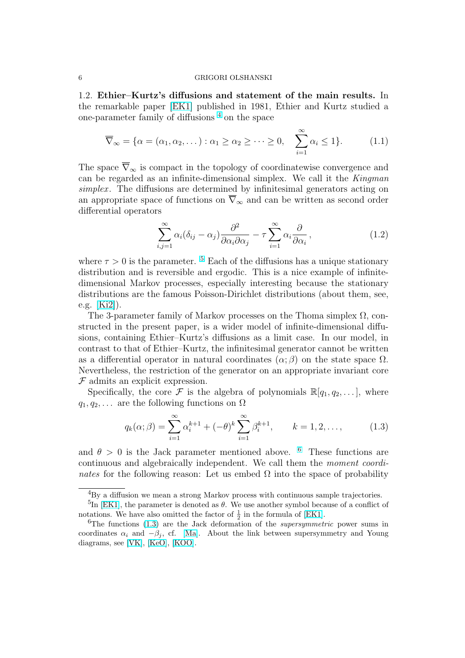<span id="page-5-0"></span>1.2. Ethier–Kurtz's diffusions and statement of the main results. In the remarkable paper [EK1] published in 1981, Ethier and Kurtz studied a one-parameter family of diffusions<sup>4</sup> on the space

$$
\overline{\nabla}_{\infty} = {\alpha = (\alpha_1, \alpha_2, \dots) : \alpha_1 \ge \alpha_2 \ge \dots \ge 0, \quad \sum_{i=1}^{\infty} \alpha_i \le 1}.
$$
 (1.1)

The space  $\overline{\nabla}_{\infty}$  is compact in the topology of coordinatewise convergence and can be regarded as an infinite-dimensional simplex. We call it the Kingman simplex. The diffusions are determined by infinitesimal generators acting on an appropriate space of functions on  $\overline{\nabla}_{\infty}$  and can be written as second order differential operators

$$
\sum_{i,j=1}^{\infty} \alpha_i (\delta_{ij} - \alpha_j) \frac{\partial^2}{\partial \alpha_i \partial \alpha_j} - \tau \sum_{i=1}^{\infty} \alpha_i \frac{\partial}{\partial \alpha_i}, \qquad (1.2)
$$

where  $\tau > 0$  is the parameter. <sup>5</sup> Each of the diffusions has a unique stationary distribution and is reversible and ergodic. This is a nice example of infinitedimensional Markov processes, especially interesting because the stationary distributions are the famous Poisson-Dirichlet distributions (about them, see, e.g. [Ki2]).

The 3-parameter family of Markov processes on the Thoma simplex  $\Omega$ , constructed in the present paper, is a wider model of infinite-dimensional diffusions, containing Ethier–Kurtz's diffusions as a limit case. In our model, in cont[rast t](#page-61-0)o that of Ethier–Kurtz, the infinitesimal generator cannot be written as a differential operator in natural coordinates  $(\alpha; \beta)$  on the state space  $\Omega$ . Nevertheless, the restriction of the generator on an appropriate invariant core  $F$  admits an explicit expression.

Specifically, the core  $\mathcal F$  is the algebra of polynomials  $\mathbb R[q_1, q_2, \ldots]$ , where  $q_1, q_2, \ldots$  are the following functions on  $\Omega$ 

$$
q_k(\alpha; \beta) = \sum_{i=1}^{\infty} \alpha_i^{k+1} + (-\theta)^k \sum_{i=1}^{\infty} \beta_i^{k+1}, \qquad k = 1, 2, \dots,
$$
 (1.3)

and  $\theta > 0$  is the Jack parameter mentioned above. <sup>6</sup> These functions are continuous and algebraically independent. We call them the moment coordinates for the following reason: Let us embed  $\Omega$  into the space of probability

<sup>4</sup>By a diffusion we mean a strong Markov process with continuous sample trajectories.

<sup>&</sup>lt;sup>5</sup>In [EK1], the parameter is denoted as  $\theta$ . We use another symbol because of a conflict of notations. We have also omitted the factor of  $\frac{1}{2}$  in the formula of [EK1].

<sup>&</sup>lt;sup>6</sup>The functions  $(1.3)$  are the Jack deformation of the *supersymmetric* power sums in coordinates  $\alpha_i$  and  $-\beta_j$ , cf. [Ma]. About the link between supersymmetry and Young diagra[ms, se](#page-60-0)e [VK], [KeO], [KOO].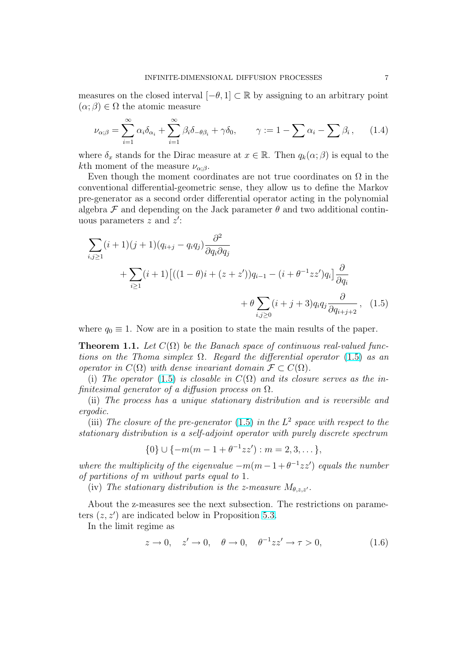<span id="page-6-0"></span>measures on the closed interval  $[-\theta, 1] \subset \mathbb{R}$  by assigning to an arbitrary point  $(\alpha;\beta) \in \Omega$  the atomic measure

$$
\nu_{\alpha;\beta} = \sum_{i=1}^{\infty} \alpha_i \delta_{\alpha_i} + \sum_{i=1}^{\infty} \beta_i \delta_{-\theta\beta_i} + \gamma \delta_0, \qquad \gamma := 1 - \sum \alpha_i - \sum \beta_i, \qquad (1.4)
$$

where  $\delta_x$  stands for the Dirac measure at  $x \in \mathbb{R}$ . Then  $q_k(\alpha; \beta)$  is equal to the kth moment of the measure  $\nu_{\alpha;\beta}$ .

Even though the moment coordinates are not true coordinates on  $\Omega$  in the conventional differential-geometric sense, they allow us to define the Markov pre-generator as a second order differential operator acting in the polynomial algebra  $\mathcal F$  and depending on the Jack parameter  $\theta$  and two additional continuous parameters  $z$  and  $z'$ :

$$
\sum_{i,j\geq 1} (i+1)(j+1)(q_{i+j} - q_i q_j) \frac{\partial^2}{\partial q_i \partial q_j} \n+ \sum_{i\geq 1} (i+1) \left[ ((1-\theta)i + (z+z'))q_{i-1} - (i+\theta^{-1}zz')q_i \right] \frac{\partial}{\partial q_i} \n+ \theta \sum_{i,j\geq 0} (i+j+3) q_i q_j \frac{\partial}{\partial q_{i+j+2}}, \quad (1.5)
$$

where  $q_0 \equiv 1$ . Now are in a position to state the main results of the paper.

**Theorem 1.1.** Let  $C(\Omega)$  be the Banach space of continuous real-valued functions on the Thoma simplex  $\Omega$ . Regard the differential operator (1.5) as an operator in  $C(\Omega)$  with dense invariant domain  $\mathcal{F} \subset C(\Omega)$ .

(i) The operator (1.5) is closable in  $C(\Omega)$  and its closure serves as the infinitesimal generator of a diffusion process on  $\Omega$ .

(ii) The process has a unique stationary distribution and is reversible and ergodic.

(iii) The closure of the pre-generator (1.5) in the  $L^2$  space with respect to the stationary distribution is a self-adjoint operator with purely discrete spectrum

$$
\{0\} \cup \{-m(m-1+\theta^{-1}zz') : m = 2, 3, \dots\},\
$$

where the multiplicity of the eigenvalue  $-m(m-1+\theta^{-1}zz')$  equals the number of partitions of m without parts equal to 1.

(iv) The stationary distribution is the z-measure  $M_{\theta,z,z'}$ .

About the z-measures see the next subsection. The restrictions on parameters  $(z, z')$  are indicated below in Proposition 5.3.

In the limit regime as

$$
z \to 0, \quad z' \to 0, \quad \theta \to 0, \quad \theta^{-1}zz' \to \tau > 0,
$$
\n
$$
(1.6)
$$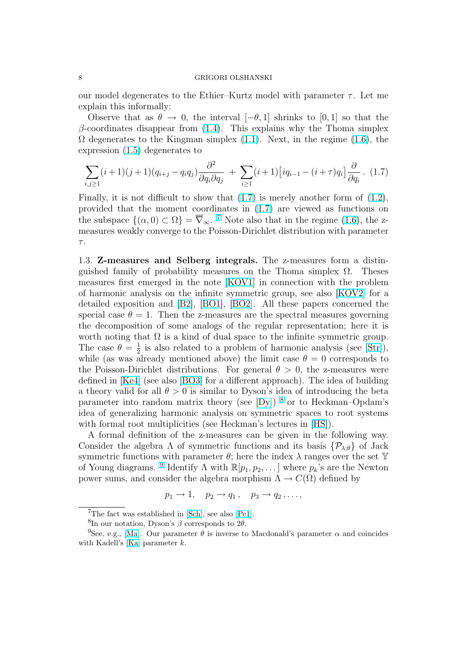<span id="page-7-0"></span>our model degenerates to the Ethier–Kurtz model with parameter  $\tau$ . Let me explain this informally:

Observe that as  $\theta \to 0$ , the interval  $[-\theta, 1]$  shrinks to [0, 1] so that the  $\beta$ -coordinates disappear from (1.4). This explains why the Thoma simplex  $\Omega$  degenerates to the Kingman simplex (1.1). Next, in the regime (1.6), the expression (1.5) degenerates to

$$
\sum_{i,j\geq 1} (i+1)(j+1)(q_{i+j}-q_iq_j)\frac{\partial^2}{\partial q_i \partial q_j} + \sum_{i\geq 1} (i+1)\left[iq_{i-1}-(i+\tau)q_i\right]\frac{\partial}{\partial q_i}.
$$
 (1.7)

Finally, it is not difficult to show that (1.7) is merely another form of (1.2), provided that the moment coordinates in (1.7) are viewed as functions on the subspace  $\{(\alpha,0)\subset\Omega\}=\overline{\nabla}_{\infty}$ . <sup>7</sup> Note also that in the regime (1.6), the zmeasures weakly converge to the Poisson-Dirichlet distribution with para[mete](#page-5-0)r  $\tau.$ 

1.3. Z-measures and Selberg integrals. The z-measures for[m a](#page-6-0) distinguished family of probability measures on the Thoma simplex  $\Omega$ . Theses measures first emerged in the note [KOV1] in connection with the problem of harmonic analysis on the infinite symmetric group, see also [KOV2] for a detailed exposition and [B2], [BO1], [BO2]. All these papers concerned the special case  $\theta = 1$ . Then the z-measures are the spectral measures governing the decomposition of some analogs [of the](#page-61-0) regular representation; here it is worth noting that  $\Omega$  is a kind of dual space to the infinite sym[metric g](#page-61-0)roup. The case  $\theta = \frac{1}{2}$  $\frac{1}{2}$  is also r[elate](#page-60-0)d [to a](#page-60-0) p[roblem](#page-60-0) of harmonic analysis (see [Str]), while (as was already mentioned above) the limit case  $\theta = 0$  corresponds to the Poisson-Dirichlet distributions. For general  $\theta > 0$ , the z-measures were defined in [Ke4] (see also [BO3] for a different approach). The idea of building a theory valid for all  $\theta > 0$  is similar to Dyson's idea of introducing th[e bet](#page-62-0)a parameter into random matrix theory (see  $[Dy]$ ) <sup>8</sup> or to Heckman–Opdam's idea of generalizing harmonic analysis on symmetric spaces to root systems with form[al roo](#page-61-0)t multipli[cities](#page-60-0) (see Heckman's lectures in [HS]).

A formal definition of the z-measures can be given in the following way. C[ons](#page-60-0)ider the algebra  $\Lambda$  of symmetric functions and its basis  $\{\mathcal{P}_{\lambda,\theta}\}\$  of Jack symmetric functions with parameter  $\theta$ ; here the index  $\lambda$  ra[nge](#page-60-0)s over the set Y of Young diagrams. <sup>9</sup> Identify  $\Lambda$  with  $\mathbb{R}[p_1, p_2, \dots]$  where  $p_k$ 's are the Newton power sums, and consider the algebra morphism  $\Lambda \to C(\Omega)$  defined by

$$
p_1 \to 1, \quad p_2 \to q_1, \quad p_3 \to q_2, \ldots,
$$

<sup>7</sup>The fact was established in [Sch], see also [Pe1].

<sup>&</sup>lt;sup>8</sup>In our notation, Dyson's β corresponds to 2θ.

<sup>&</sup>lt;sup>9</sup>See, e.g., [Ma]. Our parameter  $\theta$  is inverse to Macdonald's parameter  $\alpha$  and coincides with Kadell's [Ka] parameter k.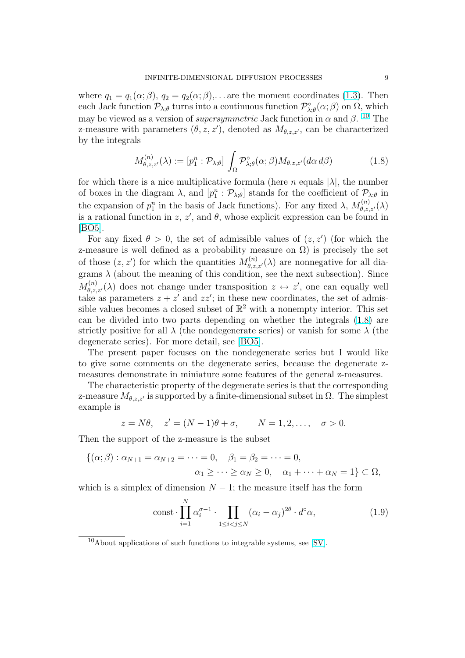<span id="page-8-0"></span>where  $q_1 = q_1(\alpha; \beta), q_2 = q_2(\alpha; \beta), \ldots$  are the moment coordinates (1.3). Then each Jack function  $\mathcal{P}_{\lambda;\theta}$  turns into a continuous function  $\mathcal{P}_{\lambda;\theta}^{\circ}(\alpha;\beta)$  on  $\Omega$ , which may be viewed as a version of *supersymmetric* Jack function in  $\alpha$  and  $\beta$ . <sup>10</sup> The z-measure with parameters  $(\theta, z, z')$ , denoted as  $M_{\theta, z, z'}$ , can be c[harac](#page-5-0)terized by the integrals

$$
M_{\theta,z,z'}^{(n)}(\lambda) := [p_1^n : \mathcal{P}_{\lambda;\theta}] \int_{\Omega} \mathcal{P}_{\lambda;\theta}^{\circ}(\alpha;\beta) M_{\theta,z,z'}(d\alpha \, d\beta) \tag{1.8}
$$

for which there is a nice multiplicative formula (here n equals  $|\lambda|$ , the number of boxes in the diagram  $\lambda$ , and  $[p_1^n : \mathcal{P}_{\lambda; \theta}]$  stands for the coefficient of  $\mathcal{P}_{\lambda; \theta}$  in the expansion of  $p_1^n$  in the basis of Jack functions). For any fixed  $\lambda$ ,  $M_{\theta,z,z'}^{(n)}(\lambda)$ is a rational function in z, z', and  $\theta$ , whose explicit expression can be found in [BO5].

For any fixed  $\theta > 0$ , the set of admissible values of  $(z, z')$  (for which the z-measure is well defined as a probability measure on  $\Omega$ ) is precisely the set [of tho](#page-60-0)se  $(z, z')$  for which the quantities  $M_{\theta, z, z'}^{(n)}(\lambda)$  are nonnegative for all diagrams  $\lambda$  (about the meaning of this condition, see the next subsection). Since  $M_{\theta,z,z'}^{(n)}(\lambda)$  does not change under transposition  $z \leftrightarrow z'$ , one can equally well take as parameters  $z + z'$  and  $zz'$ ; in these new coordinates, the set of admissible values becomes a closed subset of  $\mathbb{R}^2$  with a nonempty interior. This set can be divided into two parts depending on whether the integrals (1.8) are strictly positive for all  $\lambda$  (the nondegenerate series) or vanish for some  $\lambda$  (the degenerate series). For more detail, see [BO5].

The present paper focuses on the nondegenerate series but I would like to give some comments on the degenerate series, because the degenerate zmeasures demonstrate in miniature some features of the general z-measures.

The characteristic property of the dege[nerat](#page-60-0)e series is that the corresponding z-measure  $M_{\theta,z,z'}$  is supported by a finite-dimensional subset in  $\Omega$ . The simplest example is

$$
z = N\theta, \quad z' = (N-1)\theta + \sigma, \qquad N = 1, 2, \dots, \quad \sigma > 0.
$$

Then the support of the z-measure is the subset

$$
\{(\alpha;\beta): \alpha_{N+1} = \alpha_{N+2} = \cdots = 0, \quad \beta_1 = \beta_2 = \cdots = 0, \alpha_1 \geq \cdots \geq \alpha_N \geq 0, \quad \alpha_1 + \cdots + \alpha_N = 1\} \subset \Omega,
$$

which is a simplex of dimension  $N - 1$ ; the measure itself has the form

$$
\text{const} \cdot \prod_{i=1}^{N} \alpha_i^{\sigma-1} \cdot \prod_{1 \le i < j \le N} (\alpha_i - \alpha_j)^{2\theta} \cdot d^\circ \alpha,\tag{1.9}
$$

 $10$ About applications of such functions to integrable systems, see [SV].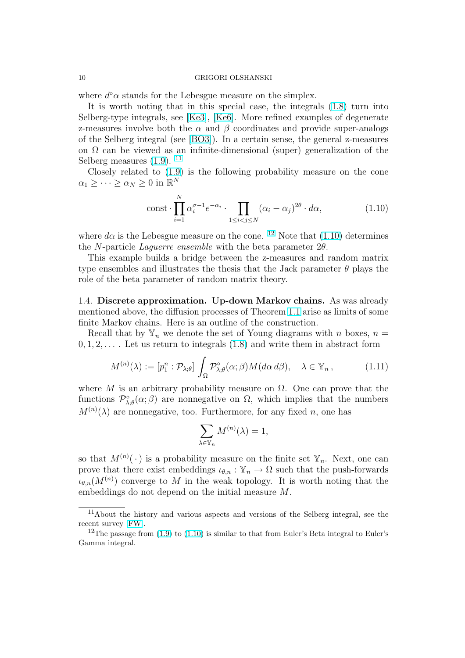#### <span id="page-9-0"></span>10 GRIGORI OLSHANSKI

where  $d^{\circ} \alpha$  stands for the Lebesgue measure on the simplex.

It is worth noting that in this special case, the integrals (1.8) turn into Selberg-type integrals, see [Ke3], [Ke6]. More refined examples of degenerate z-measures involve both the  $\alpha$  and  $\beta$  coordinates and provide super-analogs of the Selberg integral (see [BO3]). In a certain sense, the general z-measures on  $\Omega$  can be viewed as an [infin](#page-61-0)it[e-dim](#page-61-0)ensional (super) genera[liza](#page-8-0)tion of the Selberg measures  $(1.9)$ . <sup>11</sup>

Closely related to (1.9) i[s the](#page-60-0) following probability measure on the cone  $\alpha_1 \geq \cdots \geq \alpha_N \geq 0$  in  $\mathbb{R}^N$ 

$$
\text{const} \cdot \prod_{i=1}^{N} \alpha_i^{\sigma - 1} e^{-\alpha_i} \cdot \prod_{1 \le i < j \le N} (\alpha_i - \alpha_j)^{2\theta} \cdot d\alpha,\tag{1.10}
$$

where  $d\alpha$  is the Lebesgue measure on the cone. <sup>12</sup> Note that (1.10) determines the N-particle Laguerre ensemble with the beta parameter  $2\theta$ .

This example builds a bridge between the z-measures and random matrix type ensembles and illustrates the thesis that the Jack parameter  $\theta$  plays the role of the beta parameter of random matrix theory.

1.4. Discrete approximation. Up-down Markov chains. As was already mentioned above, the diffusion processes of Theorem 1.1 arise as limits of some finite Markov chains. Here is an outline of the construction.

Recall that by  $\mathbb{Y}_n$  we denote the set of Young diagrams with n boxes,  $n =$  $0, 1, 2, \ldots$ . Let us return to integrals  $(1.8)$  and writ[e the](#page-6-0)m in abstract form

$$
M^{(n)}(\lambda) := [p_1^n : \mathcal{P}_{\lambda;\theta}] \int_{\Omega} \mathcal{P}_{\lambda;\theta}^{\circ}(\alpha;\beta) M(d\alpha \, d\beta), \quad \lambda \in \mathbb{Y}_n, \tag{1.11}
$$

where M is an arbitrary probability [meas](#page-8-0)ure on  $\Omega$ . One can prove that the functions  $\mathcal{P}_{\lambda;\theta}^{\circ}(\alpha;\beta)$  are nonnegative on  $\Omega$ , which implies that the numbers  $M^{(n)}(\lambda)$  are nonnegative, too. Furthermore, for any fixed n, one has

$$
\sum_{\lambda \in \mathbb{Y}_n} M^{(n)}(\lambda) = 1,
$$

so that  $M^{(n)}(\cdot)$  is a probability measure on the finite set  $\mathbb{Y}_n$ . Next, one can prove that there exist embeddings  $\iota_{\theta,n} : \mathbb{Y}_n \to \Omega$  such that the push-forwards  $\iota_{\theta,n}(M^{(n)})$  converge to M in the weak topology. It is worth noting that the embeddings do not depend on the initial measure M.

<sup>11</sup>About the history and various aspects and versions of the Selberg integral, see the recent survey [FW].

<sup>&</sup>lt;sup>12</sup>The passage from  $(1.9)$  to  $(1.10)$  is similar to that from Euler's Beta integral to Euler's Gamma integral.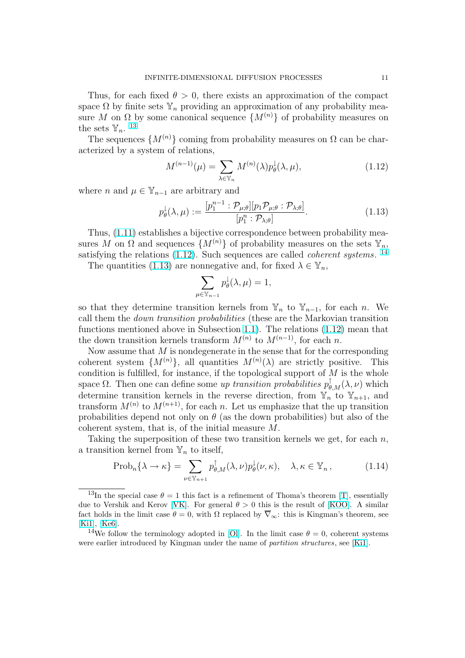<span id="page-10-0"></span>Thus, for each fixed  $\theta > 0$ , there exists an approximation of the compact space  $\Omega$  by finite sets  $\mathbb{Y}_n$  providing an approximation of any probability measure M on  $\Omega$  by some canonical sequence  $\{M^{(n)}\}$  of probability measures on the sets  $\mathbb{Y}_n$ . <sup>13</sup>

The sequences  $\{M^{(n)}\}$  coming from probability measures on  $\Omega$  can be characterized by a system of relations,

$$
M^{(n-1)}(\mu) = \sum_{\lambda \in \mathbb{Y}_n} M^{(n)}(\lambda) p_\theta^{\downarrow}(\lambda, \mu), \tag{1.12}
$$

where *n* and  $\mu \in \mathbb{Y}_{n-1}$  are arbitrary and

$$
p_{\theta}^{\downarrow}(\lambda,\mu) := \frac{[p_1^{n-1} : \mathcal{P}_{\mu;\theta}][p_1 \mathcal{P}_{\mu;\theta} : \mathcal{P}_{\lambda;\theta}]}{[p_1^n : \mathcal{P}_{\lambda;\theta}]}.
$$
(1.13)

Thus, (1.11) establishes a bijective correspondence between probability measures M on  $\Omega$  and sequences  $\{M^{(n)}\}\$  of probability measures on the sets  $\mathbb{Y}_n$ , satisfying the relations  $(1.12)$ . Such sequences are called *coherent systems*.<sup>14</sup>

The q[uantit](#page-9-0)ies (1.13) are nonnegative and, for fixed  $\lambda \in \mathbb{Y}_n$ ,

$$
\sum_{\mu \in \mathbb{Y}_{n-1}} p_{\theta}^{\downarrow}(\lambda, \mu) = 1,
$$

so that they determine transition kernels from  $\mathbb{Y}_n$  to  $\mathbb{Y}_{n-1}$ , for each n. We call them the down transition probabilities (these are the Markovian transition functions mentioned above in Subsection 1.1). The relations (1.12) mean that the down transition kernels transform  $M^{(n)}$  to  $M^{(n-1)}$ , for each n.

Now assume that  $M$  is nondegenerate in the sense that for the corresponding coherent system  $\{M^{(n)}\},$  all quantities  $M^{(n)}(\lambda)$  are strictly positive. This condition is fulfilled, for instance, if the t[opol](#page-2-0)ogical support of  $M$  is the whole space  $\Omega$ . Then one can define some up transition probabilities  $p^{\uparrow}_{\theta,M}(\lambda,\nu)$  which determine transition kernels in the reverse direction, from  $\mathbb{Y}_n$  to  $\mathbb{Y}_{n+1}$ , and transform  $M^{(n)}$  to  $M^{(n+1)}$ , for each n. Let us emphasize that the up transition probabilities depend not only on  $\theta$  (as the down probabilities) but also of the coherent system, that is, of the initial measure M.

Taking the superposition of these two transition kernels we get, for each  $n$ , a transition kernel from  $\mathbb{Y}_n$  to itself,

$$
\text{Prob}_n\{\lambda \to \kappa\} = \sum_{\nu \in \mathbb{Y}_{n+1}} p_{\theta,M}^{\dagger}(\lambda,\nu) p_{\theta}^{\downarrow}(\nu,\kappa), \quad \lambda, \kappa \in \mathbb{Y}_n, \tag{1.14}
$$

<sup>&</sup>lt;sup>13</sup>In the special case  $\theta = 1$  this fact is a refinement of Thoma's theorem [T], essentially due to Vershik and Kerov [VK]. For general  $\theta > 0$  this is the result of [KOO]. A similar fact holds in the limit case  $\theta = 0$ , with  $\Omega$  replaced by  $\overline{\nabla}_{\infty}$ : this is Kingman's theorem, see [Ki1], [Ke6].

<sup>&</sup>lt;sup>14</sup>We follow the terminology adopted in [Ol]. In the limit case  $\theta = 0$ , co[her](#page-62-0)ent systems were earlier introduced by [King](#page-62-0)man under the name of *partition structures*[, see](#page-61-0) [Ki1].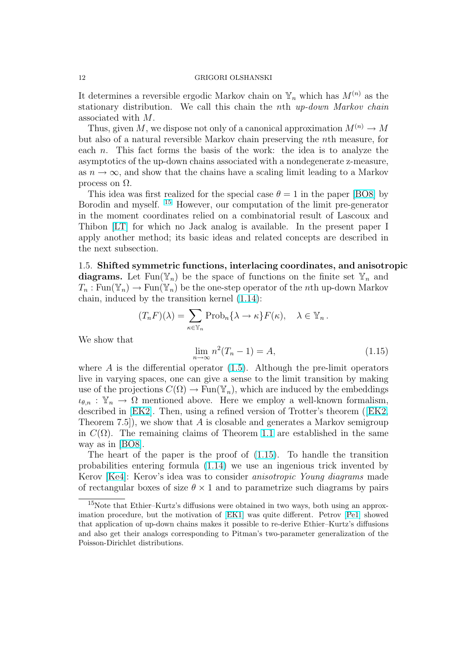<span id="page-11-0"></span>It determines a reversible ergodic Markov chain on  $\mathbb{Y}_n$  which has  $M^{(n)}$  as the stationary distribution. We call this chain the nth up-down Markov chain associated with M.

Thus, given M, we dispose not only of a canonical approximation  $M^{(n)} \to M$ but also of a natural reversible Markov chain preserving the nth measure, for each n. This fact forms the basis of the work: the idea is to analyze the asymptotics of the up-down chains associated with a nondegenerate z-measure, as  $n \to \infty$ , and show that the chains have a scaling limit leading to a Markov process on  $\Omega$ .

This idea was first realized for the special case  $\theta = 1$  in the paper [BO8] by Borodin and myself. <sup>15</sup> However, our computation of the limit pre-generator in the moment coordinates relied on a combinatorial result of Lascoux and Thibon [LT] for which no Jack analog is available. In the present paper I apply another method; its basic ideas and related concepts are des[cribed](#page-60-0) in the next subsection.

1.5. Shi[fted](#page-61-0) symmetric functions, interlacing coordinates, and anisotropic diagrams. Let  $\text{Fun}(\mathbb{Y}_n)$  be the space of functions on the finite set  $\mathbb{Y}_n$  and  $T_n : \text{Fun}(\mathbb{Y}_n) \to \text{Fun}(\mathbb{Y}_n)$  be the one-step operator of the nth up-down Markov chain, induced by the transition kernel (1.14):

$$
(T_n F)(\lambda) = \sum_{\kappa \in \mathbb{Y}_n} \mathrm{Prob}_n \{ \lambda \to \kappa \} F(\kappa), \quad \lambda \in \mathbb{Y}_n \, .
$$

We show that

$$
\lim_{n \to \infty} n^2 (T_n - 1) = A,\tag{1.15}
$$

where  $\tilde{A}$  is the differential operator (1.5). Although the pre-limit operators live in varying spaces, one can give a sense to the limit transition by making use of the projections  $C(\Omega) \to \text{Fun}(\mathbb{Y}_n)$ , which are induced by the embeddings  $\iota_{\theta,n} : \mathbb{Y}_n \to \Omega$  mentioned above. Here we employ a well-known formalism, described in [EK2]. Then, using a re[fined](#page-6-0) version of Trotter's theorem ([EK2, Theorem 7.5], we show that A is closable and generates a Markov semigroup in  $C(\Omega)$ . The remaining claims of Theorem 1.1 are established in the same way as in [BO8].

The heart [of th](#page-60-0)e paper is the proof of (1.15). To handle the tran[sition](#page-60-0) probabilities entering formula (1.14) we use an ingenious trick invented by Kerov [Ke4]: Kerov's idea was to consider a[nisot](#page-6-0)ropic Young diagrams made of rectang[ular b](#page-60-0)oxes of size  $\theta \times 1$  and to parametrize such diagrams by pairs

<sup>15</sup>Note that Ethier–Kurtz's diffusi[ons we](#page-10-0)re obtained in two ways, both using an approximation [proce](#page-61-0)dure, but the motivation of [EK1] was quite different. Petrov [Pe1] showed that application of up-down chains makes it possible to re-derive Ethier–Kurtz's diffusions and also get their analogs corresponding to Pitman's two-parameter generalization of the Poisson-Dirichlet distributions.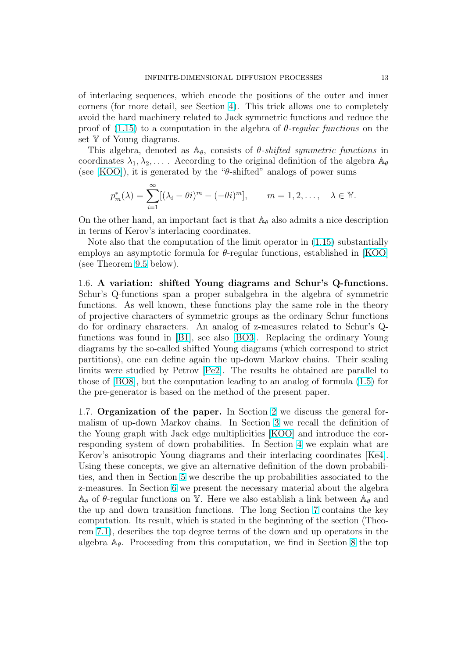<span id="page-12-0"></span>of interlacing sequences, which encode the positions of the outer and inner corners (for more detail, see Section 4). This trick allows one to completely avoid the hard machinery related to Jack symmetric functions and reduce the proof of  $(1.15)$  to a computation in the algebra of  $\theta$ -regular functions on the set Y of Young diagrams.

This algebra, denoted as  $\mathbb{A}_{\theta}$ , cons[ist](#page-18-0)s of  $\theta$ -shifted symmetric functions in coordinates  $\lambda_1, \lambda_2, \ldots$ . According to the original definition of the algebra  $\mathbb{A}_{\theta}$ (see [KO[O\]\), i](#page-11-0)t is generated by the " $\theta$ -shifted" analogs of power sums

$$
p_m^*(\lambda) = \sum_{i=1}^{\infty} [(\lambda_i - \theta i)^m - (-\theta i)^m], \qquad m = 1, 2, \dots, \quad \lambda \in \mathbb{Y}.
$$

On the other hand, an important fact is that  $\mathbb{A}_{\theta}$  also admits a nice description in terms of Kerov's interlacing coordinates.

Note also that the computation of the limit operator in (1.15) substantially employs an asymptotic formula for  $\theta$ -regular functions, established in [KOO] (see Theorem 9.5 below).

1.6. A variation: shifted Young diagrams and Sch[ur's](#page-11-0) Q-functions. Schur's Q-functions span a proper subalgebra in the algebra of sym[metric](#page-61-0) functions. A[s we](#page-53-0)ll known, these functions play the same role in the theory of projective characters of symmetric groups as the ordinary Schur functions do for ordinary characters. An analog of z-measures related to Schur's Qfunctions was found in [B1], see also [BO3]. Replacing the ordinary Young diagrams by the so-called shifted Young diagrams (which correspond to strict partitions), one can define again the up-down Markov chains. Their scaling limits were studied by Petrov [Pe2]. The results he obtained are parallel to those of [BO8], but the [com](#page-59-0)putation le[ading](#page-60-0) to an analog of formula (1.5) for the pre-generator is based on the method of the present paper.

1.7. Organization of the pa[per.](#page-61-0) In Section 2 we discuss the general formalism [of up-](#page-60-0)down Markov chains. In Section 3 we recall the defi[nitio](#page-6-0)n of the Young graph with Jack edge multiplicities [KOO] and introduce the corresponding system of down probabilities. In Section 4 we explain what are Kerov's anisotropic Young diagrams and their [in](#page-13-0)terlacing coordinates [Ke4]. Using these concepts, we give an alternative defi[ni](#page-17-0)tion of the down probabilities, and then in Section 5 we describe the up [probab](#page-61-0)ilities associated to the z-measures. In Section 6 we present the necessary ma[ter](#page-18-0)ial about the al[gebra](#page-61-0)  $\mathbb{A}_{\theta}$  of  $\theta$ -regular functions on Y. Here we also establish a link between  $\mathbb{A}_{\theta}$  and the up and down transition functions. The long Section 7 contains the key computation. Its result, [wh](#page-21-0)ich is stated in the beginning of the section (Theorem 7.1), describes the [to](#page-23-0)p degree terms of the down and up operators in the algebra  $\mathbb{A}_{\theta}$ . Proceeding from this computation, we find i[n S](#page-28-0)ection 8 the top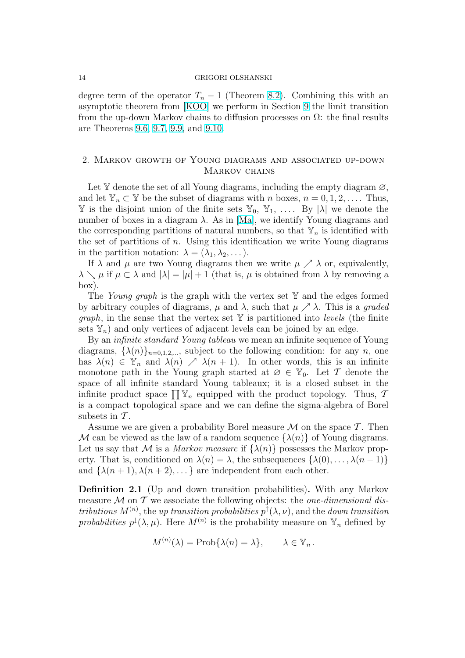#### <span id="page-13-0"></span>14 GRIGORI OLSHANSKI

degree term of the operator  $T_n - 1$  (Theorem 8.2). Combining this with an asymptotic theorem from [KOO] we perform in Section 9 the limit transition from the up-down Markov chains to diffusion processes on  $\Omega$ : the final results are Theorems 9.6, 9.7, 9.9, and 9.10.

## 2. Markov [gro](#page-54-0)[wt](#page-56-0)[h of](#page-57-0) Young diagrams and associated up-down MARKOV CHAINS

Let Y denote the set of all Young diagrams, including the empty diagram  $\varnothing$ , and let  $\mathbb{Y}_n \subset \mathbb{Y}$  be the subset of diagrams with n boxes,  $n = 0, 1, 2, \ldots$ . Thus,  $\mathbb Y$  is the disjoint union of the finite sets  $\mathbb Y_0, \mathbb Y_1, \ldots$  By  $|\lambda|$  we denote the number of boxes in a diagram  $\lambda$ . As in [Ma], we identify Young diagrams and the corresponding partitions of natural numbers, so that  $\mathbb{Y}_n$  is identified with the set of partitions of n. Using this identification we write Young diagrams in the partition notation:  $\lambda = (\lambda_1, \lambda_2, \dots).$ 

If  $\lambda$  and  $\mu$  are two Young diagrams [then](#page-61-0) we write  $\mu \nearrow \lambda$  or, equivalently,  $\lambda \searrow \mu$  if  $\mu \subset \lambda$  and  $|\lambda| = |\mu| + 1$  (that is,  $\mu$  is obtained from  $\lambda$  by removing a box).

The Young graph is the graph with the vertex set  $\mathbb {Y}$  and the edges formed by arbitrary couples of diagrams,  $\mu$  and  $\lambda$ , such that  $\mu \nearrow \lambda$ . This is a graded *graph*, in the sense that the vertex set  $Y$  is partitioned into *levels* (the finite sets  $\mathbb{Y}_n$ ) and only vertices of adjacent levels can be joined by an edge.

By an *infinite standard Young tableau* we mean an infinite sequence of Young diagrams,  $\{\lambda(n)\}_{n=0,1,2,...}$ , subject to the following condition: for any n, one has  $\lambda(n) \in \mathbb{Y}_n$  and  $\lambda(n) \nearrow \lambda(n+1)$ . In other words, this is an infinite monotone path in the Young graph started at  $\varnothing \in \mathbb{Y}_0$ . Let T denote the space of all infinite standard Young tableaux; it is a closed subset in the space or all infinite standard roung tableaux; it is a closed subset in the infinite product space  $\prod \mathbb{Y}_n$  equipped with the product topology. Thus, 7 is a compact topological space and we can define the sigma-algebra of Borel subsets in  $\mathcal T$ .

Assume we are given a probability Borel measure  $\mathcal M$  on the space  $\mathcal T$ . Then M can be viewed as the law of a random sequence  $\{\lambda(n)\}\$  of Young diagrams. Let us say that M is a Markov measure if  $\{\lambda(n)\}\)$  possesses the Markov property. That is, conditioned on  $\lambda(n) = \lambda$ , the subsequences  $\{\lambda(0), \ldots, \lambda(n-1)\}\$ and  $\{\lambda(n+1), \lambda(n+2), \dots\}$  are independent from each other.

Definition 2.1 (Up and down transition probabilities). With any Markov measure  $M$  on  $T$  we associate the following objects: the *one-dimensional dis*tributions  $M^{(n)}$ , the up transition probabilities  $p^{\uparrow}(\lambda, \nu)$ , and the down transition probabilities  $p^{\downarrow}(\lambda,\mu)$ . Here  $M^{(n)}$  is the probability measure on  $\mathbb{Y}_n$  defined by

$$
M^{(n)}(\lambda) = \text{Prob}\{\lambda(n) = \lambda\}, \qquad \lambda \in \mathbb{Y}_n \, .
$$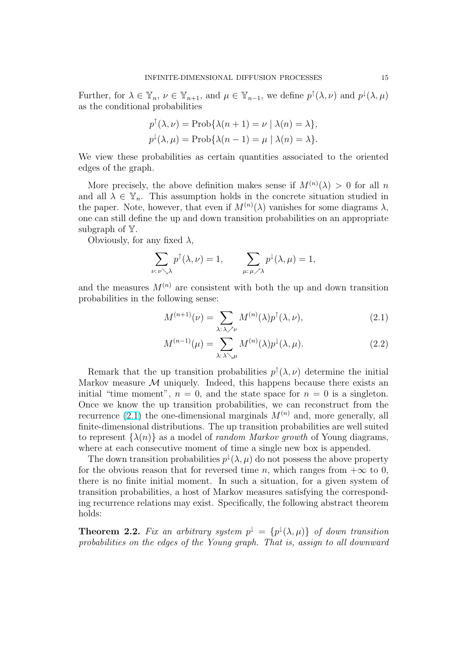<span id="page-14-0"></span>Further, for  $\lambda \in \mathbb{Y}_n$ ,  $\nu \in \mathbb{Y}_{n+1}$ , and  $\mu \in \mathbb{Y}_{n-1}$ , we define  $p^{\uparrow}(\lambda, \nu)$  and  $p^{\downarrow}(\lambda, \mu)$ as the conditional probabilities

$$
p^{\uparrow}(\lambda, \nu) = \text{Prob}\{\lambda(n+1) = \nu \mid \lambda(n) = \lambda\},
$$
  

$$
p^{\downarrow}(\lambda, \mu) = \text{Prob}\{\lambda(n-1) = \mu \mid \lambda(n) = \lambda\}.
$$

We view these probabilities as certain quantities associated to the oriented edges of the graph.

More precisely, the above definition makes sense if  $M^{(n)}(\lambda) > 0$  for all n and all  $\lambda \in \mathbb{Y}_n$ . This assumption holds in the concrete situation studied in the paper. Note, however, that even if  $M^{(n)}(\lambda)$  vanishes for some diagrams  $\lambda$ , one can still define the up and down transition probabilities on an appropriate subgraph of Y.

Obviously, for any fixed  $\lambda$ ,

$$
\sum_{\nu:\,\nu\searrow\lambda}p^{\uparrow}(\lambda,\nu)=1,\qquad \sum_{\mu:\,\mu\nearrow\lambda}p^{\downarrow}(\lambda,\mu)=1,
$$

and the measures  $M^{(n)}$  are consistent with both the up and down transition probabilities in the following sense:

$$
M^{(n+1)}(\nu) = \sum_{\lambda:\,\lambda \nearrow \nu} M^{(n)}(\lambda)p^{\uparrow}(\lambda,\nu),\tag{2.1}
$$

$$
M^{(n-1)}(\mu) = \sum_{\lambda:\lambda\searrow\mu} M^{(n)}(\lambda) p^{\downarrow}(\lambda,\mu).
$$
 (2.2)

Remark that the up transition probabilities  $p^{\uparrow}(\lambda, \nu)$  determine the initial Markov measure  $M$  uniquely. Indeed, this happens because there exists an initial "time moment",  $n = 0$ , and the state space for  $n = 0$  is a singleton. Once we know the up transition probabilities, we can reconstruct from the recurrence (2.1) the one-dimensional marginals  $M^{(n)}$  and, more generally, all finite-dimensional distributions. The up transition probabilities are well suited to represent  $\{\lambda(n)\}\$ as a model of *random Markov growth* of Young diagrams, where at each consecutive moment of time a single new box is appended.

The down transition probabilities  $p^{\downarrow}(\lambda,\mu)$  do not possess the above property for the obvious reason that for reversed time n, which ranges from  $+\infty$  to 0, there is no finite initial moment. In such a situation, for a given system of transition probabilities, a host of Markov measures satisfying the corresponding recurrence relations may exist. Specifically, the following abstract theorem holds:

**Theorem 2.2.** Fix an arbitrary system  $p^{\downarrow} = \{p^{\downarrow}(\lambda,\mu)\}\$  of down transition probabilities on the edges of the Young graph. That is, assign to all downward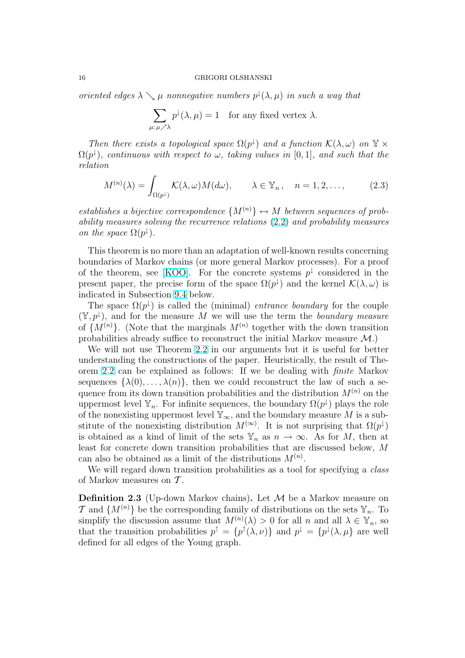<span id="page-15-0"></span>oriented edges  $\lambda \searrow \mu$  nonnegative numbers  $p^{\downarrow}(\lambda, \mu)$  in such a way that

$$
\sum_{\mu:\,\mu\nearrow\lambda}p^{\downarrow}(\lambda,\mu)=1\quad\text{for any fixed vertex }\lambda.
$$

Then there exists a topological space  $\Omega(p^{\downarrow})$  and a function  $\mathcal{K}(\lambda,\omega)$  on  $\mathbb{Y} \times$  $\Omega(p^{\downarrow})$ , continuous with respect to  $\omega$ , taking values in [0,1], and such that the relation

$$
M^{(n)}(\lambda) = \int_{\Omega(p^{\downarrow})} \mathcal{K}(\lambda, \omega) M(d\omega), \qquad \lambda \in \mathbb{Y}_n, \quad n = 1, 2, \dots,
$$
 (2.3)

establishes a bijective correspondence  $\{M^{(n)}\}\leftrightarrow M$  between sequences of probability measures solving the recurrence relations (2.2) and probability measures on the space  $\Omega(p^{\downarrow})$ .

This theorem is no more than an adaptation of well-known results concerning boundaries of Markov chains (or more general M[arko](#page-14-0)v processes). For a proof of the theorem, see [KOO]. For the concrete systems  $p^{\downarrow}$  considered in the present paper, the precise form of the space  $\Omega(p^{\downarrow})$  and the kernel  $\mathcal{K}(\lambda,\omega)$  is indicated in Subsection 9.4 below.

The space  $\Omega(p^{\downarrow})$  is called the (minimal) *entrance boundary* for the couple  $(\mathbb{Y}, p^{\downarrow})$ , and for the [measur](#page-61-0)e M we will use the term the boundary measure of  $\{M^{(n)}\}.$  (Note that the marginals  $M^{(n)}$  together with the down transition probabilities already su[ffice](#page-53-0) to reconstruct the initial Markov measure  $\mathcal{M}$ .)

We will not use Theorem 2.2 in our arguments but it is useful for better understanding the constructions of the paper. Heuristically, the result of Theorem 2.2 can be explained as follows: If we be dealing with finite Markov sequences  $\{\lambda(0), \ldots, \lambda(n)\}\,$ , then we could reconstruct the law of such a sequence from its down transit[ion p](#page-14-0)robabilities and the distribution  $M^{(n)}$  on the uppermost level  $\mathbb{Y}_n$ . For infinite sequences, the boundary  $\Omega(p^{\downarrow})$  plays the role of the [non](#page-14-0)existing uppermost level  $\mathbb{Y}_{\infty}$ , and the boundary measure M is a substitute of the nonexisting distribution  $M^{(\infty)}$ . It is not surprising that  $\Omega(p^{\downarrow})$ is obtained as a kind of limit of the sets  $\mathbb{Y}_n$  as  $n \to \infty$ . As for M, then at least for concrete down transition probabilities that are discussed below, M can also be obtained as a limit of the distributions  $M^{(n)}$ .

We will regard down transition probabilities as a tool for specifying a *class* of Markov measures on  $\mathcal T$ .

**Definition 2.3** (Up-down Markov chains). Let  $M$  be a Markov measure on  $\mathcal{T}$  and  $\{M^{(n)}\}$  be the corresponding family of distributions on the sets  $\mathbb{Y}_n$ . To simplify the discussion assume that  $M^{(n)}(\lambda) > 0$  for all  $n$  and all  $\lambda \in \mathbb{Y}_n$ , so that the transition probabilities  $p^{\uparrow} = \{p^{\uparrow}(\lambda, \nu)\}\$  and  $p^{\downarrow} = \{p^{\downarrow}(\lambda, \mu)\}\$  are well defined for all edges of the Young graph.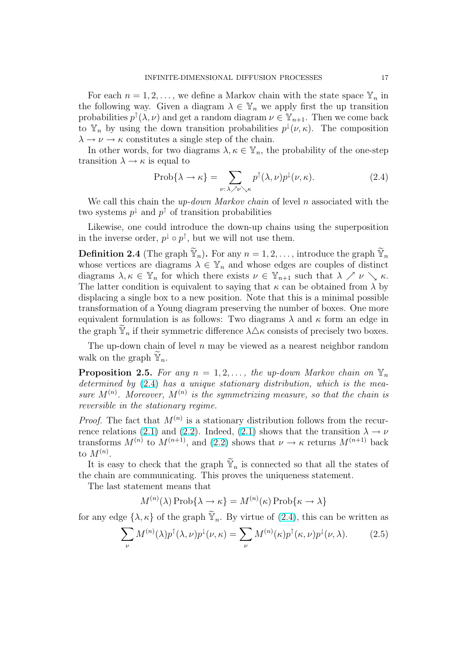<span id="page-16-0"></span>For each  $n = 1, 2, \ldots$ , we define a Markov chain with the state space  $\mathbb{Y}_n$  in the following way. Given a diagram  $\lambda \in \mathbb{Y}_n$  we apply first the up transition probabilities  $p^{\uparrow}(\lambda, \nu)$  and get a random diagram  $\nu \in \mathbb{Y}_{n+1}$ . Then we come back to  $\mathbb{Y}_n$  by using the down transition probabilities  $p^{\downarrow}(\nu,\kappa)$ . The composition  $\lambda \to \nu \to \kappa$  constitutes a single step of the chain.

In other words, for two diagrams  $\lambda, \kappa \in \mathbb{Y}_n$ , the probability of the one-step transition  $\lambda \to \kappa$  is equal to

$$
\text{Prob}\{\lambda \to \kappa\} = \sum_{\nu:\,\lambda \nearrow \nu \searrow \kappa} p^{\uparrow}(\lambda,\nu) p^{\downarrow}(\nu,\kappa). \tag{2.4}
$$

We call this chain the  $up-down$  Markov chain of level n associated with the two systems  $p^{\downarrow}$  and  $p^{\uparrow}$  of transition probabilities

Likewise, one could introduce the down-up chains using the superposition in the inverse order,  $p^{\downarrow} \circ p^{\uparrow}$ , but we will not use them.

**Definition 2.4** (The graph  $\widetilde{\mathbb{Y}}_n$ ). For any  $n = 1, 2, \ldots$ , introduce the graph  $\widetilde{\mathbb{Y}}_n$ whose vertices are diagrams  $\lambda \in \mathbb{Y}_n$  and whose edges are couples of distinct diagrams  $\lambda, \kappa \in \mathbb{Y}_n$  for which there exists  $\nu \in \mathbb{Y}_{n+1}$  such that  $\lambda \nearrow \nu \searrow \kappa$ . The latter condition is equivalent to saying that  $\kappa$  can be obtained from  $\lambda$  by displacing a single box to a new position. Note that this is a minimal possible transformation of a Young diagram preserving the number of boxes. One more equivalent formulation is as follows: Two diagrams  $\lambda$  and  $\kappa$  form an edge in the graph  $\mathbb{Y}_n$  if their symmetric difference  $\lambda \Delta \kappa$  consists of precisely two boxes.

The up-down chain of level  $n$  may be viewed as a nearest neighbor random walk on the graph  $\mathbb{Y}_n$ .

**Proposition 2.5.** For any  $n = 1, 2, \ldots$ , the up-down Markov chain on  $\mathbb{Y}_n$ determined by  $(2.4)$  has a unique stationary distribution, which is the measure  $M^{(n)}$ . Moreover,  $M^{(n)}$  is the symmetrizing measure, so that the chain is reversible in the stationary regime.

*Proof.* The fact that  $M^{(n)}$  is a stationary distribution follows from the recurrence relations (2.1) and (2.2). Indeed, (2.1) shows that the transition  $\lambda \to \nu$ transforms  $M^{(n)}$  to  $M^{(n+1)}$ , and (2.2) shows that  $\nu \to \kappa$  returns  $M^{(n+1)}$  back to  $M^{(n)}$ .

It is easy to check that the graph  $\widetilde{Y}_n$  is connected so that all the states of the chain are co[mm](#page-14-0)unicat[ing.](#page-14-0) Th[is p](#page-14-0)rov[es t](#page-14-0)he uniqueness statement.

The last statement means that

$$
M^{(n)}(\lambda) \operatorname{Prob}\{\lambda \to \kappa\} = M^{(n)}(\kappa) \operatorname{Prob}\{\kappa \to \lambda\}
$$

for any edge  $\{\lambda, \kappa\}$  of the graph  $\widetilde{\mathbb{Y}}_n$ . By virtue of  $(2.4)$ , this can be written as

$$
\sum_{\nu} M^{(n)}(\lambda) p^{\dagger}(\lambda, \nu) p^{\dagger}(\nu, \kappa) = \sum_{\nu} M^{(n)}(\kappa) p^{\dagger}(\kappa, \nu) p^{\dagger}(\nu, \lambda).
$$
 (2.5)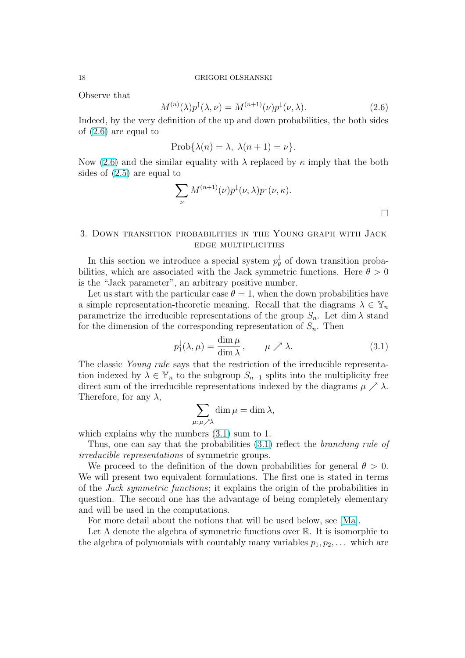<span id="page-17-0"></span>Observe that

$$
M^{(n)}(\lambda)p^{\uparrow}(\lambda,\nu) = M^{(n+1)}(\nu)p^{\downarrow}(\nu,\lambda). \tag{2.6}
$$

Indeed, by the very definition of the up and down probabilities, the both sides of (2.6) are equal to

$$
Prob{\lambda(n) = \lambda, \ \lambda(n+1) = \nu}.
$$

Now (2.6) and the similar equality with  $\lambda$  replaced by  $\kappa$  imply that the both sides of (2.5) are equal to

$$
\sum_{\nu} M^{(n+1)}(\nu) p^{\downarrow}(\nu,\lambda) p^{\downarrow}(\nu,\kappa).
$$

# 3. Down transition probabilities in the Young graph with Jack edge multiplicities

In this section we introduce a special system  $p_{\theta}^{\downarrow}$  $\frac{1}{\theta}$  of down transition probabilities, which are associated with the Jack symmetric functions. Here  $\theta > 0$ is the "Jack parameter", an arbitrary positive number.

Let us start with the particular case  $\theta = 1$ , when the down probabilities have a simple representation-theoretic meaning. Recall that the diagrams  $\lambda \in \mathbb{Y}_n$ parametrize the irreducible representations of the group  $S_n$ . Let dim  $\lambda$  stand for the dimension of the corresponding representation of  $S_n$ . Then

$$
p_1^{\downarrow}(\lambda,\mu) = \frac{\dim \mu}{\dim \lambda}, \qquad \mu \nearrow \lambda. \tag{3.1}
$$

The classic Young rule says that the restriction of the irreducible representation indexed by  $\lambda \in \mathbb{Y}_n$  to the subgroup  $S_{n-1}$  splits into the multiplicity free direct sum of the irreducible representations indexed by the diagrams  $\mu \nearrow \lambda$ . Therefore, for any  $\lambda$ ,

$$
\sum_{\mu:\,\mu\nearrow\lambda}\dim\mu=\dim\lambda,
$$

which explains why the numbers  $(3.1)$  sum to 1.

Thus, one can say that the probabilities (3.1) reflect the *branching rule of* irreducible representations of symmetric groups.

We proceed to the definition of the down probabilities for general  $\theta > 0$ . We will present two equivalent formulations. The first one is stated in terms of the Jack symmetric functions; it explains the origin of the probabilities in question. The second one has the advantage of being completely elementary and will be used in the computations.

For more detail about the notions that will be used below, see [Ma].

Let  $\Lambda$  denote the algebra of symmetric functions over  $\mathbb R$ . It is isomorphic to the algebra of polynomials with countably many variables  $p_1, p_2, \ldots$  which are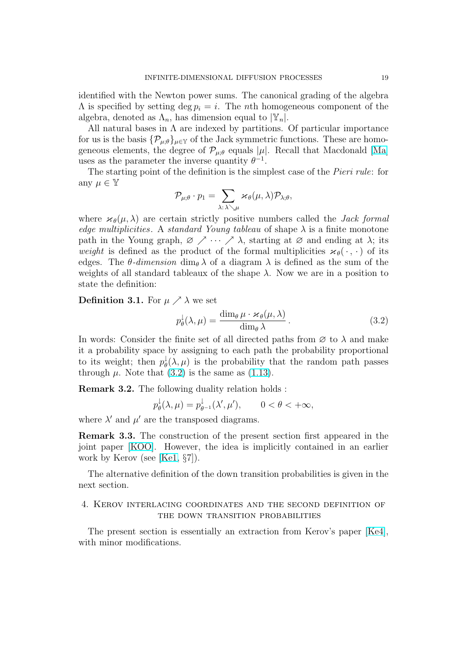<span id="page-18-0"></span>identified with the Newton power sums. The canonical grading of the algebra  $\Lambda$  is specified by setting deg  $p_i = i$ . The *n*th homogeneous component of the algebra, denoted as  $\Lambda_n$ , has dimension equal to  $|\mathbb{Y}_n|$ .

All natural bases in  $\Lambda$  are indexed by partitions. Of particular importance for us is the basis  $\{\mathcal{P}_{\mu:\theta}\}_{{\mu\in\mathbb{Y}}}$  of the Jack symmetric functions. These are homogeneous elements, the degree of  $\mathcal{P}_{\mu;\theta}$  equals  $|\mu|$ . Recall that Macdonald [Ma] uses as the parameter the inverse quantity  $\theta^{-1}$ .

The starting point of the definition is the simplest case of the *Pieri rule*: for any  $\mu \in \mathbb{Y}$  $\overline{\phantom{a}}$ 

$$
\mathcal{P}_{\mu;\theta} \cdot p_1 = \sum_{\lambda: \, \lambda \searrow \mu} \varkappa_\theta(\mu, \lambda) \mathcal{P}_{\lambda;\theta},
$$

where  $\varkappa_{\theta}(\mu, \lambda)$  are certain strictly positive numbers called the *Jack formal* edge multiplicities. A standard Young tableau of shape  $\lambda$  is a finite monotone path in the Young graph,  $\varnothing \nearrow \cdots \nearrow \lambda$ , starting at  $\varnothing$  and ending at  $\lambda$ ; its weight is defined as the product of the formal multiplicities  $\varkappa_{\theta}(\cdot, \cdot)$  of its edges. The  $\theta$ -dimension dim<sub> $\theta$ </sub>  $\lambda$  of a diagram  $\lambda$  is defined as the sum of the weights of all standard tableaux of the shape  $\lambda$ . Now we are in a position to state the definition:

**Definition 3.1.** For  $\mu \nearrow \lambda$  we set

$$
p_{\theta}^{\downarrow}(\lambda,\mu) = \frac{\dim_{\theta}\mu \cdot \varkappa_{\theta}(\mu,\lambda)}{\dim_{\theta}\lambda}.
$$
 (3.2)

In words: Consider the finite set of all directed paths from  $\varnothing$  to  $\lambda$  and make it a probability space by assigning to each path the probability proportional to its weight; then  $p_{\theta}^{\downarrow}$  $\phi_{\theta}^{\downarrow}(\lambda,\mu)$  is the probability that the random path passes through  $\mu$ . Note that (3.2) is the same as (1.13).

Remark 3.2. The following duality relation holds :

$$
p_{\theta}^{\downarrow}(\lambda,\mu) = p_{\theta^{-1}}^{\downarrow}(\lambda',\mu'), \qquad 0 < \theta < +\infty,
$$

where  $\lambda'$  and  $\mu'$  are the transposed diagra[ms.](#page-10-0)

Remark 3.3. The construction of the present section first appeared in the joint paper [KOO]. However, the idea is implicitly contained in an earlier work by Kerov (see [Ke1, §7]).

The alternative definition of the down transition probabilities is given in the next section.

### 4. Kerov interl[acing](#page-61-0) coordinates and the second definition of the down transition probabilities

The present section is essentially an extraction from Kerov's paper [Ke4], with minor modifications.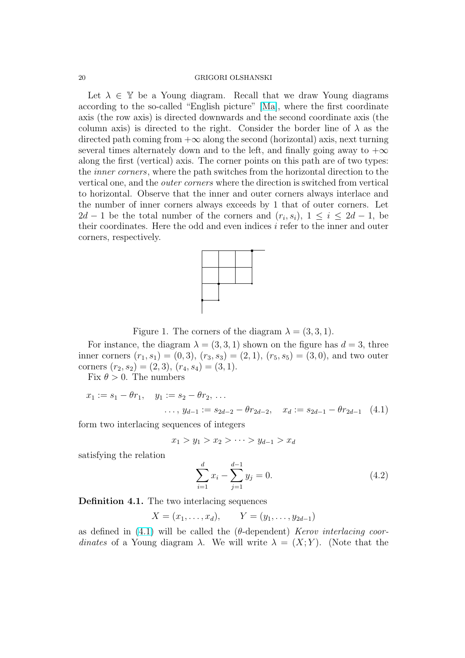#### <span id="page-19-0"></span>20 GRIGORI OLSHANSKI

Let  $\lambda \in \mathbb{Y}$  be a Young diagram. Recall that we draw Young diagrams according to the so-called "English picture" [Ma], where the first coordinate axis (the row axis) is directed downwards and the second coordinate axis (the column axis) is directed to the right. Consider the border line of  $\lambda$  as the directed path coming from  $+\infty$  along the second (horizontal) axis, next turning several times alternately down and to the left[, an](#page-61-0)d finally going away to  $+\infty$ along the first (vertical) axis. The corner points on this path are of two types: the inner corners, where the path switches from the horizontal direction to the vertical one, and the outer corners where the direction is switched from vertical to horizontal. Observe that the inner and outer corners always interlace and the number of inner corners always exceeds by 1 that of outer corners. Let  $2d-1$  be the total number of the corners and  $(r_i, s_i)$ ,  $1 \leq i \leq 2d-1$ , be their coordinates. Here the odd and even indices  $i$  refer to the inner and outer corners, respectively.



Figure 1. The corners of the diagram  $\lambda = (3, 3, 1)$ .

For instance, the diagram  $\lambda = (3, 3, 1)$  shown on the figure has  $d = 3$ , three inner corners  $(r_1, s_1) = (0, 3), (r_3, s_3) = (2, 1), (r_5, s_5) = (3, 0),$  and two outer corners  $(r_2, s_2) = (2, 3), (r_4, s_4) = (3, 1).$ 

Fix  $\theta > 0$ . The numbers

$$
x_1 := s_1 - \theta r_1, \quad y_1 := s_2 - \theta r_2, \dots
$$
  
 
$$
\dots, y_{d-1} := s_{2d-2} - \theta r_{2d-2}, \quad x_d := s_{2d-1} - \theta r_{2d-1} \quad (4.1)
$$

form two interlacing sequences of integers

$$
x_1 > y_1 > x_2 > \cdots > y_{d-1} > x_d
$$

satisfying the relation

$$
\sum_{i=1}^{d} x_i - \sum_{j=1}^{d-1} y_j = 0.
$$
\n(4.2)

Definition 4.1. The two interlacing sequences

$$
X = (x_1, ..., x_d),
$$
  $Y = (y_1, ..., y_{2d-1})$ 

as defined in (4.1) will be called the ( $\theta$ -dependent) *Kerov interlacing coor*dinates of a Young diagram  $\lambda$ . We will write  $\lambda = (X; Y)$ . (Note that the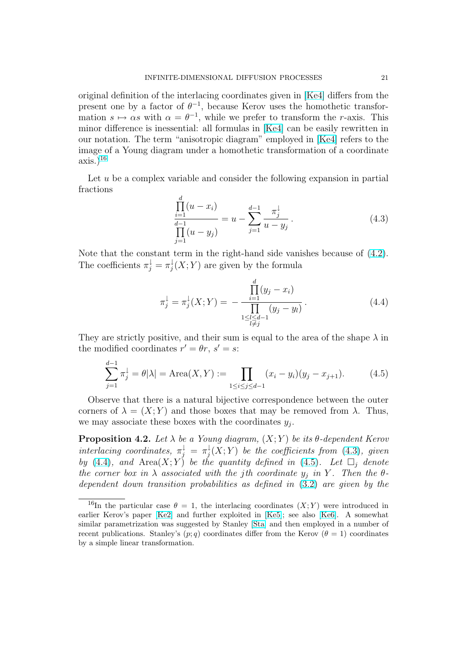<span id="page-20-0"></span>original definition of the interlacing coordinates given in [Ke4] differs from the present one by a factor of  $\theta^{-1}$ , because Kerov uses the homothetic transformation  $s \mapsto \alpha s$  with  $\alpha = \theta^{-1}$ , while we prefer to transform the r-axis. This minor difference is inessential: all formulas in [Ke4] can be easily rewritten in our notation. The term "anisotropic diagram" employed [in \[K](#page-61-0)e4] refers to the image of a Young diagram under a homothetic transformation of a coordinate  $axis.)^{16}$ 

Let  $u$  be a complex variable and consider the following ex[pans](#page-61-0)ion in partial fractions

$$
\frac{\prod_{i=1}^{d} (u - x_i)}{\prod_{j=1}^{d-1} (u - y_j)} = u - \sum_{j=1}^{d-1} \frac{\pi_j^{\downarrow}}{u - y_j}.
$$
\n(4.3)

Note that the constant term in the right-hand side vanishes because of (4.2). The coefficients  $\pi_j^{\downarrow} = \pi_j^{\downarrow}$  $j(X;Y)$  are given by the formula

$$
\pi_j^{\downarrow} = \pi_j^{\downarrow}(X;Y) = -\frac{\prod_{i=1}^d (y_j - x_i)}{\prod_{\substack{1 \le l \le d-1 \\ l \ne j}} (y_j - y_l)}.
$$
\n(4.4)

They are strictly positive, and their sum is equal to the area of the shape  $\lambda$  in the modified coordinates  $r' = \theta r$ ,  $s' = s$ :

$$
\sum_{j=1}^{d-1} \pi_j^{\downarrow} = \theta |\lambda| = \text{Area}(X, Y) := \prod_{1 \le i \le j \le d-1} (x_i - y_i)(y_j - x_{j+1}). \tag{4.5}
$$

Observe that there is a natural bijective correspondence between the outer corners of  $\lambda = (X; Y)$  and those boxes that may be removed from  $\lambda$ . Thus, we may associate these boxes with the coordinates  $y_j$ .

**Proposition 4.2.** Let  $\lambda$  be a Young diagram,  $(X;Y)$  be its  $\theta$ -dependent Kerov interlacing coordinates,  $\pi_j^{\downarrow} = \pi_j^{\downarrow}$  $f_j^{\downarrow}(X;Y)$  be the coefficients from  $(4.3)$ , given by (4.4), and Area $(X; Y)$  be the quantity defined in (4.5). Let  $\Box_j$  denote the corner box in  $\lambda$  associated with the jth coordinate  $y_i$  in Y. Then the  $\theta$ dependent down transition probabilities as defined in (3.2) are given by the

<sup>&</sup>lt;sup>16</sup>In the particular case  $\theta = 1$ , the interlacing coordinates  $(X; Y)$  were introduced in earlier Kerov's paper [Ke2] and further exploited in [Ke5]; see also [Ke6]. A somewhat similar parametrization was suggested by Stanley [Sta] and then [emp](#page-18-0)loyed in a number of recent publications. Stanley's  $(p; q)$  coordinates differ from the Kerov  $(\theta = 1)$  coordinates by a simple linear transformation.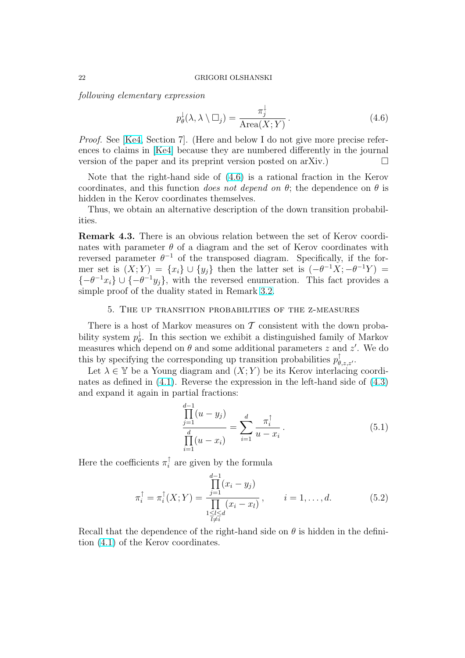<span id="page-21-0"></span>following elementary expression

$$
p_{\theta}^{\downarrow}(\lambda, \lambda \setminus \Box_j) = \frac{\pi_j^{\downarrow}}{\text{Area}(X; Y)}.
$$
\n(4.6)

Proof. See [Ke4, Section 7]. (Here and below I do not give more precise references to claims in [Ke4] because they are numbered differently in the journal version of the paper and its preprint version posted on arXiv.)  $\Box$ 

Note tha[t the](#page-61-0) right-hand side of (4.6) is a rational fraction in the Kerov coordinates, and t[his fu](#page-61-0)nction does not depend on  $\theta$ ; the dependence on  $\theta$  is hidden in the Kerov coordinates themselves.

Thus, we obtain an alternative description of the down transition probabilities.

Remark 4.3. There is an obvious relation between the set of Kerov coordinates with parameter  $\theta$  of a diagram and the set of Kerov coordinates with reversed parameter  $\theta^{-1}$  of the transposed diagram. Specifically, if the former set is  $(X;Y) = \{x_i\} \cup \{y_j\}$  then the latter set is  $(-\theta^{-1}X; -\theta^{-1}Y) =$  $\{-\theta^{-1}x_i\} \cup \{-\theta^{-1}y_j\}$ , with the reversed enumeration. This fact provides a simple proof of the duality stated in Remark 3.2.

### 5. The up transition probabilities of the z-measures

There is a host of Markov measures on  $\mathcal T$  [cons](#page-18-0)istent with the down probability system  $p_{\theta}^{\downarrow}$  $\phi$ . In this section we exhibit a distinguished family of Markov measures which depend on  $\theta$  and some additional parameters z and z'. We do this by specifying the corresponding up transition probabilities  $p^{\uparrow}_{\theta, z, z'}$ .

Let  $\lambda \in \mathbb{Y}$  be a Young diagram and  $(X; Y)$  be its Kerov interlacing coordinates as defined in (4.1). Reverse the expression in the left-hand side of (4.3) and expand it again in partial fractions:

$$
\frac{\prod_{j=1}^{d-1} (u - y_j)}{\prod_{i=1}^{d} (u - x_i)} = \sum_{i=1}^{d} \frac{\pi_i^{\uparrow}}{u - x_i}.
$$
\n(5.1)

Here the coefficients  $\pi_i^{\uparrow}$  $i_i$  are given by the formula

$$
\pi_i^{\uparrow} = \pi_i^{\uparrow}(X;Y) = \frac{\prod_{j=1}^{d-1} (x_i - y_j)}{\prod_{\substack{1 \le l \le d \\ l \ne i}} (x_i - x_l)}, \qquad i = 1, \dots, d. \tag{5.2}
$$

Recall that the dependence of the right-hand side on  $\theta$  is hidden in the definition (4.1) of the Kerov coordinates.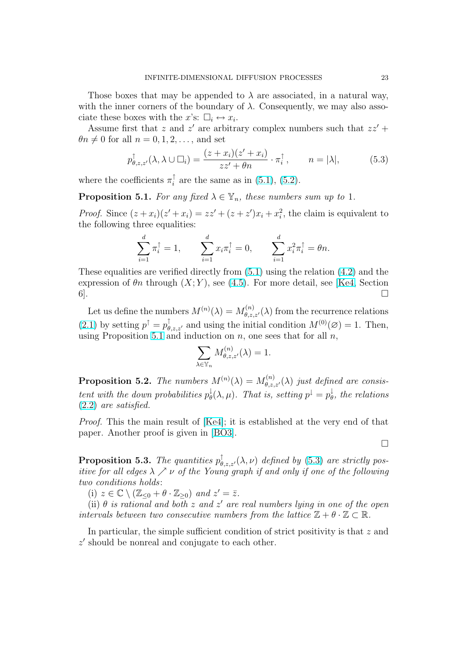<span id="page-22-0"></span>Those boxes that may be appended to  $\lambda$  are associated, in a natural way, with the inner corners of the boundary of  $\lambda$ . Consequently, we may also associate these boxes with the x's:  $\square_i \leftrightarrow x_i$ .

Assume first that z and z' are arbitrary complex numbers such that  $zz'$  +  $\theta n \neq 0$  for all  $n = 0, 1, 2, \dots$ , and set

$$
p^{\uparrow}_{\theta,z,z'}(\lambda,\lambda \cup \square_i) = \frac{(z+x_i)(z'+x_i)}{zz'+\theta n} \cdot \pi_i^{\uparrow}, \qquad n = |\lambda|,
$$
 (5.3)

where the coefficients  $\pi_i^{\uparrow}$  $i_{i}$  are the same as in (5.1), (5.2).

**Proposition 5.1.** For any fixed  $\lambda \in \mathbb{Y}_n$ , these numbers sum up to 1.

*Proof.* Since  $(z+x_i)(z'+x_i) = zz' + (z+z')x_i + x_i^2$  $(z+x_i)(z'+x_i) = zz' + (z+z')x_i + x_i^2$  $(z+x_i)(z'+x_i) = zz' + (z+z')x_i + x_i^2$ [, th](#page-21-0)e claim is equivalent to the following three equalities:

$$
\sum_{i=1}^d \pi_i^{\uparrow} = 1, \qquad \sum_{i=1}^d x_i \pi_i^{\uparrow} = 0, \qquad \sum_{i=1}^d x_i^2 \pi_i^{\uparrow} = \theta n.
$$

These equalities are verified directly from  $(5.1)$  using the relation  $(4.2)$  and the expression of  $\theta_n$  through  $(X; Y)$ , see (4.5). For more detail, see [Ke4, Section  $6$ ].

Let us define the numbers  $M^{(n)}(\lambda) = M^{(n)}_{\theta, z, z'}(\lambda)$  from the recurre[nce](#page-19-0) relations (2.1) by setting  $p^{\uparrow} = p^{\uparrow}_{\theta, z, z'}$  and using [the i](#page-20-0)nitial condition  $M^{(0)}(\varnothing) = 1$  $M^{(0)}(\varnothing) = 1$ . Then, using Proposition 5.1 and induction on  $n$ , one sees that for all  $n$ ,

$$
\sum_{\lambda \in \mathbb{Y}_n} M^{(n)}_{\theta, z, z'}(\lambda) = 1.
$$

**Proposition 5.2.** The numbers  $M^{(n)}(\lambda) = M^{(n)}_{\theta, z, z'}(\lambda)$  just defined are consistent with the down probabilities  $p_{\theta}^{\downarrow}$  $\frac{1}{\theta}(\lambda,\mu)$ . That is, setting  $p^{\downarrow}=p^{\downarrow}_{\theta}$  $\frac{1}{\theta}$ , the relations (2.2) are satisfied.

Proof. This the main result of [Ke4]; it is established at the very end of that paper. Another proof is given in [BO3].

**Proposition 5.3.** The quantiti[es](#page-61-0)  $p^{\uparrow}_{\theta, z, z'}(\lambda, \nu)$  defined by (5.3) are strictly positive for all edges  $\lambda \nearrow \nu$  of the Y[oung g](#page-60-0)raph if and only if one of the following two conditions holds:

(i)  $z \in \mathbb{C} \setminus (\mathbb{Z}_{\leq 0} + \theta \cdot \mathbb{Z}_{\geq 0})$  and  $z' = \overline{z}$ .

(ii)  $\theta$  is rational and both z and z' are real numbers lying in one of the open intervals between two consecutive numbers from the lattice  $\mathbb{Z} + \theta \cdot \mathbb{Z} \subset \mathbb{R}$ .

In particular, the simple sufficient condition of strict positivity is that z and  $z'$  should be nonreal and conjugate to each other.

 $\Box$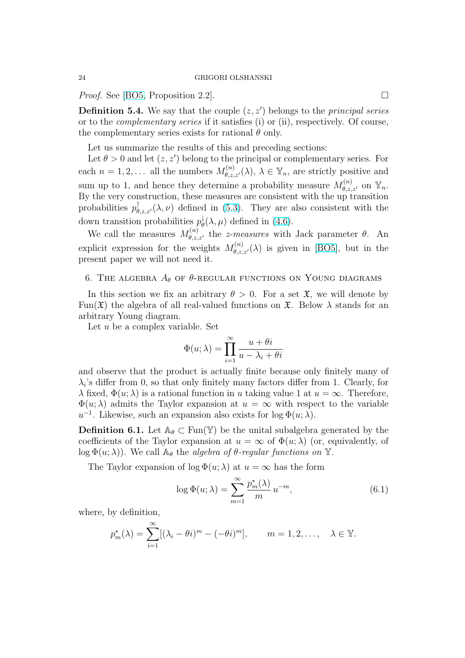<span id="page-23-0"></span>*Proof.* See [BO5, Proposition 2.2].  $\Box$ 

**Definition 5.4.** We say that the couple  $(z, z')$  belongs to the *principal series* or to the complementary series if it satisfies (i) or (ii), respectively. Of course, the comple[menta](#page-60-0)ry series exists for rational  $\theta$  only.

Let us summarize the results of this and preceding sections:

Let  $\theta > 0$  and let  $(z, z')$  belong to the principal or complementary series. For each  $n = 1, 2, \ldots$  all the numbers  $M_{\theta, z, z'}^{(n)}(\lambda), \lambda \in \mathbb{Y}_n$ , are strictly positive and sum up to 1, and hence they determine a probability measure  $M_{\theta,z,z'}^{(n)}$  on  $\mathbb{Y}_n$ . By the very construction, these measures are consistent with the up transition probabilities  $p^{\uparrow}_{\theta, z, z'}(\lambda, \nu)$  defined in (5.3). They are also consistent with the down transition probabilities  $p_{\theta}^{\downarrow}$  $\phi_{\theta}^{\downarrow}(\lambda,\mu)$  defined in (4.6).

We call the measures  $M_{\theta,z,z'}^{(n)}$  the *z-measures* with Jack parameter  $\theta$ . An explicit expression for the weights  $M_{\theta,z,z'}^{(n)}(\lambda)$  $M_{\theta,z,z'}^{(n)}(\lambda)$  is given in [BO5], but in the present paper we will not need it.

### 6. THE ALGEBRA  $A_{\theta}$  of  $\theta$ -regular functions on Young diagrams

In this section we fix an arbitrary  $\theta > 0$ . For a set  $\mathfrak{X}$ , [we w](#page-60-0)ill denote by Fun( $\mathfrak{X}$ ) the algebra of all real-valued functions on  $\mathfrak{X}$ . Below  $\lambda$  stands for an arbitrary Young diagram.

Let  $u$  be a complex variable. Set

$$
\Phi(u; \lambda) = \prod_{i=1}^{\infty} \frac{u + \theta i}{u - \lambda_i + \theta i}
$$

and observe that the product is actually finite because only finitely many of  $\lambda_i$ 's differ from 0, so that only finitely many factors differ from 1. Clearly, for  $\lambda$  fixed,  $\Phi(u; \lambda)$  is a rational function in u taking value 1 at  $u = \infty$ . Therefore,  $\Phi(u; \lambda)$  admits the Taylor expansion at  $u = \infty$  with respect to the variable  $u^{-1}$ . Likewise, such an expansion also exists for  $\log \Phi(u; \lambda)$ .

**Definition 6.1.** Let  $\mathbb{A}_{\theta} \subset \text{Fun}(\mathbb{Y})$  be the unital subalgebra generated by the coefficients of the Taylor expansion at  $u = \infty$  of  $\Phi(u; \lambda)$  (or, equivalently, of  $\log \Phi(u; \lambda)$ . We call  $\mathbb{A}_{\theta}$  the *algebra of*  $\theta$ *-regular functions on* Y.

The Taylor expansion of  $\log \Phi(u; \lambda)$  at  $u = \infty$  has the form

$$
\log \Phi(u; \lambda) = \sum_{m=1}^{\infty} \frac{p_m^*(\lambda)}{m} u^{-m}, \tag{6.1}
$$

where, by definition,

$$
p_m^*(\lambda) = \sum_{i=1}^{\infty} [(\lambda_i - \theta i)^m - (-\theta i)^m], \qquad m = 1, 2, \dots, \quad \lambda \in \mathbb{Y}.
$$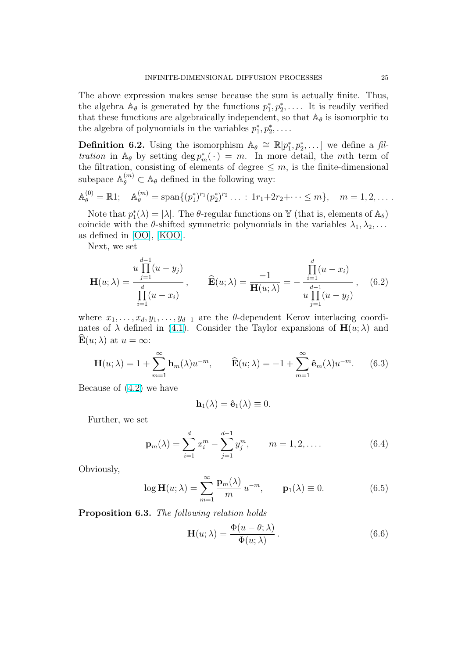<span id="page-24-0"></span>The above expression makes sense because the sum is actually finite. Thus, the algebra  $\mathbb{A}_{\theta}$  is generated by the functions  $p_1^*, p_2^*, \ldots$  It is readily verified that these functions are algebraically independent, so that  $A_{\theta}$  is isomorphic to the algebra of polynomials in the variables  $p_1^*, p_2^*, \ldots$ .

**Definition 6.2.** Using the isomorphism  $\mathbb{A}_{\theta} \cong \mathbb{R}[p_1^*, p_2^*, \dots]$  we define a filtration in  $\mathbb{A}_{\theta}$  by setting  $\deg p_m^*(\cdot) = m$ . In more detail, the mth term of the filtration, consisting of elements of degree  $\leq m$ , is the finite-dimensional subspace  $\mathbb{A}_{\theta}^{(m)} \subset \mathbb{A}_{\theta}$  defined in the following way:

$$
\mathbb{A}_{\theta}^{(0)} = \mathbb{R}1; \quad \mathbb{A}_{\theta}^{(m)} = \text{span}\{(p_1^*)^{r_1}(p_2^*)^{r_2}\ldots \,:\, 1r_1 + 2r_2 + \cdots \leq m\}, \quad m = 1, 2, \ldots.
$$

Note that  $p_1^*(\lambda) = |\lambda|$ . The  $\theta$ -regular functions on Y (that is, elements of  $\mathbb{A}_{\theta}$ ) coincide with the  $\theta$ -shifted symmetric polynomials in the variables  $\lambda_1, \lambda_2, \ldots$ as defined in [OO], [KOO].

Next, we set

$$
\mathbf{H}(u;\lambda) = \frac{u \prod_{j=1}^{d-1} (u - y_j)}{\prod_{i=1}^{d} (u - x_i)}, \qquad \widehat{\mathbf{E}}(u;\lambda) = \frac{-1}{\mathbf{H}(u;\lambda)} = -\frac{\prod_{i=1}^{d} (u - x_i)}{u \prod_{j=1}^{d-1} (u - y_j)}, \qquad (6.2)
$$

where  $x_1, \ldots, x_d, y_1, \ldots, y_{d-1}$  are the  $\theta$ -dependent Kerov interlacing coordinates of  $\lambda$  defined in (4.1). Consider the Taylor expansions of  $H(u; \lambda)$  and  $\mathbf{E}(u; \lambda)$  at  $u = \infty$ :

$$
\mathbf{H}(u;\lambda) = 1 + \sum_{m=1}^{\infty} \mathbf{h}_m(\lambda) u^{-m}, \qquad \widehat{\mathbf{E}}(u;\lambda) = -1 + \sum_{m=1}^{\infty} \widehat{\mathbf{e}}_m(\lambda) u^{-m}. \tag{6.3}
$$

Because of (4.2) we have

$$
\mathbf{h}_1(\lambda)=\mathbf{\hat{e}}_1(\lambda)\equiv 0.
$$

Further, [we se](#page-19-0)t

$$
\mathbf{p}_{m}(\lambda) = \sum_{i=1}^{d} x_{i}^{m} - \sum_{j=1}^{d-1} y_{j}^{m}, \qquad m = 1, 2, .... \qquad (6.4)
$$

Obviously,

$$
\log \mathbf{H}(u; \lambda) = \sum_{m=1}^{\infty} \frac{\mathbf{p}_m(\lambda)}{m} u^{-m}, \qquad \mathbf{p}_1(\lambda) \equiv 0. \tag{6.5}
$$

Proposition 6.3. The following relation holds

$$
\mathbf{H}(u;\lambda) = \frac{\Phi(u-\theta;\lambda)}{\Phi(u;\lambda)}.
$$
 (6.6)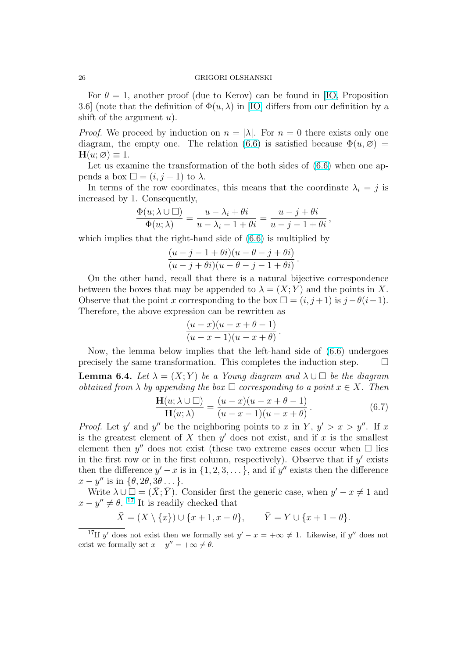<span id="page-25-0"></span>For  $\theta = 1$ , another proof (due to Kerov) can be found in [IO, Proposition 3.6] (note that the definition of  $\Phi(u, \lambda)$  in [IO] differs from our definition by a shift of the argument  $u$ ).

*Proof.* We proceed by induction on  $n = |\lambda|$ . For  $n = 0$  ther[e ex](#page-60-0)ists only one diagram, the empty one. The relation ([6.6\)](#page-60-0) is satisfied because  $\Phi(u, \varnothing)$  =  $H(u; \varnothing) \equiv 1.$ 

Let us examine the transformation of the both sides of  $(6.6)$  when one appends a box  $\Box = (i, j + 1)$  to λ.

In terms of the row coordinates, this [mean](#page-24-0)s that the coordinate  $\lambda_i = j$  is increased by 1. Consequently,

$$
\frac{\Phi(u;\lambda\cup\square)}{\Phi(u;\lambda)}=\frac{u-\lambda_i+\theta i}{u-\lambda_i-1+\theta i}=\frac{u-j+\theta i}{u-j-1+\theta i},
$$

which implies that the right-hand side of  $(6.6)$  is multiplied by

$$
\frac{(u-j-1+\theta i)(u-\theta-j+\theta i)}{(u-j+\theta i)(u-\theta-j-1+\theta i)}
$$

On the other hand, recall that there is [a n](#page-24-0)atural bijective correspondence between the boxes that may be appended to  $\lambda = (X; Y)$  and the points in X. Observe that the point x corresponding to the box  $\square = (i, j+1)$  is  $j - \theta(i-1)$ . Therefore, the above expression can be rewritten as

$$
\frac{(u-x)(u-x+\theta-1)}{(u-x-1)(u-x+\theta)}.
$$

Now, the lemma below implies that the left-hand side of (6.6) undergoes precisely the same transformation. This completes the induction step.  $\Box$ 

**Lemma 6.4.** Let  $\lambda = (X; Y)$  be a Young diagram and  $\lambda \cup \square$  be the diagram obtained from  $\lambda$  by appending the bo[x](#page-24-0)  $\Box$  corresponding to a point  $x \in X$ . Then

$$
\frac{\mathbf{H}(u;\lambda \cup \square)}{\mathbf{H}(u;\lambda)} = \frac{(u-x)(u-x+\theta-1)}{(u-x-1)(u-x+\theta)}.
$$
\n(6.7)

.

*Proof.* Let y' and y'' be the neighboring points to x in Y,  $y' > x > y''$ . If x is the greatest element of  $X$  then  $y'$  does not exist, and if  $x$  is the smallest element then  $y''$  does not exist (these two extreme cases occur when  $\Box$  lies in the first row or in the first column, respectively). Observe that if  $y'$  exists then the difference  $y' - x$  is in  $\{1, 2, 3, \ldots\}$ , and if  $y''$  exists then the difference  $x - y''$  is in  $\{\theta, 2\theta, 3\theta \dots\}.$ 

Write  $\lambda \cup \square = (\bar{X}; \bar{Y})$ . Consider first the generic case, when  $y' - x \neq 1$  and  $x - y'' \neq \theta$ . <sup>17</sup> It is readily checked that

$$
\bar{X} = (X \setminus \{x\}) \cup \{x+1, x-\theta\}, \qquad \bar{Y} = Y \cup \{x+1-\theta\}.
$$

<sup>&</sup>lt;sup>17</sup>If y' does not exist then we formally set  $y' - x = +\infty \neq 1$ . Likewise, if y'' does not exist we formally set  $x - y'' = +\infty \neq \theta$ .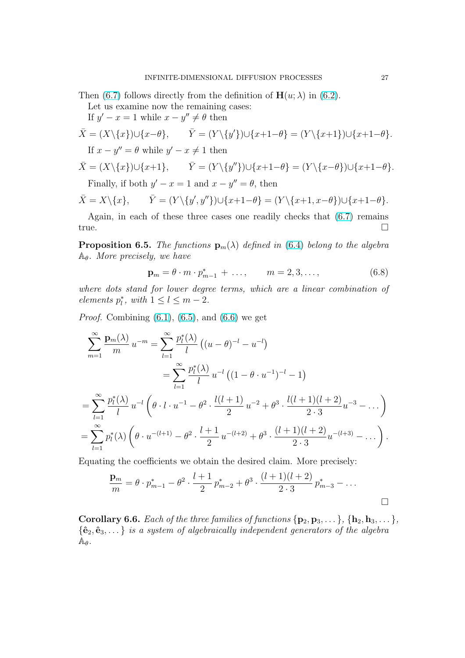<span id="page-26-0"></span>Then (6.7) follows directly from the definition of  $\mathbf{H}(u; \lambda)$  in (6.2).

Let us examine now the remaining cases:

If  $y' - x = 1$  while  $x - y'' \neq \theta$  then

$$
\bar{X} = (X \setminus \{x\}) \cup \{x - \theta\}, \qquad \bar{Y} = (Y \setminus \{y'\}) \cup \{x + 1 - \theta\} = (Y \setminus \{x + 1\}) \cup \{x + 1 - \theta\}.
$$
  
If  $x - y'' = \theta$  while  $y' - x \neq 1$  then  

$$
\bar{X} = (X \setminus \{x\}) \cup \{x + 1\}, \qquad \bar{Y} = (Y \setminus \{y''\}) \cup \{x + 1 - \theta\} = (Y \setminus \{x - \theta\}) \cup \{x + 1 - \theta\}.
$$

Finally, if both  $y' - x = 1$  and  $x - y'' = \theta$ , then

$$
\overline{X} = X \setminus \{x\}, \qquad \overline{Y} = (Y \setminus \{y', y''\}) \cup \{x+1-\theta\} = (Y \setminus \{x+1, x-\theta\}) \cup \{x+1-\theta\}.
$$

Again, in each of these three cases one readily checks that (6.7) remains true.  $\Box$ 

**Proposition 6.5.** The functions  $\mathbf{p}_m(\lambda)$  defined in (6.4) belong to the algebra  $A_{\theta}$ . More precisely, we have

$$
\mathbf{p}_m = \theta \cdot m \cdot p_{m-1}^* + \dots, \qquad m = 2, 3, \dots,
$$
 (6.8)

where dots stand for lower degree terms, which ar[e a](#page-24-0) linear combination of elements  $p_l^*$ , with  $1 \leq l \leq m-2$ .

*Proof.* Combining  $(6.1)$ ,  $(6.5)$ , and  $(6.6)$  we get

$$
\sum_{m=1}^{\infty} \frac{\mathbf{p}_m(\lambda)}{m} u^{-m} = \sum_{l=1}^{\infty} \frac{p_l^*(\lambda)}{l} \left( (u - \theta)^{-l} - u^{-l} \right)
$$
  

$$
= \sum_{l=1}^{\infty} \frac{p_l^*(\lambda)}{l} u^{-l} \left( (1 - \theta \cdot u^{-1})^{-l} - 1 \right)
$$
  

$$
= \sum_{l=1}^{\infty} \frac{p_l^*(\lambda)}{l} u^{-l} \left( \theta \cdot l \cdot u^{-1} - \theta^2 \cdot \frac{l(l+1)}{2} u^{-2} + \theta^3 \cdot \frac{l(l+1)(l+2)}{2 \cdot 3} u^{-3} - \dots \right)
$$
  

$$
= \sum_{l=1}^{\infty} p_l^*(\lambda) \left( \theta \cdot u^{-(l+1)} - \theta^2 \cdot \frac{l+1}{2} u^{-(l+2)} + \theta^3 \cdot \frac{(l+1)(l+2)}{2 \cdot 3} u^{-(l+3)} - \dots \right).
$$

Equating the coefficients we obtain the desired claim. More precisely:

$$
\frac{\mathbf{p}_m}{m} = \theta \cdot p_{m-1}^* - \theta^2 \cdot \frac{l+1}{2} p_{m-2}^* + \theta^3 \cdot \frac{(l+1)(l+2)}{2 \cdot 3} p_{m-3}^* - \dots
$$

Corollary 6.6. Each of the three families of functions  $\{p_2, p_3, \ldots\}$ ,  $\{h_2, h_3, \ldots\}$ ,  ${\hat{e}_2, \hat{e}_3, \ldots}$  is a system of algebraically independent generators of the algebra  $\mathbb{A}_{\theta}$  .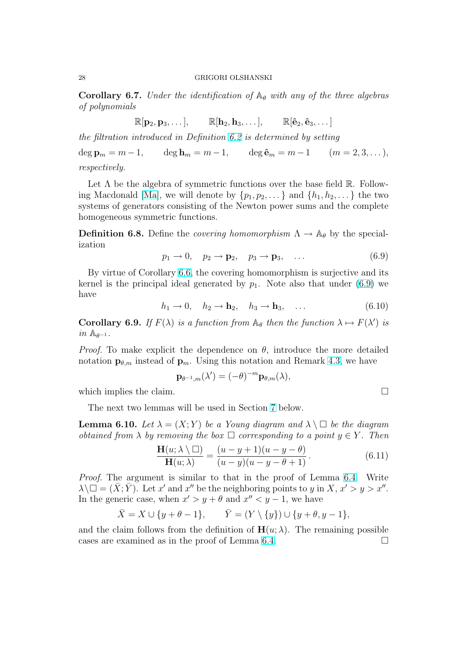<span id="page-27-0"></span>**Corollary 6.7.** Under the identification of  $\mathbb{A}_{\theta}$  with any of the three algebras of polynomials

$$
\mathbb{R}[\mathbf{p}_2, \mathbf{p}_3, \dots], \qquad \mathbb{R}[\mathbf{h}_2, \mathbf{h}_3, \dots], \qquad \mathbb{R}[\hat{\mathbf{e}}_2, \hat{\mathbf{e}}_3, \dots]
$$

the filtration introduced in Definition 6.2 is determined by setting

deg  $\mathbf{p}_m = m - 1$ , deg  $\mathbf{h}_m = m - 1$ , deg  $\hat{\mathbf{e}}_m = m - 1$  ( $m = 2, 3, ...$ ), respectively.

Let  $\Lambda$  be the algebra of symmetric [fun](#page-24-0)ctions over the base field  $\mathbb{R}$ . Following Macdonald [Ma], we will denote by  $\{p_1, p_2, \ldots\}$  and  $\{h_1, h_2, \ldots\}$  the two systems of generators consisting of the Newton power sums and the complete homogeneous symmetric functions.

**[De](#page-61-0)finition 6.8.** Define the *covering homomorphism*  $\Lambda \to \mathbb{A}_{\theta}$  by the specialization

$$
p_1 \to 0, \quad p_2 \to \mathbf{p}_2, \quad p_3 \to \mathbf{p}_3, \quad \dots \tag{6.9}
$$

By virtue of Corollary 6.6, the covering homomorphism is surjective and its kernel is the principal ideal generated by  $p_1$ . Note also that under (6.9) we have

$$
h_1 \to 0, \quad h_2 \to \mathbf{h}_2, \quad h_3 \to \mathbf{h}_3, \quad \dots \tag{6.10}
$$

**Corollary 6.9.** If  $F(\lambda)$  is a function from  $\mathbb{A}_{\theta}$  then the function  $\lambda \mapsto F(\lambda')$  is  $in \mathbb{A}_{\theta^{-1}}$ .

*Proof.* To make explicit the dependence on  $\theta$ , introduce the more detailed notation  $\mathbf{p}_{\theta,m}$  instead of  $\mathbf{p}_m$ . Using this notation and Remark 4.3, we have

$$
\mathbf{p}_{\theta^{-1},m}(\lambda') = (-\theta)^{-m} \mathbf{p}_{\theta,m}(\lambda),
$$

which implies the claim.

The next two lemmas will be used in Section 7 below.

**Lemma 6.10.** Let  $\lambda = (X; Y)$  be a Young diagram and  $\lambda \setminus \Box$  be the diagram obtained from  $\lambda$  by removing the box  $\square$  corresponding to a point  $y \in Y$ . Then

$$
\frac{\mathbf{H}(u;\lambda\setminus\square)}{\mathbf{H}(u;\lambda)} = \frac{(u-y+1)(u-y-\theta)}{(u-y)(u-y-\theta+1)}.
$$
(6.11)

Proof. The argument is similar to that in the proof of Lemma 6.4. Write  $\lambda \setminus \Box = (\bar{X}; \bar{Y})$ . Let x' and x'' be the neighboring points to y in  $X, x' > y > x''$ . In the generic case, when  $x' > y + \theta$  and  $x'' < y - 1$ , we have

$$
\bar{X} = X \cup \{y + \theta - 1\}, \qquad \bar{Y} = (Y \setminus \{y\}) \cup \{y + \theta, y - 1\},
$$

and the claim follows from the definition of  $\mathbf{H}(u; \lambda)$ . The remaining possible cases are examined as in the proof of Lemma 6.4.  $\Box$ 

$$
\sqcup
$$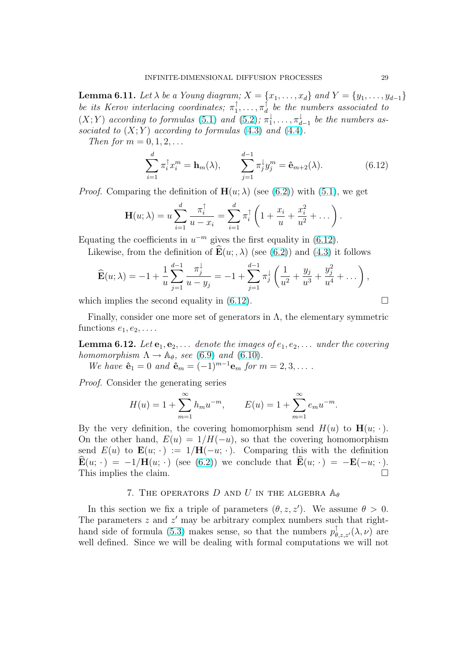<span id="page-28-0"></span>**Lemma 6.11.** Let  $\lambda$  be a Young diagram;  $X = \{x_1, \ldots, x_d\}$  and  $Y = \{y_1, \ldots, y_{d-1}\}\$ be its Kerov interlacing coordinates;  $\pi_1^{\uparrow}$  $\mathbb{1}^{\uparrow}, \ldots, \pi_d^{\uparrow}$  $\begin{bmatrix} 1 \ d \end{bmatrix}$  be the numbers associated to  $(X; Y)$  according to formulas (5.1) and (5.2);  $\pi_1^{\downarrow}$  $\frac{1}{1}, \ldots, \pi_d^{\downarrow}$  $\frac{1}{d-1}$  be the numbers associated to  $(X; Y)$  according to formulas  $(4.3)$  and  $(4.4)$ .

Then for  $m = 0, 1, 2, \ldots$ 

$$
\sum_{i=1}^{d} \pi_i^{\dagger} x_i^m = \mathbf{h}_m(\lambda), \qquad \sum_{j=1}^{d-1} \pi_j^{\dagger} y_j^m = \hat{\mathbf{e}}_{m+2}(\lambda). \tag{6.12}
$$

*Proof.* Comparing the definition of  $\mathbf{H}(u; \lambda)$  (see (6.2)) with (5.1), we get

$$
\mathbf{H}(u; \lambda) = u \sum_{i=1}^{d} \frac{\pi_i^{\uparrow}}{u - x_i} = \sum_{i=1}^{d} \pi_i^{\uparrow} \left( 1 + \frac{x_i}{u} + \frac{x_i^2}{u^2} + \dots \right).
$$

Equating the coefficients in  $u^{-m}$  gives the first equality in (6.12).

Likewise, from the definition of  $\mathbf{E}(u; ,\lambda)$  (see (6.2)) and (4.3) it follows

$$
\widehat{\mathbf{E}}(u;\lambda) = -1 + \frac{1}{u} \sum_{j=1}^{d-1} \frac{\pi_j^{\downarrow}}{u - y_j} = -1 + \sum_{j=1}^{d-1} \pi_j^{\downarrow} \left( \frac{1}{u^2} + \frac{y_j}{u^3} + \frac{y_j^2}{u^4} + \dots \right),
$$

which implies the second equality in  $(6.12)$ .

Finally, consider one more set of generators in  $\Lambda$ , the elementary symmetric functions  $e_1, e_2, \ldots$ .

**Lemma 6.12.** Let  $e_1, e_2, \ldots$  denote the images of  $e_1, e_2, \ldots$  under the covering homomorphism  $\Lambda \rightarrow \mathbb{A}_{\theta}$ , see (6.9) and (6.10).

We have  $\hat{\mathbf{e}}_1 = 0$  and  $\hat{\mathbf{e}}_m = (-1)^{m-1} \mathbf{e}_m$  for  $m = 2, 3, \dots$ .

Proof. Consider the generating series

$$
H(u) = 1 + \sum_{m=1}^{\infty} h_m u^{-m}, \qquad E(u) = 1 + \sum_{m=1}^{\infty} e_m u^{-m}.
$$

By the very definition, the covering homomorphism send  $H(u)$  to  $\mathbf{H}(u; \cdot)$ . On the other hand,  $E(u) = 1/H(-u)$ , so that the covering homomorphism send  $E(u)$  to  $\mathbf{E}(u; \cdot) := 1/\mathbf{H}(-u; \cdot)$ . Comparing this with the definition  $\mathbf{E}(u; \cdot) = -1/\mathbf{H}(u; \cdot)$  (see (6.2)) we conclude that  $\mathbf{E}(u; \cdot) = -\mathbf{E}(-u; \cdot)$ . This implies the claim.  $\Box$ 

### 7. THE OPERATORS D AND U IN THE ALGEBRA  $\mathbb{A}_{\theta}$

In this section we fix a tri[ple](#page-24-0) of parameters  $(\theta, z, z')$ . We assume  $\theta > 0$ . The parameters  $z$  and  $z'$  may be arbitrary complex numbers such that righthand side of formula (5.3) makes sense, so that the numbers  $p^{\uparrow}_{\theta,z,z'}(\lambda,\nu)$  are well defined. Since we will be dealing with formal computations we will not

$$
\qquad \qquad \Box
$$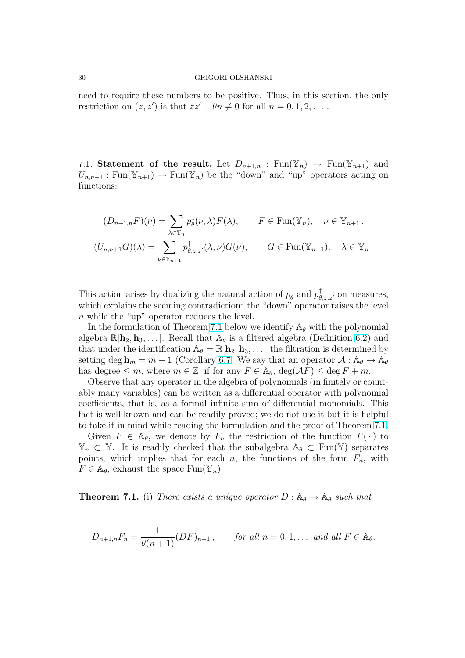<span id="page-29-0"></span>need to require these numbers to be positive. Thus, in this section, the only restriction on  $(z, z')$  is that  $zz' + \theta n \neq 0$  for all  $n = 0, 1, 2, \ldots$ .

7.1. Statement of the result. Let  $D_{n+1,n}$ : Fun( $\mathbb{Y}_n$ )  $\rightarrow$  Fun( $\mathbb{Y}_{n+1}$ ) and  $U_{n,n+1}$ : Fun( $\mathbb{Y}_{n+1}$ )  $\to$  Fun( $\mathbb{Y}_n$ ) be the "down" and "up" operators acting on functions:

$$
(D_{n+1,n}F)(\nu) = \sum_{\lambda \in \mathbb{Y}_n} p_{\theta}^{\downarrow}(\nu, \lambda) F(\lambda), \qquad F \in \text{Fun}(\mathbb{Y}_n), \quad \nu \in \mathbb{Y}_{n+1},
$$
  

$$
(U_{n,n+1}G)(\lambda) = \sum_{\nu \in \mathbb{Y}_{n+1}} p_{\theta, z, z'}^{\uparrow}(\lambda, \nu) G(\nu), \qquad G \in \text{Fun}(\mathbb{Y}_{n+1}), \quad \lambda \in \mathbb{Y}_n.
$$

This action arises by dualizing the natural action of  $p_{\theta}^{\downarrow}$  $\phi_{\theta}^{\dagger}$  and  $p_{\theta,z,z'}^{\dagger}$  on measures, which explains the seeming contradiction: the "down" operator raises the level  $n$  while the "up" operator reduces the level.

In the formulation of Theorem 7.1 below we identify  $A_{\theta}$  with the polynomial algebra  $\mathbb{R}[\mathbf{h}_2, \mathbf{h}_3, \dots]$ . Recall that  $\mathbb{A}_{\theta}$  is a filtered algebra (Definition 6.2) and that under the identification  $\mathbb{A}_{\theta} = \mathbb{R}[\mathbf{h}_2, \mathbf{h}_3, \dots]$  the filtration is determined by setting deg  $h_m = m - 1$  (Corollary 6.7. We say that an operator  $\mathcal{A}: A_{\theta} \to A_{\theta}$ has degree  $\leq m$ , where  $m \in \mathbb{Z}$ , if for any  $F \in \mathbb{A}_{\theta}$ ,  $\deg(\mathcal{A}F) \leq \deg F + m$ .

Observe that any operator in the algebra of polynomials (in finitely [or co](#page-24-0)untably many variables) can be written as a differential operator with polynomial coefficients, that is, as a formal in[finit](#page-26-0)e sum of differential monomials. This fact is well known and can be readily proved; we do not use it but it is helpful to take it in mind while reading the formulation and the proof of Theorem 7.1.

Given  $F \in \mathbb{A}_{\theta}$ , we denote by  $F_n$  the restriction of the function  $F(\cdot)$  to  $\mathbb{Y}_n \subset \mathbb{Y}$ . It is readily checked that the subalgebra  $\mathbb{A}_{\theta} \subset \text{Fun}(\mathbb{Y})$  separates points, which implies that for each n, the functions of the form  $F_n$ , with  $F \in \mathbb{A}_{\theta}$ , exhaust the space  $\text{Fun}(\mathbb{Y}_n)$ .

**Theorem 7.1.** (i) There exists a unique operator  $D : \mathbb{A}_{\theta} \to \mathbb{A}_{\theta}$  such that

$$
D_{n+1,n}F_n = \frac{1}{\theta(n+1)} (DF)_{n+1}, \quad \text{for all } n = 0, 1, \dots \text{ and all } F \in \mathbb{A}_{\theta}.
$$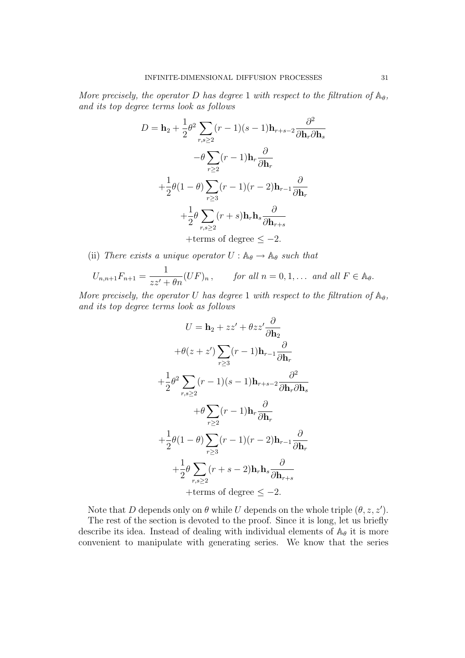More precisely, the operator D has degree 1 with respect to the filtration of  $\mathbb{A}_{\theta}$ , and its top degree terms look as follows

$$
D = \mathbf{h}_2 + \frac{1}{2}\theta^2 \sum_{r,s\geq 2} (r-1)(s-1)\mathbf{h}_{r+s-2} \frac{\partial^2}{\partial \mathbf{h}_r \partial \mathbf{h}_s}
$$

$$
-\theta \sum_{r\geq 2} (r-1)\mathbf{h}_r \frac{\partial}{\partial \mathbf{h}_r}
$$

$$
+\frac{1}{2}\theta(1-\theta) \sum_{r\geq 3} (r-1)(r-2)\mathbf{h}_{r-1} \frac{\partial}{\partial \mathbf{h}_r}
$$

$$
+\frac{1}{2}\theta \sum_{r,s\geq 2} (r+s)\mathbf{h}_r \mathbf{h}_s \frac{\partial}{\partial \mathbf{h}_{r+s}}
$$

$$
+ terms of degree \leq -2.
$$

(ii) There exists a unique operator  $U : \mathbb{A}_{\theta} \to \mathbb{A}_{\theta}$  such that

$$
U_{n,n+1}F_{n+1} = \frac{1}{zz' + \theta n}(UF)_n, \quad \text{for all } n = 0, 1, \dots \text{ and all } F \in \mathbb{A}_{\theta}.
$$

More precisely, the operator U has degree 1 with respect to the filtration of  $\mathbb{A}_{\theta}$ , and its top degree terms look as follows

$$
U = \mathbf{h}_2 + zz' + \theta zz' \frac{\partial}{\partial \mathbf{h}_2}
$$

$$
+ \theta(z + z') \sum_{r \ge 3} (r - 1) \mathbf{h}_{r-1} \frac{\partial}{\partial \mathbf{h}_r}
$$

$$
+ \frac{1}{2} \theta^2 \sum_{r,s \ge 2} (r - 1)(s - 1) \mathbf{h}_{r+s-2} \frac{\partial^2}{\partial \mathbf{h}_r \partial \mathbf{h}_s}
$$

$$
+ \theta \sum_{r \ge 2} (r - 1) \mathbf{h}_r \frac{\partial}{\partial \mathbf{h}_r}
$$

$$
+ \frac{1}{2} \theta (1 - \theta) \sum_{r \ge 3} (r - 1)(r - 2) \mathbf{h}_{r-1} \frac{\partial}{\partial \mathbf{h}_r}
$$

$$
+ \frac{1}{2} \theta \sum_{r,s \ge 2} (r + s - 2) \mathbf{h}_r \mathbf{h}_s \frac{\partial}{\partial \mathbf{h}_{r+s}}
$$

$$
+ \text{terms of degree } \le -2.
$$

Note that D depends only on  $\theta$  while U depends on the whole triple  $(\theta, z, z')$ .

The rest of the section is devoted to the proof. Since it is long, let us briefly describe its idea. Instead of dealing with individual elements of  $A_{\theta}$  it is more convenient to manipulate with generating series. We know that the series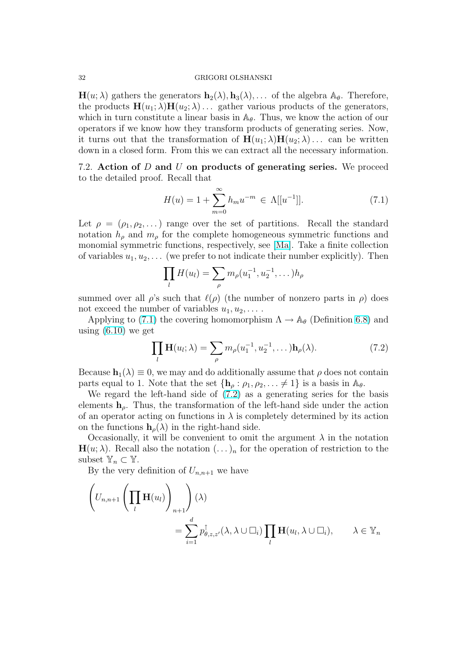#### <span id="page-31-0"></span>32 GRIGORI OLSHANSKI

 $H(u; \lambda)$  gathers the generators  $h_2(\lambda), h_3(\lambda), \ldots$  of the algebra  $A_{\theta}$ . Therefore, the products  $\mathbf{H}(u_1; \lambda) \mathbf{H}(u_2; \lambda) \dots$  gather various products of the generators, which in turn constitute a linear basis in  $\mathbb{A}_{\theta}$ . Thus, we know the action of our operators if we know how they transform products of generating series. Now, it turns out that the transformation of  $\mathbf{H}(u_1; \lambda) \mathbf{H}(u_2; \lambda) \dots$  can be written down in a closed form. From this we can extract all the necessary information.

7.2. Action of D and U on products of generating series. We proceed to the detailed proof. Recall that

$$
H(u) = 1 + \sum_{m=0}^{\infty} h_m u^{-m} \in \Lambda[[u^{-1}]].
$$
 (7.1)

Let  $\rho = (\rho_1, \rho_2, \dots)$  range over the set of partitions. Recall the standard notation  $h_{\rho}$  and  $m_{\rho}$  for the complete homogeneous symmetric functions and monomial symmetric functions, respectively, see [Ma]. Take a finite collection of variables  $u_1, u_2, \ldots$  (we prefer to not indicate their number explicitly). Then

$$
\prod_{l} H(u_l) = \sum_{\rho} m_{\rho}(u_1^{-1}, u_2^{-1}, \dots) h_{\rho}
$$

summed over all  $\rho$ 's such that  $\ell(\rho)$  (the number of nonzero parts in  $\rho$ ) does not exceed the number of variables  $u_1, u_2, \ldots$ .

Applying to (7.1) the covering homomorphism  $\Lambda \to \mathbb{A}_{\theta}$  (Definition 6.8) and using  $(6.10)$  we get

$$
\prod_{l} \mathbf{H}(u_{l}; \lambda) = \sum_{\rho} m_{\rho}(u_{1}^{-1}, u_{2}^{-1}, \dots) \mathbf{h}_{\rho}(\lambda).
$$
 (7.2)

Because  $\mathbf{h}_1(\lambda) \equiv 0$  $\mathbf{h}_1(\lambda) \equiv 0$  $\mathbf{h}_1(\lambda) \equiv 0$ , we may and do additionally assume that  $\rho$  does not contain parts equal to 1. Note that the set  $\{h_\rho : \rho_1, \rho_2, \ldots \neq 1\}$  is a basis in  $\mathbb{A}_\theta$ .

We regard the left-hand side of  $(7.2)$  as a generating series for the basis elements  $h_{\rho}$ . Thus, the transformation of the left-hand side under the action of an operator acting on functions in  $\lambda$  is completely determined by its action on the functions  $h_o(\lambda)$  in the right-hand side.

Occasionally, it will be convenient to omit the argument  $\lambda$  in the notation  $\mathbf{H}(u; \lambda)$ . Recall also the notation  $(\ldots)_n$  for the operation of restriction to the subset  $\mathbb{Y}_n \subset \mathbb{Y}$ .

By the very definition of  $U_{n,n+1}$  we have

$$
\left(U_{n,n+1}\left(\prod_{l}\mathbf{H}(u_{l})\right)_{n+1}\right)(\lambda)
$$
  
= 
$$
\sum_{i=1}^{d}p_{\theta,z,z'}^{\uparrow}(\lambda,\lambda\cup\square_{i})\prod_{l}\mathbf{H}(u_{l},\lambda\cup\square_{i}), \qquad \lambda \in \mathbb{Y}_{n}
$$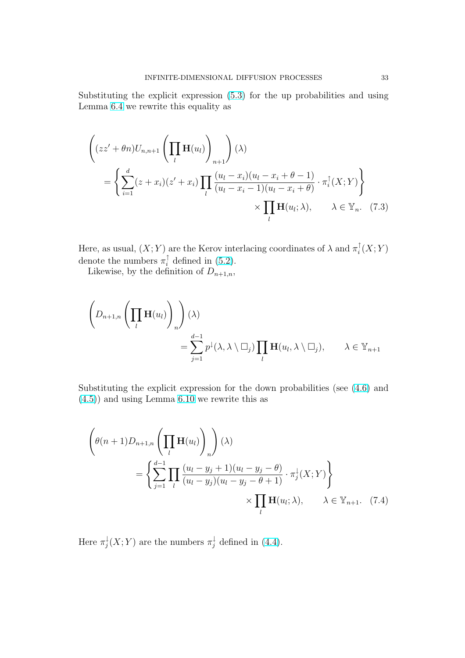<span id="page-32-0"></span>Substituting the explicit expression (5.3) for the up probabilities and using Lemma 6.4 we rewrite this equality as

$$
\left( (zz' + \theta n)U_{n,n+1} \left( \prod_{l} \mathbf{H}(u_{l}) \right)_{n+1} \right) (\lambda)
$$
\n
$$
= \left\{ \sum_{i=1}^{d} (z + x_{i})(z' + x_{i}) \prod_{l} \frac{(u_{l} - x_{i})(u_{l} - x_{i} + \theta - 1)}{(u_{l} - x_{i} - 1)(u_{l} - x_{i} + \theta)} \cdot \pi_{i}^{\uparrow}(X;Y) \right\}
$$
\n
$$
\times \prod_{l} \mathbf{H}(u_{l}; \lambda), \qquad \lambda \in \mathbb{Y}_{n}. \tag{7.3}
$$

Here, as usual,  $(X; Y)$  are the Kerov interlacing coordinates of  $\lambda$  and  $\pi_i^{\uparrow}$  $_{i}^{\mathbb{T}}(X;Y)$ denote the numbers  $\pi_i^{\uparrow}$  defined in (5.2).

Likewise, by the definition of  $D_{n+1,n}$ ,

$$
\left(D_{n+1,n}\left(\prod_{l}\mathbf{H}(u_{l})\right)_{n}\right)(\lambda)
$$
  
= 
$$
\sum_{j=1}^{d-1}p^{\downarrow}(\lambda,\lambda\setminus\square_{j})\prod_{l}\mathbf{H}(u_{l},\lambda\setminus\square_{j}), \qquad \lambda \in \mathbb{Y}_{n+1}
$$

Substituting the explicit expression for the down probabilities (see (4.6) and (4.5)) and using Lemma 6.10 we rewrite this as

$$
\left(\theta(n+1)D_{n+1,n}\left(\prod_{l}\mathbf{H}(u_{l})\right)_{n}\right)(\lambda)
$$
\n
$$
=\left\{\sum_{j=1}^{d-1}\prod_{l}\frac{(u_{l}-y_{j}+1)(u_{l}-y_{j}-\theta)}{(u_{l}-y_{j})(u_{l}-y_{j}-\theta+1)}\cdot\pi_{j}^{\downarrow}(X;Y)\right\}
$$
\n
$$
\times\prod_{l}\mathbf{H}(u_{l};\lambda), \qquad \lambda \in \mathbb{Y}_{n+1}.\tag{7.4}
$$

Here  $\pi_i^{\downarrow}$  $\chi_j^{\downarrow}(X;Y)$  are the numbers  $\pi_j^{\downarrow}$  defined in (4.4).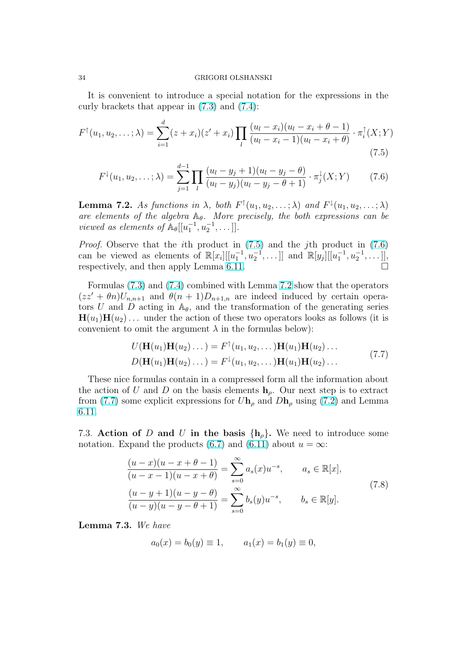<span id="page-33-0"></span>It is convenient to introduce a special notation for the expressions in the curly brackets that appear in (7.3) and (7.4):

$$
F^{\uparrow}(u_1, u_2, \dots; \lambda) = \sum_{i=1}^{d} (z + x_i)(z' + x_i) \prod_{l} \frac{(u_l - x_i)(u_l - x_i + \theta - 1)}{(u_l - x_i - 1)(u_l - x_i + \theta)} \cdot \pi_i^{\uparrow}(X; Y)
$$
\n(7.5)

$$
F^{\downarrow}(u_1, u_2, \dots; \lambda) = \sum_{j=1}^{d-1} \prod_{l} \frac{(u_l - y_j + 1)(u_l - y_j - \theta)}{(u_l - y_j)(u_l - y_j - \theta + 1)} \cdot \pi_j^{\downarrow}(X; Y) \tag{7.6}
$$

**Lemma 7.2.** As functions in  $\lambda$ , both  $F^{\dagger}(u_1, u_2, \dots; \lambda)$  and  $F^{\dagger}(u_1, u_2, \dots; \lambda)$ are elements of the algebra  $A_{\theta}$ . More precisely, the both expressions can be viewed as elements of  $\mathbb{A}_{\theta}[[u_1^{-1}, u_2^{-1}, \dots]].$ 

Proof. Observe that the ith product in (7.5) and the jth product in (7.6) can be viewed as elements of  $\mathbb{R}[x_i][[u_1^{-1}, u_2^{-1}, \dots]]$  and  $\mathbb{R}[y_j][[u_1^{-1}, u_2^{-1}, \dots]]$ , respectively, and then apply Lemma 6.11.

Formulas (7.3) and (7.4) combined with Lemma 7.2 show that the operators  $(zz' + \theta n)U_{n,n+1}$  and  $\theta(n+1)D_{n+1,n}$  are indeed induced by certain operators U and D acting in  $\mathbb{A}_{\theta}$ , and th[e tran](#page-27-0)sformation of the generating series  $H(u_1)H(u_2)$ ... under the action of these two operators looks as follows (it is convenient t[o om](#page-32-0)it th[e arg](#page-32-0)ument  $\lambda$  in the formulas below):

$$
U(\mathbf{H}(u_1)\mathbf{H}(u_2)\dots) = F^{\dagger}(u_1, u_2, \dots) \mathbf{H}(u_1)\mathbf{H}(u_2)\dots
$$
  
\n
$$
D(\mathbf{H}(u_1)\mathbf{H}(u_2)\dots) = F^{\dagger}(u_1, u_2, \dots) \mathbf{H}(u_1)\mathbf{H}(u_2)\dots
$$
\n(7.7)

These nice formulas contain in a compressed form all the information about the action of U and D on the basis elements  $h_{\rho}$ . Our next step is to extract from (7.7) some explicit expressions for  $U\mathbf{h}_{\rho}$  and  $D\mathbf{h}_{\rho}$  using (7.2) and Lemma 6.11.

7.3. Action of D and U in the basis  $\{h_{\rho}\}\$ . We need t[o int](#page-31-0)roduce some [nota](#page-27-0)tion. Expand the products (6.7) and (6.11) about  $u = \infty$ :

$$
\frac{(u-x)(u-x+\theta-1)}{(u-x-1)(u-x+\theta)} = \sum_{s=0}^{\infty} a_s(x)u^{-s}, \qquad a_s \in \mathbb{R}[x],
$$
  

$$
\frac{(u-y+1)(u-y-\theta)}{(u-y)(u-y-\theta+1)} = \sum_{s=0}^{\infty} b_s(y)u^{-s}, \qquad b_s \in \mathbb{R}[y].
$$
 (7.8)

Lemma 7.3. We have

$$
a_0(x) = b_0(y) \equiv 1, \qquad a_1(x) = b_1(y) \equiv 0,
$$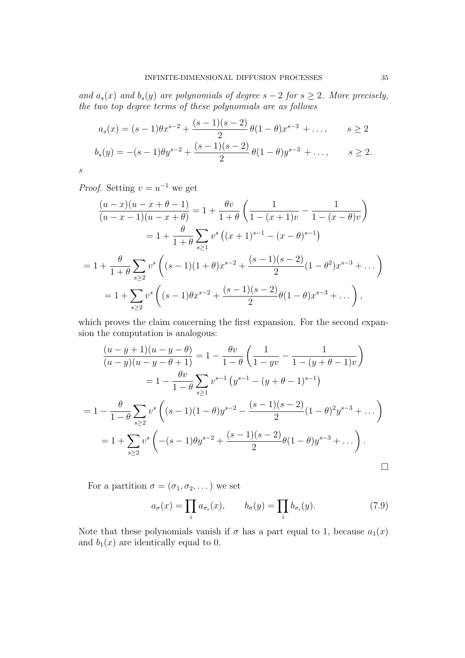<span id="page-34-0"></span>and  $a_s(x)$  and  $b_s(y)$  are polynomials of degree  $s - 2$  for  $s \geq 2$ . More precisely, the two top degree terms of these polynomials are as follows

$$
a_s(x) = (s-1)\theta x^{s-2} + \frac{(s-1)(s-2)}{2}\theta(1-\theta)x^{s-3} + \dots, \qquad s \ge 2
$$
  

$$
b_s(y) = -(s-1)\theta y^{s-2} + \frac{(s-1)(s-2)}{2}\theta(1-\theta)y^{s-3} + \dots, \qquad s \ge 2.
$$

s

*Proof.* Setting  $v = u^{-1}$  we get

$$
\frac{(u-x)(u-x+\theta-1)}{(u-x-1)(u-x+\theta)} = 1 + \frac{\theta v}{1+\theta} \left( \frac{1}{1-(x+1)v} - \frac{1}{1-(x-\theta)v} \right)
$$

$$
= 1 + \frac{\theta}{1+\theta} \sum_{s\geq 1} v^s \left( (x+1)^{s-1} - (x-\theta)^{s-1} \right)
$$

$$
= 1 + \frac{\theta}{1+\theta} \sum_{s\geq 2} v^s \left( (s-1)(1+\theta)x^{s-2} + \frac{(s-1)(s-2)}{2}(1-\theta^2)x^{s-3} + \dots \right)
$$

$$
= 1 + \sum_{s\geq 2} v^s \left( (s-1)\theta x^{s-2} + \frac{(s-1)(s-2)}{2}\theta(1-\theta)x^{s-3} + \dots \right),
$$

which proves the claim concerning the first expansion. For the second expansion the computation is analogous:

$$
\frac{(u-y+1)(u-y-\theta)}{(u-y)(u-y-\theta+1)} = 1 - \frac{\theta v}{1-\theta} \left( \frac{1}{1-yv} - \frac{1}{1-(y+\theta-1)v} \right)
$$

$$
= 1 - \frac{\theta v}{1-\theta} \sum_{s\geq 1} v^{s-1} \left( y^{s-1} - (y+\theta-1)^{s-1} \right)
$$

$$
= 1 - \frac{\theta}{1-\theta} \sum_{s\geq 2} v^s \left( (s-1)(1-\theta)y^{s-2} - \frac{(s-1)(s-2)}{2}(1-\theta)^2 y^{s-3} + \dots \right)
$$

$$
= 1 + \sum_{s\geq 2} v^s \left( -(s-1)\theta y^{s-2} + \frac{(s-1)(s-2)}{2}\theta (1-\theta)y^{s-3} + \dots \right).
$$

For a partition  $\sigma = (\sigma_1, \sigma_2, \dots)$  we set

$$
a_{\sigma}(x) = \prod_{i} a_{\sigma_i}(x), \qquad b_{\sigma}(y) = \prod_{i} b_{\sigma_i}(y). \tag{7.9}
$$

Note that these polynomials vanish if  $\sigma$  has a part equal to 1, because  $a_1(x)$ and  $b_1(x)$  are identically equal to 0.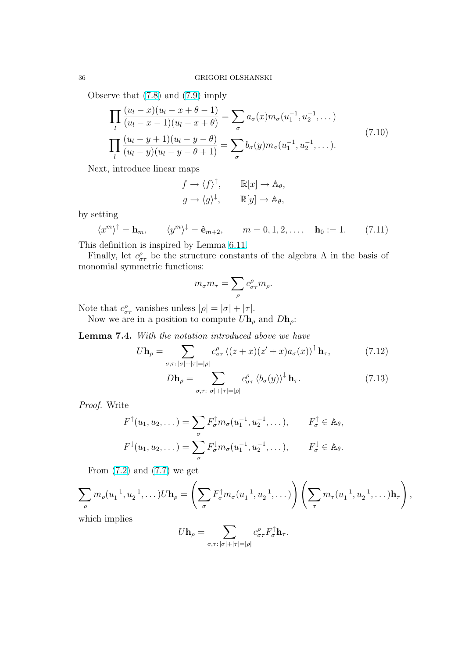<span id="page-35-0"></span>Observe that (7.8) and (7.9) imply

$$
\prod_{l} \frac{(u_l - x)(u_l - x + \theta - 1)}{(u_l - x - 1)(u_l - x + \theta)} = \sum_{\sigma} a_{\sigma}(x) m_{\sigma}(u_1^{-1}, u_2^{-1}, \dots)
$$
\n
$$
\prod_{l} \frac{(u_l - y + 1)(u_l - y - \theta)}{(u_l - y)(u_l - y - \theta + 1)} = \sum_{\sigma} b_{\sigma}(y) m_{\sigma}(u_1^{-1}, u_2^{-1}, \dots).
$$
\n(7.10)

Next, introduce linear maps

$$
f \to \langle f \rangle^{\uparrow}, \qquad \mathbb{R}[x] \to \mathbb{A}_{\theta},
$$

$$
g \to \langle g \rangle^{\downarrow}, \qquad \mathbb{R}[y] \to \mathbb{A}_{\theta},
$$

by setting

 $\langle x^m \rangle^{\dagger} = \mathbf{h}_m, \qquad \langle y^m \rangle^{\dagger} = \hat{\mathbf{e}}_{m+2}, \qquad m = 0, 1, 2, \dots, \quad \mathbf{h}_0 := 1.$  (7.11)

This definition is inspired by Lemma 6.11.

Finally, let  $c^{\rho}_{\sigma\tau}$  be the structure constants of the algebra  $\Lambda$  in the basis of monomial symmetric functions:

$$
m_{\sigma} m_{\tau} = \sum_{\rho} c^{\rho}_{\sigma \tau} m_{\rho}.
$$

Note that  $c^{\rho}_{\sigma\tau}$  vanishes unless  $|\rho| = |\sigma| + |\tau|$ .

Now we are in a position to compute  $U\mathbf{h}_{\rho}$  and  $D\mathbf{h}_{\rho}$ :

Lemma 7.4. With the notation introduced above we have  $\sum_{k=1}^{n}$ 

$$
U\mathbf{h}_{\rho} = \sum_{\sigma,\tau:\,|\sigma|+|\tau|=|\rho|} c^{\rho}_{\sigma\tau} \left\langle (z+x)(z'+x)a_{\sigma}(x) \right\rangle^{\uparrow} \mathbf{h}_{\tau},\tag{7.12}
$$

$$
D\mathbf{h}_{\rho} = \sum_{\sigma,\tau: |\sigma|+|\tau|=|\rho|} c^{\rho}_{\sigma\tau} \left\langle b_{\sigma}(y) \right\rangle^{\perp} \mathbf{h}_{\tau}.
$$
 (7.13)

Proof. Write

$$
F^{\uparrow}(u_1, u_2, \dots) = \sum_{\sigma} F_{\sigma}^{\uparrow} m_{\sigma}(u_1^{-1}, u_2^{-1}, \dots), \qquad F_{\sigma}^{\uparrow} \in \mathbb{A}_{\theta},
$$
  

$$
F^{\downarrow}(u_1, u_2, \dots) = \sum_{\sigma} F_{\sigma}^{\downarrow} m_{\sigma}(u_1^{-1}, u_2^{-1}, \dots), \qquad F_{\sigma}^{\downarrow} \in \mathbb{A}_{\theta}.
$$

From  $(7.2)$  and  $(7.7)$  we get

$$
\sum_{\rho} m_{\rho}(u_1^{-1}, u_2^{-1}, \dots) U \mathbf{h}_{\rho} = \left( \sum_{\sigma} F_{\sigma}^{\dagger} m_{\sigma}(u_1^{-1}, u_2^{-1}, \dots) \right) \left( \sum_{\tau} m_{\tau}(u_1^{-1}, u_2^{-1}, \dots) \mathbf{h}_{\tau} \right),
$$
\nwhich implies

which implies

$$
U\mathbf{h}_{\rho} = \sum_{\sigma,\tau:\,|\sigma|+|\tau|=|\rho|} c^{\rho}_{\sigma\tau} F^{\uparrow}_{\sigma} \mathbf{h}_{\tau}.
$$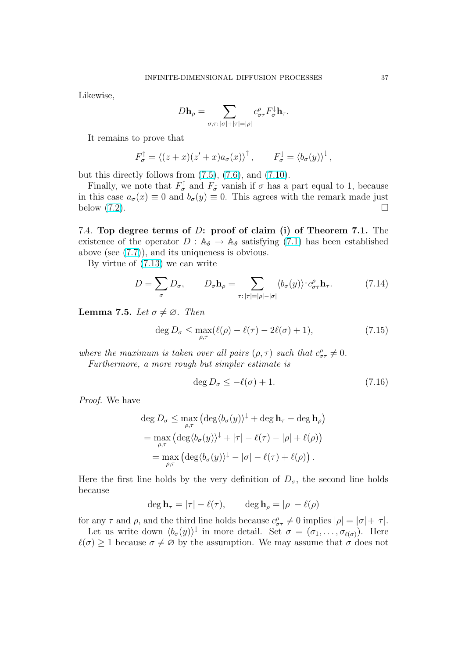<span id="page-36-0"></span>Likewise,

$$
D\mathbf{h}_{\rho} = \sum_{\sigma,\tau: |\sigma|+|\tau|=|\rho|} c^{\rho}_{\sigma\tau} F^{\downarrow}_{\sigma} \mathbf{h}_{\tau}.
$$

It remains to prove that

$$
F_{\sigma}^{\uparrow} = \langle (z+x)(z'+x)a_{\sigma}(x) \rangle^{\uparrow}, \qquad F_{\sigma}^{\downarrow} = \langle b_{\sigma}(y) \rangle^{\downarrow},
$$

but this directly follows from  $(7.5)$ ,  $(7.6)$ , and  $(7.10)$ .

Finally, we note that  $F_{\sigma}^{\uparrow}$  and  $F_{\sigma}^{\downarrow}$  vanish if  $\sigma$  has a part equal to 1, because in this case  $a_{\sigma}(x) \equiv 0$  and  $b_{\sigma}(y) \equiv 0$ . This agrees with the remark made just below  $(7.2)$ .

7.4. Top degree terms of D: proof of claim (i) of Theorem 7.1. The existen[ce o](#page-31-0)f the operator  $D : \mathbb{A}_{\theta} \to \mathbb{A}_{\theta}$  satisfying (7.1) has been established above (see (7.7)), and its uniqueness is obvious.

By virtue of (7.13) we can write

$$
D = \sum_{\sigma} D_{\sigma}, \qquad D_{\sigma} \mathbf{h}_{\rho} = \sum_{\tau : |\tau| = |\rho| - |\sigma|} \langle b_{\sigma}(y) \rangle^{\downarrow} c_{\sigma \tau}^{\rho} \mathbf{h}_{\tau}.
$$
 (7.14)

**Lemma 7.5.** Let  $\sigma \neq \emptyset$ . Then

$$
\deg D_{\sigma} \le \max_{\rho,\tau} (\ell(\rho) - \ell(\tau) - 2\ell(\sigma) + 1),\tag{7.15}
$$

where the maximum is taken over all pairs  $(\rho, \tau)$  such that  $c_{\sigma\tau}^{\rho} \neq 0$ . Furthermore, a more rough but simpler estimate is

$$
\deg D_{\sigma} \le -\ell(\sigma) + 1. \tag{7.16}
$$

Proof. We have

$$
\deg D_{\sigma} \leq \max_{\rho,\tau} \left( \deg \langle b_{\sigma}(y) \rangle^{\downarrow} + \deg \mathbf{h}_{\tau} - \deg \mathbf{h}_{\rho} \right)
$$
  
= 
$$
\max_{\rho,\tau} \left( \deg \langle b_{\sigma}(y) \rangle^{\downarrow} + |\tau| - \ell(\tau) - |\rho| + \ell(\rho) \right)
$$
  
= 
$$
\max_{\rho,\tau} \left( \deg \langle b_{\sigma}(y) \rangle^{\downarrow} - |\sigma| - \ell(\tau) + \ell(\rho) \right).
$$

Here the first line holds by the very definition of  $D_{\sigma}$ , the second line holds because

$$
\deg \mathbf{h}_{\tau} = |\tau| - \ell(\tau), \qquad \deg \mathbf{h}_{\rho} = |\rho| - \ell(\rho)
$$

for any  $\tau$  and  $\rho$ , and the third line holds because  $c_{\sigma\tau}^{\rho} \neq 0$  implies  $|\rho| = |\sigma| + |\tau|$ .

Let us write down  $\langle b_{\sigma}(y) \rangle^{\downarrow}$  in more detail. Set  $\sigma = (\sigma_1, \ldots, \sigma_{\ell(\sigma)})$ . Here  $\ell(\sigma) \geq 1$  because  $\sigma \neq \emptyset$  by the assumption. We may assume that  $\sigma$  does not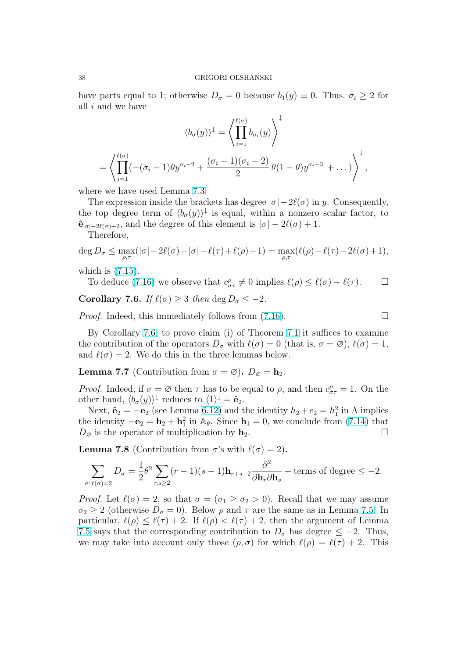<span id="page-37-0"></span>have parts equal to 1; otherwise  $D_{\sigma} = 0$  because  $b_1(y) \equiv 0$ . Thus,  $\sigma_i \geq 2$  for all i and we have

$$
\langle b_{\sigma}(y) \rangle^{\perp} = \left\langle \prod_{i=1}^{\ell(\sigma)} b_{\sigma_i}(y) \right\rangle^{\perp}
$$

$$
= \left\langle \prod_{i=1}^{\ell(\sigma)} (-(\sigma_i - 1)\theta y^{\sigma_i - 2} + \frac{(\sigma_i - 1)(\sigma_i - 2)}{2} \theta (1 - \theta) y^{\sigma_i - 3} + \dots) \right\rangle^{\perp},
$$

where we have used Lemma 7.3.

The expression inside the brackets has degree  $|\sigma| - 2\ell(\sigma)$  in y. Consequently, the top degree term of  $\langle b_{\sigma}(y)\rangle^{\downarrow}$  is equal, within a nonzero scalar factor, to  $\hat{\mathbf{e}}_{|\sigma|-2\ell(\sigma)+2}$ , and the degree o[f th](#page-33-0)is element is  $|\sigma| - 2\ell(\sigma) + 1$ .

Therefore,

$$
\deg D_{\sigma} \le \max_{\rho,\tau}(|\sigma|-2\ell(\sigma)-|\sigma|-\ell(\tau)+\ell(\rho)+1) = \max_{\rho,\tau}(\ell(\rho)-\ell(\tau)-2\ell(\sigma)+1),
$$

which is (7.15).

To deduce (7.16) we observe that  $c^{\rho}_{\sigma\tau} \neq 0$  implies  $\ell(\rho) \leq \ell(\sigma) + \ell(\tau)$ .  $\Box$ 

Corollary 7.6. If  $\ell(\sigma) \geq 3$  then deg  $D_{\sigma} \leq -2$ .

*Proof.* In[deed, this](#page-36-0) immediately follows from  $(7.16)$ .

By Corollary 7.6, to prove claim (i) of Theorem 7.1 it suffices to examine the contribution of the operators  $D_{\sigma}$  with  $\ell(\sigma) = 0$  (that is,  $\sigma = \varnothing$ ),  $\ell(\sigma) = 1$ , and  $\ell(\sigma) = 2$ . We do this in the three lemmas [belo](#page-36-0)w.

**Lemma 7.7** (Contribution from  $\sigma = \varnothing$ ).  $D_{\varnothing} = \mathbf{h}_2$ .

*Proof.* Indeed, if  $\sigma = \emptyset$  then  $\tau$  has to be equal to  $\rho$ , and then  $c^{\rho}_{\sigma\tau} = 1$ . On the other hand,  $\langle b_{\sigma}(y) \rangle^{\downarrow}$  reduces to  $\langle 1 \rangle^{\downarrow} = \hat{\mathbf{e}}_2$ .

Next,  $\hat{\mathbf{e}}_2 = -\mathbf{e}_2$  (see Lemma 6.12) and the identity  $h_2 + e_2 = h_1^2$  in  $\Lambda$  implies the identity  $-\mathbf{e}_2 = \mathbf{h}_2 + \mathbf{h}_1^2$  in  $\mathbb{A}_{\theta}$ . Since  $\mathbf{h}_1 = 0$ , we conclude from (7.14) that  $D_{\varnothing}$  is the operator of multiplication by  $\mathbf{h}_2$ .

**Lemma 7.8** (Contribution fr[om](#page-28-0)  $\sigma$ 's with  $\ell(\sigma) = 2$ ).

$$
\sum_{\sigma:\ell(\sigma)=2} D_{\sigma} = \frac{1}{2} \theta^2 \sum_{r,s\geq 2} (r-1)(s-1) \mathbf{h}_{r+s-2} \frac{\partial^2}{\partial \mathbf{h}_r \partial \mathbf{h}_s} + \text{terms of degree } \leq -2.
$$

*Proof.* Let  $\ell(\sigma) = 2$ , so that  $\sigma = (\sigma_1 \ge \sigma_2 > 0)$ . Recall that we may assume  $\sigma_2 \geq 2$  (otherwise  $D_{\sigma} = 0$ ). Below  $\rho$  and  $\tau$  are the same as in Lemma 7.5. In particular,  $\ell(\rho) \leq \ell(\tau) + 2$ . If  $\ell(\rho) < \ell(\tau) + 2$ , then the argument of Lemma 7.5 says that the corresponding contribution to  $D_{\sigma}$  has degree  $\leq -2$ . Thus, we may take into account only those  $(\rho, \sigma)$  for which  $\ell(\rho) = \ell(\tau) + 2$ . This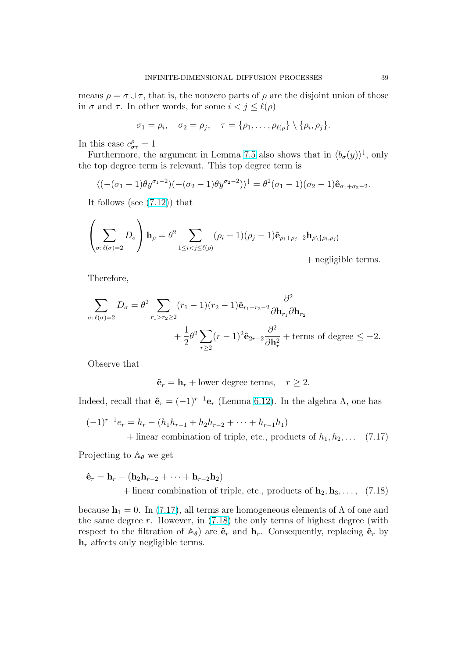means  $\rho = \sigma \cup \tau$ , that is, the nonzero parts of  $\rho$  are the disjoint union of those in  $\sigma$  and  $\tau$ . In other words, for some  $i < j \leq \ell(\rho)$ 

$$
\sigma_1 = \rho_i, \quad \sigma_2 = \rho_j, \quad \tau = \{\rho_1, \ldots, \rho_{\ell(\rho)}\} \setminus \{\rho_i, \rho_j\}.
$$

In this case  $c^{\rho}_{\sigma\tau} = 1$ 

Furthermore, the argument in Lemma 7.5 also shows that in  $\langle b_{\sigma}(y) \rangle^{\downarrow}$ , only the top degree term is relevant. This top degree term is

$$
\langle (-(\sigma_1-1)\theta y^{\sigma_1-2})(-(\sigma_2-1)\theta y^{\sigma_2-2})\rangle^{\downarrow} = \theta^2(\sigma_1-1)(\sigma_2-1)\hat{\mathbf{e}}_{\sigma_1+\sigma_2-2}.
$$

It follows (see (7.12)) that

$$
\left(\sum_{\sigma:\ell(\sigma)=2} D_{\sigma}\right) \mathbf{h}_{\rho} = \theta^2 \sum_{1 \leq i < j \leq \ell(\rho)} (\rho_i - 1)(\rho_j - 1)\hat{\mathbf{e}}_{\rho_i + \rho_j - 2} \mathbf{h}_{\rho \setminus {\rho_i, \rho_j}})
$$

+ negligible terms.

Therefore,

$$
\sum_{\sigma:\ell(\sigma)=2} D_{\sigma} = \theta^2 \sum_{r_1>r_2\geq 2} (r_1-1)(r_2-1)\hat{\mathbf{e}}_{r_1+r_2-2} \frac{\partial^2}{\partial \mathbf{h}_{r_1} \partial \mathbf{h}_{r_2}} + \frac{1}{2} \theta^2 \sum_{r\geq 2} (r-1)^2 \hat{\mathbf{e}}_{2r-2} \frac{\partial^2}{\partial \mathbf{h}_r^2} + \text{terms of degree } \leq -2.
$$

Observe that

 $\hat{\mathbf{e}}_r = \mathbf{h}_r + \text{lower degree terms}, \quad r \geq 2.$ 

Indeed, recall that  $\hat{\mathbf{e}}_r = (-1)^{r-1} \mathbf{e}_r$  (Lemma 6.12). In the algebra  $\Lambda$ , one has

$$
(-1)^{r-1}e_r = h_r - (h_1h_{r-1} + h_2h_{r-2} + \dots + h_{r-1}h_1)
$$
  
+ linear combination of triple, etc., products of  $h_1, h_2, \dots$  (7.17)

Projecting to  $\mathbb{A}_{\theta}$  we get

$$
\hat{\mathbf{e}}_r = \mathbf{h}_r - (\mathbf{h}_2 \mathbf{h}_{r-2} + \dots + \mathbf{h}_{r-2} \mathbf{h}_2) +
$$
linear combination of triple, etc., products of  $\mathbf{h}_2, \mathbf{h}_3, \dots$ , (7.18)

because  $h_1 = 0$ . In (7.17), all terms are homogeneous elements of  $\Lambda$  of one and the same degree  $r$ . However, in  $(7.18)$  the only terms of highest degree (with respect to the filtration of  $\mathbb{A}_{\theta}$  are  $\hat{\mathbf{e}}_r$  and  $\mathbf{h}_r$ . Consequently, replacing  $\hat{\mathbf{e}}_r$  by  $h_r$  affects only negligible terms.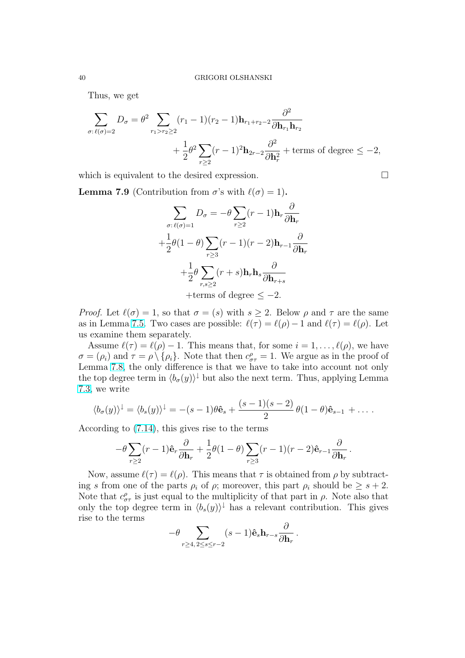<span id="page-39-0"></span>Thus, we get

$$
\sum_{\sigma:\ell(\sigma)=2} D_{\sigma} = \theta^2 \sum_{r_1 > r_2 \ge 2} (r_1 - 1)(r_2 - 1) \mathbf{h}_{r_1 + r_2 - 2} \frac{\partial^2}{\partial \mathbf{h}_{r_1} \mathbf{h}_{r_2}} + \frac{1}{2} \theta^2 \sum_{r \ge 2} (r - 1)^2 \mathbf{h}_{2r - 2} \frac{\partial^2}{\partial \mathbf{h}_r^2} + \text{terms of degree } \le -2,
$$

which is equivalent to the desired expression.  $\Box$ 

**Lemma 7.9** (Contribution from  $\sigma$ 's with  $\ell(\sigma) = 1$ ).

$$
\sum_{\sigma:\ell(\sigma)=1} D_{\sigma} = -\theta \sum_{r\geq 2} (r-1) \mathbf{h}_r \frac{\partial}{\partial \mathbf{h}_r}
$$

$$
+ \frac{1}{2} \theta (1-\theta) \sum_{r\geq 3} (r-1)(r-2) \mathbf{h}_{r-1} \frac{\partial}{\partial \mathbf{h}_r}
$$

$$
+ \frac{1}{2} \theta \sum_{r,s\geq 2} (r+s) \mathbf{h}_r \mathbf{h}_s \frac{\partial}{\partial \mathbf{h}_{r+s}}
$$

$$
+ \text{terms of degree } \leq -2.
$$

*Proof.* Let  $\ell(\sigma) = 1$ , so that  $\sigma = (s)$  with  $s \geq 2$ . Below  $\rho$  and  $\tau$  are the same as in Lemma 7.5. Two cases are possible:  $\ell(\tau) = \ell(\rho) - 1$  and  $\ell(\tau) = \ell(\rho)$ . Let us examine them separately.

Assume  $\ell(\tau) = \ell(\rho) - 1$ . This means that, for some  $i = 1, \ldots, \ell(\rho)$ , we have  $\sigma = (\rho_i)$  and  $\tau = \rho \setminus {\rho_i}$ . Note that then  $c^{\rho}_{\sigma\tau} = 1$ . We argue as in the proof of Lemma 7.8, [the](#page-36-0) only difference is that we have to take into account not only the top degree term in  $\langle b_{\sigma}(y)\rangle^{\downarrow}$  but also the next term. Thus, applying Lemma 7.3, we write

$$
\langle b_{\sigma}(y)\rangle^{\downarrow} = \langle b_{s}(y)\rangle^{\downarrow} = -(s-1)\theta \hat{\mathbf{e}}_{s} + \frac{(s-1)(s-2)}{2} \theta(1-\theta)\hat{\mathbf{e}}_{s-1} + \dots
$$

[Acc](#page-33-0)ording to (7.14), this gives rise to the terms

$$
-\theta \sum_{r\geq 2} (r-1)\hat{\mathbf e}_r\frac{\partial}{\partial \mathbf h_r}+\frac{1}{2}\theta(1-\theta)\sum_{r\geq 3} (r-1)(r-2)\hat{\mathbf e}_{r-1}\frac{\partial}{\partial \mathbf h_r}\,.
$$

Now, assume  $\ell(\tau) = \ell(\rho)$ . This means that  $\tau$  is obtained from  $\rho$  by subtracting s from one of the parts  $\rho_i$  of  $\rho$ ; moreover, this part  $\rho_i$  should be  $\geq s+2$ . Note that  $c^{\rho}_{\sigma\tau}$  is just equal to the multiplicity of that part in  $\rho$ . Note also that only the top degree term in  $\langle b_s(y) \rangle$ <sup>†</sup> has a relevant contribution. This gives rise to the terms

$$
-\theta \sum_{r\geq 4,\, 2\leq s\leq r-2} (s-1)\hat{\mathbf{e}}_s \mathbf{h}_{r-s} \frac{\partial}{\partial \mathbf{h}_r}\,.
$$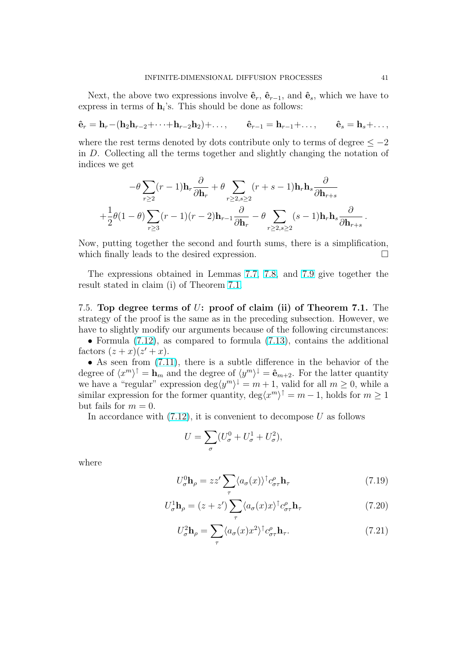<span id="page-40-0"></span>Next, the above two expressions involve  $\hat{\mathbf{e}}_r$ ,  $\hat{\mathbf{e}}_{r-1}$ , and  $\hat{\mathbf{e}}_s$ , which we have to express in terms of  $\mathbf{h}_i$ 's. This should be done as follows:

$$
\hat{\mathbf{e}}_r = \mathbf{h}_r - (\mathbf{h}_2 \mathbf{h}_{r-2} + \cdots + \mathbf{h}_{r-2} \mathbf{h}_2) + \ldots, \qquad \hat{\mathbf{e}}_{r-1} = \mathbf{h}_{r-1} + \ldots, \qquad \hat{\mathbf{e}}_s = \mathbf{h}_s + \ldots,
$$

where the rest terms denoted by dots contribute only to terms of degree  $\leq -2$ in D. Collecting all the terms together and slightly changing the notation of indices we get

$$
-\theta \sum_{r\geq 2} (r-1) \mathbf{h}_r \frac{\partial}{\partial \mathbf{h}_r} + \theta \sum_{r\geq 2, s\geq 2} (r+s-1) \mathbf{h}_r \mathbf{h}_s \frac{\partial}{\partial \mathbf{h}_{r+s}}
$$
  
+ 
$$
\frac{1}{2} \theta (1-\theta) \sum_{r\geq 3} (r-1)(r-2) \mathbf{h}_{r-1} \frac{\partial}{\partial \mathbf{h}_r} - \theta \sum_{r\geq 2, s\geq 2} (s-1) \mathbf{h}_r \mathbf{h}_s \frac{\partial}{\partial \mathbf{h}_{r+s}}.
$$

Now, putting together the second and fourth sums, there is a simplification, which finally leads to the desired expression.  $\Box$ 

The expressions obtained in Lemmas 7.7, 7.8, and 7.9 give together the result stated in claim (i) of Theorem 7.1.

7.5. Top degree terms of U: proof o[f claim](#page-37-0) (ii) o[f Th](#page-39-0)eorem 7.1. The strategy of the proof is the same as i[n th](#page-29-0)e preceding subsection. However, we have to slightly modify our arguments because of the following circumstances:

• Formula  $(7.12)$ , as compared to formula  $(7.13)$ , contains the additional factors  $(z+x)(z'+x)$ .

• As seen from  $(7.11)$ , there is a subtle difference in the behavior of the degree of  $\langle x^m \rangle^{\dagger} = \mathbf{h}_m$  and the degree of  $\langle y^m \rangle^{\dagger} = \hat{\mathbf{e}}_{m+2}$ . For the latter quantity we have a "re[gular"](#page-35-0) expression  $\deg \langle y^m \rangle^{\downarrow} = m + 1$ , valid for all  $m \geq 0$ , while a similar expression f[or the](#page-35-0) former quantity,  $\deg\langle x^m\rangle^{\uparrow} = m - 1$ , holds for  $m \geq 1$ but fails for  $m = 0$ .

In accordance with  $(7.12)$ , it is convenient to decompose U as follows

$$
U = \sum_{\sigma} (U_{\sigma}^0 + U_{\sigma}^1 + U_{\sigma}^2),
$$

where

$$
U_{\sigma}^{0} \mathbf{h}_{\rho} = zz' \sum_{\tau} \langle a_{\sigma}(x) \rangle^{\dagger} c_{\sigma\tau}^{\rho} \mathbf{h}_{\tau}
$$
 (7.19)

$$
U_{\sigma}^{1}\mathbf{h}_{\rho} = (z + z') \sum_{\tau} \langle a_{\sigma}(x)x \rangle^{\dagger} c_{\sigma\tau}^{\rho} \mathbf{h}_{\tau}
$$
 (7.20)

$$
U_{\sigma}^{2} \mathbf{h}_{\rho} = \sum_{\tau} \langle a_{\sigma}(x) x^{2} \rangle^{\dagger} c_{\sigma \tau}^{\rho} \mathbf{h}_{\tau}.
$$
 (7.21)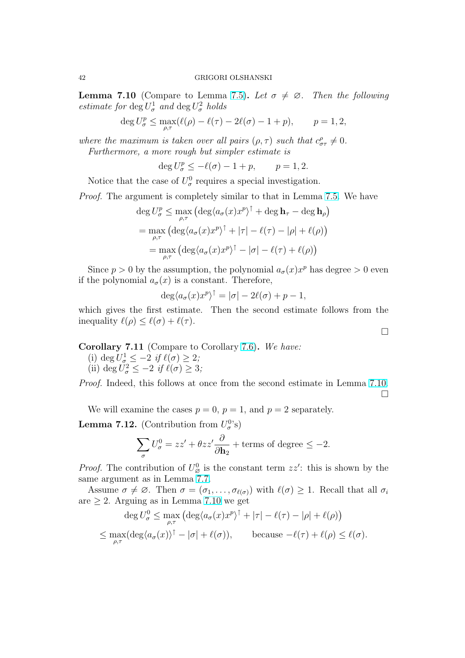<span id="page-41-0"></span>**Lemma 7.10** (Compare to Lemma 7.5). Let  $\sigma \neq \emptyset$ . Then the following estimate for  $\deg U^1_{\sigma}$  and  $\deg U^2_{\sigma}$  holds

$$
\deg U_{\sigma}^p \le \max_{\rho,\tau} (\ell(\rho) - \ell(\tau) - 2\ell(\sigma) - 1 + p), \qquad p = 1,2,
$$

where the maximum is taken over all [pair](#page-36-0)s  $(\rho, \tau)$  such that  $c_{\sigma\tau}^{\rho} \neq 0$ . Furthermore, a more rough but simpler estimate is

$$
\deg U_{\sigma}^p \le -\ell(\sigma) - 1 + p, \qquad p = 1, 2.
$$

Notice that the case of  $U^0_{\sigma}$  requires a special investigation.

Proof. The argument is completely similar to that in Lemma 7.5. We have ¡ ¢

$$
\deg U_{\sigma}^{p} \leq \max_{\rho,\tau} \left( \deg \langle a_{\sigma}(x) x^{p} \rangle^{\uparrow} + \deg \mathbf{h}_{\tau} - \deg \mathbf{h}_{\rho} \right)
$$
  
= 
$$
\max_{\rho,\tau} \left( \deg \langle a_{\sigma}(x) x^{p} \rangle^{\uparrow} + |\tau| - \ell(\tau) - |\rho| + \ell(\rho) \right)
$$
  
= 
$$
\max_{\rho,\tau} \left( \deg \langle a_{\sigma}(x) x^{p} \rangle^{\uparrow} - |\sigma| - \ell(\tau) + \ell(\rho) \right)
$$

Since  $p > 0$  by the assumption, the polynomial  $a_{\sigma}(x)x^p$  has degree  $> 0$  even if the polynomial  $a_{\sigma}(x)$  is a constant. Therefore,

$$
\deg \langle a_{\sigma}(x)x^p \rangle^{\uparrow} = |\sigma| - 2\ell(\sigma) + p - 1,
$$

which gives the first estimate. Then the second estimate follows from the inequality  $\ell(\rho) \leq \ell(\sigma) + \ell(\tau)$ .

Corollary 7.11 (Compare to Corollary 7.6). We have:

(i) deg  $U^1_{\sigma} \leq -2$  if  $\ell(\sigma) \geq 2$ ;

(ii) deg  $U^2_{\sigma} \leq -2$  if  $\ell(\sigma) \geq 3$ ;

Proof. Indeed, this follows at once from [the](#page-37-0) second estimate in Lemma 7.10.  $\Box$ 

We will examine the cases  $p = 0$ ,  $p = 1$ , and  $p = 2$  separately.

**Lemma 7.12.** (Contribution from  $U_{\sigma}^{0}$ 's)

$$
\sum_{\sigma} U_{\sigma}^{0} = zz' + \theta zz' \frac{\partial}{\partial \mathbf{h}_{2}} + \text{terms of degree} \leq -2.
$$

*Proof.* The contribution of  $U^0_{\varnothing}$  is the constant term  $zz'$ : this is shown by the same argument as in Lemma 7.7.

Assume  $\sigma \neq \emptyset$ . Then  $\sigma = (\sigma_1, \ldots, \sigma_{\ell(\sigma)})$  with  $\ell(\sigma) \geq 1$ . Recall that all  $\sigma_i$ are  $\geq 2$ . Arguing as in Lemma 7.10 we get ¡ ¢

$$
\deg U_{\sigma}^{0} \leq \max_{\rho,\tau} \left( \deg \langle a_{\sigma}(x)x^{p} \rangle^{\uparrow} + |\tau| - \ell(\tau) - |\rho| + \ell(\rho) \right)
$$
  

$$
\leq \max_{\rho,\tau} (\deg \langle a_{\sigma}(x) \rangle^{\uparrow} - |\sigma| + \ell(\sigma)), \qquad \text{because } -\ell(\tau) + \ell(\rho) \leq \ell(\sigma).
$$

 $\Box$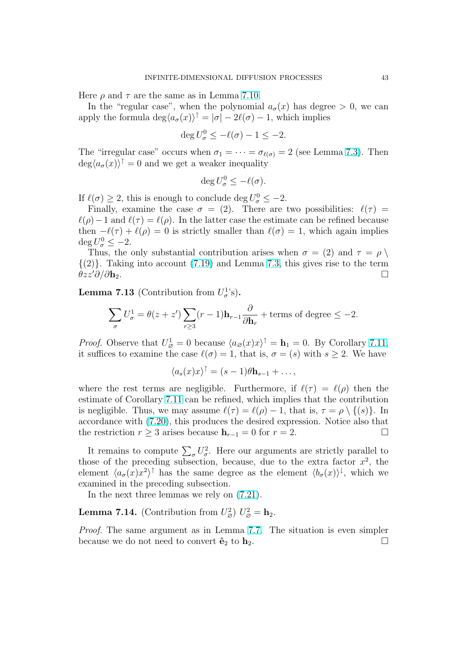Here  $\rho$  and  $\tau$  are the same as in Lemma 7.10.

In the "regular case", when the polynomial  $a_{\sigma}(x)$  has degree  $> 0$ , we can apply the formula  $\deg \langle a_{\sigma}(x) \rangle^{\dagger} = |\sigma| - 2\ell(\sigma) - 1$ , which implies

$$
\deg U_{\sigma}^0 \le -\ell(\sigma) - 1 \le -2.
$$

The "irregular case" occurs when  $\sigma_1 = \cdots = \sigma_{\ell(\sigma)} = 2$  (see Lemma 7.3). Then  $\deg \langle a_{\sigma}(x) \rangle^{\dagger} = 0$  and we get a weaker inequality

$$
\deg U_{\sigma}^0 \le -\ell(\sigma).
$$

If  $\ell(\sigma) \geq 2$ , this is enough to conclude deg  $U^0_{\sigma} \leq -2$ .

Finally, examine the case  $\sigma = (2)$ . There are two possibilities:  $\ell(\tau) =$  $\ell(\rho)-1$  and  $\ell(\tau) = \ell(\rho)$ . In the latter case the estimate can be refined because then  $-\ell(\tau) + \ell(\rho) = 0$  is strictly smaller than  $\ell(\sigma) = 1$ , which again implies  $\deg U_{\sigma}^0 \leq -2.$ 

Thus, the only substantial contribution arises when  $\sigma = (2)$  and  $\tau = \rho \setminus$  $\{(2)\}\$ . Taking into account  $(7.19)$  and Lemma 7.3, this gives rise to the term  $\theta zz'\partial/\partial h_2.$ 

**Lemma 7.13** (Contribution from  $U_{\sigma}^{1}$ 's).

$$
\sum_{\sigma} U_{\sigma}^1 = \theta(z + z') \sum_{r \ge 3} (r - 1) \mathbf{h}_{r-1} \frac{\partial}{\partial \mathbf{h}_r} + \text{terms of degree } \le -2.
$$

*Proof.* Observe that  $U^1_{\emptyset} = 0$  because  $\langle a_{\emptyset}(x)x \rangle^{\dagger} = \mathbf{h}_1 = 0$ . By Corollary 7.11, it suffices to examine the case  $\ell(\sigma) = 1$ , that is,  $\sigma = (s)$  with  $s \geq 2$ . We have

$$
\langle a_s(x)x\rangle^{\uparrow} = (s-1)\theta \mathbf{h}_{s-1} + \dots,
$$

where the rest terms are negligible. Furthermore, if  $\ell(\tau) = \ell(\rho)$  the[n the](#page-41-0) estimate of Corollary 7.11 can be refined, which implies that the contribution is negligible. Thus, we may assume  $\ell(\tau) = \ell(\rho) - 1$ , that is,  $\tau = \rho \setminus \{ (s) \}.$  In accordance with (7.20), this produces the desired expression. Notice also that the restriction  $r \geq 3$  [arises](#page-41-0) because  $h_{r-1} = 0$  for  $r = 2$ .

It remains to compute  $\sum_{\sigma} U_{\sigma}^2$ . Here our arguments are strictly parallel to those of the pre[ceding](#page-40-0) subsection, because, due to the extra factor  $x^2$ , the element  $\langle a_{\sigma}(x)x^2 \rangle^{\dagger}$  has the same degree as the element  $\langle b_{\sigma}(x) \rangle^{\dagger}$ , which we examined in the preceding subsection.

In the next three lemmas we rely on (7.21).

**Lemma 7.14.** (Contribution from  $U_{\varnothing}^2$ )  $U_{\varnothing}^2 = \mathbf{h}_2$ .

Proof. The same argument as in Lemma [7.7](#page-40-0). The situation is even simpler because we do not need to convert  $\hat{\mathbf{e}}_2$  to  $\mathbf{h}_2$ .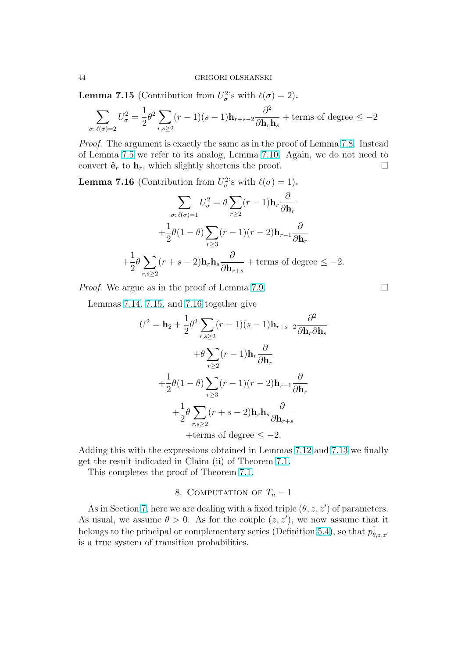<span id="page-43-0"></span>**Lemma 7.15** (Contribution from  $U_{\sigma}^2$ 's with  $\ell(\sigma) = 2$ ).

$$
\sum_{\sigma:\,\ell(\sigma)=2} U_\sigma^2 = \frac{1}{2} \theta^2 \sum_{r,s\geq 2} (r-1)(s-1) \mathbf{h}_{r+s-2} \frac{\partial^2}{\partial \mathbf{h}_r \mathbf{h}_s} + \text{terms of degree} \leq -2
$$

Proof. The argument is exactly the same as in the proof of Lemma 7.8. Instead of Lemma 7.5 we refer to its analog, Lemma 7.10. Again, we do not need to convert  $\hat{\mathbf{e}}_r$  to  $\mathbf{h}_r$ , which slightly shortens the proof.  $\Box$ 

**Lemma 7.16** (Contribution from  $U_{\sigma}^2$ 's with  $\ell(\sigma) = 1$ ).

$$
\sum_{\sigma:\ell(\sigma)=1} U_{\sigma}^2 = \theta \sum_{r\geq 2} (r-1) \mathbf{h}_r \frac{\partial}{\partial \mathbf{h}_r}
$$

$$
+ \frac{1}{2} \theta (1-\theta) \sum_{r\geq 3} (r-1)(r-2) \mathbf{h}_{r-1} \frac{\partial}{\partial \mathbf{h}_r}
$$

$$
+ \frac{1}{2} \theta \sum_{r,s\geq 2} (r+s-2) \mathbf{h}_r \mathbf{h}_s \frac{\partial}{\partial \mathbf{h}_{r+s}} + \text{terms of degree } \leq -2.
$$

*Proof.* We argue as in the proof of Lemma 7.9.  $\Box$ 

Lemmas 7.14, 7.15, and 7.16 together give

$$
U^{2} = \mathbf{h}_{2} + \frac{1}{2}\theta^{2} \sum_{r,s\geq 2} (r-1)(s-1)\mathbf{h}_{r+s-2} \frac{\partial^{2}}{\partial \mathbf{h}_{r} \partial \mathbf{h}_{s}}
$$

$$
+ \theta \sum_{r\geq 2} (r-1)\mathbf{h}_{r} \frac{\partial}{\partial \mathbf{h}_{r}}
$$

$$
+ \frac{1}{2}\theta(1-\theta) \sum_{r\geq 3} (r-1)(r-2)\mathbf{h}_{r-1} \frac{\partial}{\partial \mathbf{h}_{r}}
$$

$$
+ \frac{1}{2}\theta \sum_{r,s\geq 2} (r+s-2)\mathbf{h}_{r}\mathbf{h}_{s} \frac{\partial}{\partial \mathbf{h}_{r+s}}
$$

$$
+ terms of degree \leq -2.
$$

Adding this with the expressions obtained in Lemmas 7.12 and 7.13 we finally get the result indicated in Claim (ii) of Theorem 7.1.

This completes the proof of Theorem 7.1.

# 8. COMPUTATION OF  $T_n-1$

As in Section 7, here we are dealing wi[th a](#page-29-0) fixed triple  $(\theta, z, z')$  of parameters. As usual, we assume  $\theta > 0$ . As for the couple  $(z, z')$ , we now assume that it belongs to the principal or complementary series (Definition 5.4), so that  $p_{\theta}^{\uparrow}$  $\theta, z, z'$ is a true syste[m o](#page-28-0)f transition probabilities.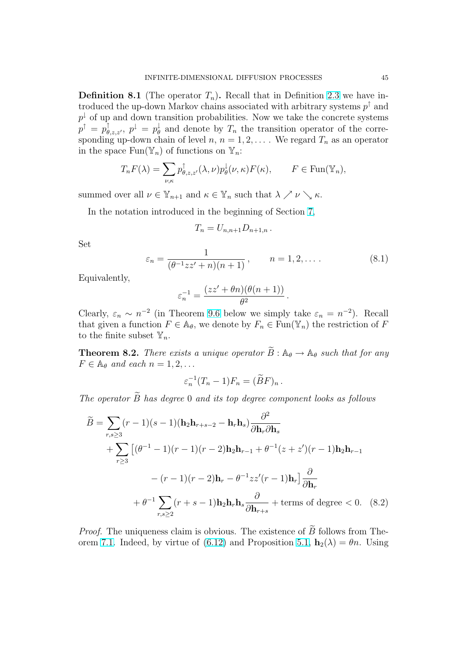<span id="page-44-0"></span>**Definition 8.1** (The operator  $T_n$ ). Recall that in Definition 2.3 we have introduced the up-down Markov chains associated with arbitrary systems  $p^{\uparrow}$  and  $p^{\downarrow}$  of up and down transition probabilities. Now we take the concrete systems  $p^{\uparrow} \, = \, p^{\uparrow}_{\theta, z, z'}, \; p^{\downarrow} \, = \, p^{\downarrow}_{\theta}$  $\frac{1}{\theta}$  and denote by  $T_n$  the transition operat[or o](#page-15-0)f the corresponding up-down chain of level  $n, n = 1, 2, \ldots$ . We regard  $T_n$  as an operator in the space  $\text{Fun}(\mathbb{Y}_n)$  of functions on  $\mathbb{Y}_n$ :

$$
T_n F(\lambda) = \sum_{\nu,\kappa} p_{\theta,z,z'}^{\dagger}(\lambda,\nu) p_{\theta}^{\dagger}(\nu,\kappa) F(\kappa), \qquad F \in \text{Fun}(\mathbb{Y}_n),
$$

summed over all  $\nu \in \mathbb{Y}_{n+1}$  and  $\kappa \in \mathbb{Y}_n$  such that  $\lambda \nearrow \nu \searrow \kappa$ .

In the notation introduced in the beginning of Section 7,

$$
T_n=U_{n,n+1}D_{n+1,n}.
$$

Set

$$
\varepsilon_n = \frac{1}{(\theta^{-1}zz' + n)(n+1)}, \qquad n = 1, 2, \dots
$$
\n(8.1)

.

Equivalently,

$$
\varepsilon_n^{-1} = \frac{(zz' + \theta n)(\theta(n+1))}{\theta^2}
$$

Clearly,  $\varepsilon_n \sim n^{-2}$  (in Theorem 9.6 below we simply take  $\varepsilon_n = n^{-2}$ ). Recall that given a function  $F \in \mathbb{A}_{\theta}$ , we denote by  $F_n \in \text{Fun}(\mathbb{Y}_n)$  the restriction of F to the finite subset  $\mathbb{Y}_n$ .

**Theorem 8.2.** There exists a u[niqu](#page-54-0)e operator  $\widetilde{B}: \mathbb{A}_{\theta} \to \mathbb{A}_{\theta}$  such that for any  $F \in \mathbb{A}_{\theta}$  and each  $n = 1, 2, \ldots$ 

$$
\varepsilon_n^{-1}(T_n-1)F_n = (\widetilde{B}F)_n.
$$

The operator  $\widetilde{B}$  has degree 0 and its top degree component looks as follows

$$
\widetilde{B} = \sum_{r,s\geq 3} (r-1)(s-1)(\mathbf{h}_2 \mathbf{h}_{r+s-2} - \mathbf{h}_r \mathbf{h}_s) \frac{\partial^2}{\partial \mathbf{h}_r \partial \mathbf{h}_s}
$$
  
+ 
$$
\sum_{r\geq 3} \left[ (\theta^{-1} - 1)(r-1)(r-2)\mathbf{h}_2 \mathbf{h}_{r-1} + \theta^{-1}(z+z')(r-1)\mathbf{h}_2 \mathbf{h}_{r-1} - (r-1)(r-2)\mathbf{h}_r - \theta^{-1}zz'(r-1)\mathbf{h}_r \right] \frac{\partial}{\partial \mathbf{h}_r}
$$
  
+ 
$$
\theta^{-1} \sum_{r,s\geq 2} (r+s-1)\mathbf{h}_2 \mathbf{h}_r \mathbf{h}_s \frac{\partial}{\partial \mathbf{h}_{r+s}} + \text{terms of degree} < 0. \quad (8.2)
$$

*Proof.* The uniqueness claim is obvious. The existence of  $\widetilde{B}$  follows from Theorem 7.1. Indeed, by virtue of (6.12) and Proposition 5.1,  $\mathbf{h}_2(\lambda) = \theta n$ . Using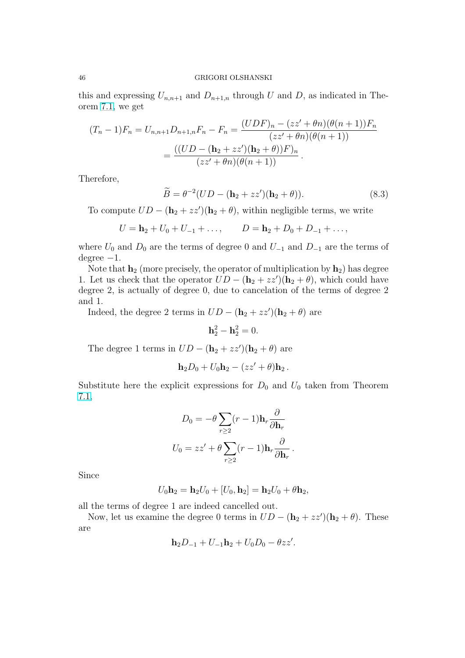<span id="page-45-0"></span>this and expressing  $U_{n,n+1}$  and  $D_{n+1,n}$  through U and D, as indicated in Theorem 7.1, we get

$$
(T_n - 1)F_n = U_{n,n+1}D_{n+1,n}F_n - F_n = \frac{(UDF)_n - (zz' + \theta n)(\theta(n+1))F_n}{(zz' + \theta n)(\theta(n+1))}
$$

$$
= \frac{((UD - (\mathbf{h}_2 + zz')(\mathbf{h}_2 + \theta))F)_n}{(zz' + \theta n)(\theta(n+1))}.
$$

Therefore,

$$
\widetilde{B} = \theta^{-2}(UD - (\mathbf{h}_2 + zz')(\mathbf{h}_2 + \theta)).\tag{8.3}
$$

To compute  $UD - (\mathbf{h}_2 + zz')(\mathbf{h}_2 + \theta)$ , within negligible terms, we write

$$
U = \mathbf{h}_2 + U_0 + U_{-1} + \dots, \qquad D = \mathbf{h}_2 + D_0 + D_{-1} + \dots,
$$

where  $U_0$  and  $D_0$  are the terms of degree 0 and  $U_{-1}$  and  $D_{-1}$  are the terms of degree  $-1$ .

Note that  $\mathbf{h}_2$  (more precisely, the operator of multiplication by  $\mathbf{h}_2$ ) has degree 1. Let us check that the operator  $UD - (\mathbf{h}_2 + zz')(\mathbf{h}_2 + \theta)$ , which could have degree 2, is actually of degree 0, due to cancelation of the terms of degree 2 and 1.

Indeed, the degree 2 terms in  $UD - (\mathbf{h}_2 + zz')(\mathbf{h}_2 + \theta)$  are

$$
\mathbf{h}_2^2 - \mathbf{h}_2^2 = 0.
$$

The degree 1 terms in  $UD - (\mathbf{h}_2 + zz')(\mathbf{h}_2 + \theta)$  are

$$
\mathbf{h}_2D_0+U_0\mathbf{h}_2-(zz'+\theta)\mathbf{h}_2.
$$

Substitute here the explicit expressions for  $D_0$  and  $U_0$  taken from Theorem 7.1,

$$
D_0 = -\theta \sum_{r \ge 2} (r - 1) \mathbf{h}_r \frac{\partial}{\partial \mathbf{h}_r}
$$

$$
U_0 = zz' + \theta \sum_{r \ge 2} (r - 1) \mathbf{h}_r \frac{\partial}{\partial \mathbf{h}_r}.
$$

Since

$$
U_0\mathbf{h}_2 = \mathbf{h}_2 U_0 + [U_0, \mathbf{h}_2] = \mathbf{h}_2 U_0 + \theta \mathbf{h}_2,
$$

all the terms of degree 1 are indeed cancelled out.

Now, let us examine the degree 0 terms in  $UD - (\mathbf{h}_2 + zz')(\mathbf{h}_2 + \theta)$ . These are

$$
\mathbf{h}_2 D_{-1} + U_{-1} \mathbf{h}_2 + U_0 D_0 - \theta z z'.
$$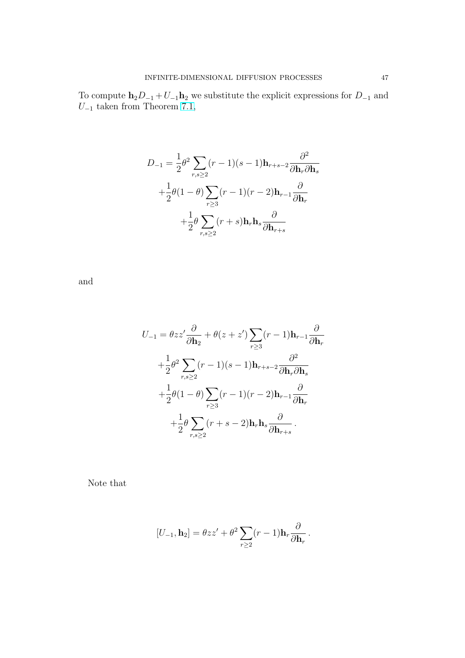To compute  $h_2D_{-1} + U_{-1}h_2$  we substitute the explicit expressions for  $D_{-1}$  and  $U_{-1}$  taken from Theorem 7.1,

$$
D_{-1} = \frac{1}{2}\theta^2 \sum_{r,s\geq 2} (r-1)(s-1)\mathbf{h}_{r+s-2} \frac{\partial^2}{\partial \mathbf{h}_r \partial \mathbf{h}_s}
$$
  
+ 
$$
\frac{1}{2}\theta(1-\theta) \sum_{r\geq 3} (r-1)(r-2)\mathbf{h}_{r-1} \frac{\partial}{\partial \mathbf{h}_r}
$$
  
+ 
$$
\frac{1}{2}\theta \sum_{r,s\geq 2} (r+s)\mathbf{h}_r \mathbf{h}_s \frac{\partial}{\partial \mathbf{h}_{r+s}}
$$

and

$$
U_{-1} = \theta zz' \frac{\partial}{\partial \mathbf{h}_2} + \theta(z+z') \sum_{r \ge 3} (r-1)\mathbf{h}_{r-1} \frac{\partial}{\partial \mathbf{h}_r}
$$
  
+  $\frac{1}{2} \theta^2 \sum_{r,s \ge 2} (r-1)(s-1)\mathbf{h}_{r+s-2} \frac{\partial^2}{\partial \mathbf{h}_r \partial \mathbf{h}_s}$   
+  $\frac{1}{2} \theta (1-\theta) \sum_{r \ge 3} (r-1)(r-2)\mathbf{h}_{r-1} \frac{\partial}{\partial \mathbf{h}_r}$   
+  $\frac{1}{2} \theta \sum_{r,s \ge 2} (r+s-2)\mathbf{h}_r \mathbf{h}_s \frac{\partial}{\partial \mathbf{h}_{r+s}}$ .

Note that

$$
[U_{-1}, \mathbf{h}_2] = \theta zz' + \theta^2 \sum_{r \geq 2} (r-1) \mathbf{h}_r \frac{\partial}{\partial \mathbf{h}_r}.
$$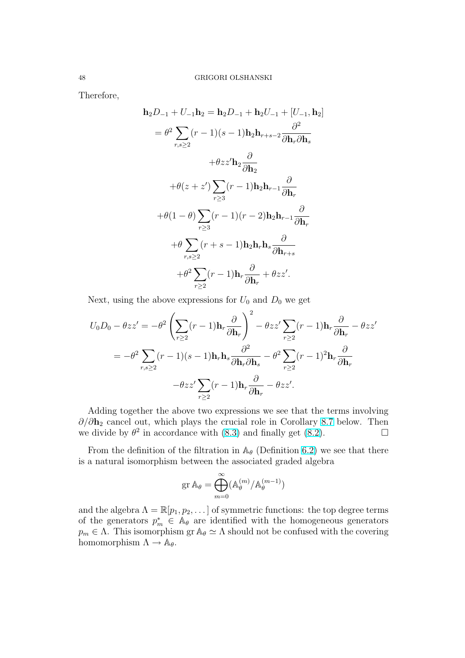<span id="page-47-0"></span>Therefore,

$$
\mathbf{h}_2 D_{-1} + U_{-1} \mathbf{h}_2 = \mathbf{h}_2 D_{-1} + \mathbf{h}_2 U_{-1} + [U_{-1}, \mathbf{h}_2]
$$
  
\n
$$
= \theta^2 \sum_{r,s \ge 2} (r-1)(s-1) \mathbf{h}_2 \mathbf{h}_{r+s-2} \frac{\partial^2}{\partial \mathbf{h}_r \partial \mathbf{h}_s}
$$
  
\n
$$
+ \theta z z' \mathbf{h}_2 \frac{\partial}{\partial \mathbf{h}_2}
$$
  
\n
$$
+ \theta (z + z') \sum_{r \ge 3} (r-1) \mathbf{h}_2 \mathbf{h}_{r-1} \frac{\partial}{\partial \mathbf{h}_r}
$$
  
\n
$$
+ \theta (1 - \theta) \sum_{r \ge 3} (r-1)(r-2) \mathbf{h}_2 \mathbf{h}_{r-1} \frac{\partial}{\partial \mathbf{h}_r}
$$
  
\n
$$
+ \theta \sum_{r,s \ge 2} (r+s-1) \mathbf{h}_2 \mathbf{h}_r \mathbf{h}_s \frac{\partial}{\partial \mathbf{h}_{r+s}}
$$
  
\n
$$
+ \theta^2 \sum_{r \ge 2} (r-1) \mathbf{h}_r \frac{\partial}{\partial \mathbf{h}_r} + \theta z z'.
$$

Next, using the above expressions for  $U_0$  and  $D_0$  we get

$$
U_0 D_0 - \theta zz' = -\theta^2 \left( \sum_{r \ge 2} (r-1) \mathbf{h}_r \frac{\partial}{\partial \mathbf{h}_r} \right)^2 - \theta zz' \sum_{r \ge 2} (r-1) \mathbf{h}_r \frac{\partial}{\partial \mathbf{h}_r} - \theta zz'
$$
  
=  $-\theta^2 \sum_{r,s \ge 2} (r-1)(s-1) \mathbf{h}_r \mathbf{h}_s \frac{\partial^2}{\partial \mathbf{h}_r \partial \mathbf{h}_s} - \theta^2 \sum_{r \ge 2} (r-1)^2 \mathbf{h}_r \frac{\partial}{\partial \mathbf{h}_r} - \theta zz' \sum_{r \ge 2} (r-1) \mathbf{h}_r \frac{\partial}{\partial \mathbf{h}_r} - \theta zz'.$ 

Adding together the above two expressions we see that the terms involving  $\partial/\partial h_2$  cancel out, which plays the crucial role in Corollary 8.7 below. Then we divide by  $\theta^2$  in accordance with (8.3) and finally get (8.2).

From the definition of the filtration in  $\mathbb{A}_{\theta}$  (Definition 6.2) we see that there is a natural isomorphism between the associated graded alg[ebra](#page-49-0)

$$
\operatorname{gr} \mathbb{A}_{\theta} = \bigoplus_{m=0}^{\infty} (\mathbb{A}_{\theta}^{(m)}/\mathbb{A}_{\theta}^{(m-1)})
$$

and the algebra  $\Lambda = \mathbb{R}[p_1, p_2, \dots]$  of symmetric functions: the top degree terms of the generators  $p_m^* \in A_\theta$  are identified with the homogeneous generators  $p_m \in \Lambda$ . This isomorphism gr  $\mathbb{A}_{\theta} \simeq \Lambda$  should not be confused with the covering homomorphism  $\Lambda \to \mathbb{A}_{\theta}$ .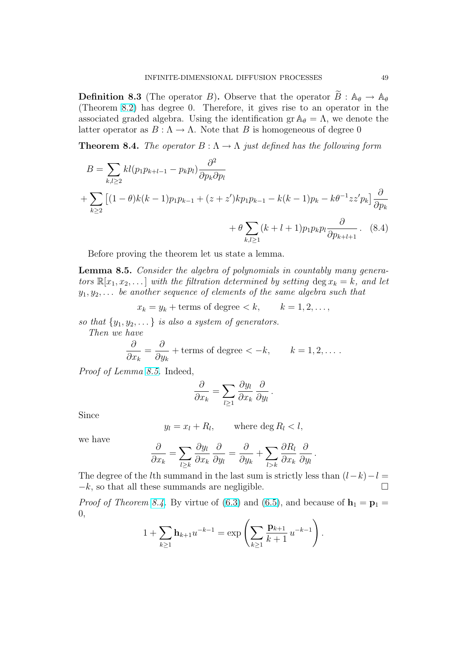<span id="page-48-0"></span>**Definition 8.3** (The operator B). Observe that the operator  $\widetilde{B}$ :  $\mathbb{A}_{\theta} \to \mathbb{A}_{\theta}$ (Theorem 8.2) has degree 0. Therefore, it gives rise to an operator in the associated graded algebra. Using the identification gr  $\mathbb{A}_{\theta} = \Lambda$ , we denote the latter operator as  $B : \Lambda \to \Lambda$ . Note that B is homogeneous of degree 0

**Theorem [8.4](#page-44-0).** The operator  $B: \Lambda \to \Lambda$  just defined has the following form

$$
B = \sum_{k,l\geq 2} kl(p_1 p_{k+l-1} - p_k p_l) \frac{\partial^2}{\partial p_k \partial p_l} + \sum_{k\geq 2} [(1-\theta)k(k-1)p_1 p_{k-1} + (z+z')kp_1 p_{k-1} - k(k-1)p_k - k\theta^{-1}zz'p_k] \frac{\partial}{\partial p_k} + \theta \sum_{k,l\geq 1} (k+l+1)p_1 p_k p_l \frac{\partial}{\partial p_{k+l+1}}.
$$
 (8.4)

Before proving the theorem let us state a lemma.

Lemma 8.5. Consider the algebra of polynomials in countably many generators  $\mathbb{R}[x_1, x_2, \dots]$  with the filtration determined by setting  $\deg x_k = k$ , and let  $y_1, y_2, \ldots$  be another sequence of elements of the same algebra such that

 $x_k = y_k + \text{terms of degree} < k, \qquad k = 1, 2, \ldots,$ 

so that  $\{y_1, y_2, \ldots\}$  is also a system of generators.

Then we have ∂  $\partial x_k$ =  $\partial$  $\partial y_k$ + terms of degree  $\lt -k$ ,  $k = 1, 2, \ldots$ .

Proof of Lemma 8.5. Indeed,

$$
\frac{\partial}{\partial x_k} = \sum_{l \ge 1} \frac{\partial y_l}{\partial x_k} \frac{\partial}{\partial y_l}.
$$

Since

$$
y_l = x_l + R_l, \qquad \text{where } \deg R_l < l,
$$

we have

$$
\frac{\partial}{\partial x_k} = \sum_{l \geq k} \frac{\partial y_l}{\partial x_k} \frac{\partial}{\partial y_l} = \frac{\partial}{\partial y_k} + \sum_{l > k} \frac{\partial R_l}{\partial x_k} \frac{\partial}{\partial y_l}.
$$

The degree of the *l*th summand in the last sum is strictly less than  $(l-k)-l =$  $-k$ , so that all these summands are negligible.  $\Box$ 

*Proof of Theorem 8.4.* By virtue of (6.3) and (6.5), and because of  $\mathbf{h}_1 = \mathbf{p}_1 =$ 0, !<br>}

$$
1 + \sum_{k \ge 1} \mathbf{h}_{k+1} u^{-k-1} = \exp \left( \sum_{k \ge 1} \frac{\mathbf{p}_{k+1}}{k+1} u^{-k-1} \right).
$$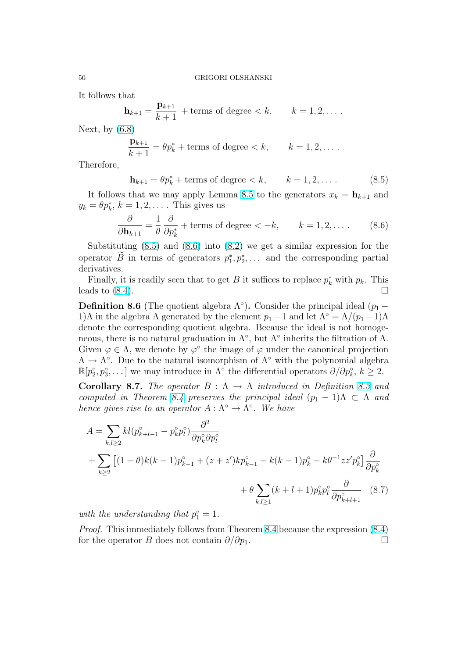<span id="page-49-0"></span>It follows that

$$
\mathbf{h}_{k+1} = \frac{\mathbf{p}_{k+1}}{k+1} + \text{terms of degree} < k, \qquad k = 1, 2, \dots.
$$

Next, by  $(6.8)$ 

$$
\frac{\mathbf{p}_{k+1}}{k+1} = \theta p_k^* + \text{terms of degree} < k, \qquad k = 1, 2, \dots.
$$

Therefore[,](#page-26-0)

$$
\mathbf{h}_{k+1} = \theta p_k^* + \text{terms of degree} < k, \qquad k = 1, 2, \dots \tag{8.5}
$$

It follows that we may apply Lemma 8.5 to the generators  $x_k = \mathbf{h}_{k+1}$  and  $y_k = \theta p_k^*, k = 1, 2, \dots$ . This gives us

$$
\frac{\partial}{\partial \mathbf{h}_{k+1}} = \frac{1}{\theta} \frac{\partial}{\partial p_k^*} + \text{terms of degree } < -k, \qquad k = 1, 2, \dots \tag{8.6}
$$

Substituting  $(8.5)$  and  $(8.6)$  into  $(8.2)$  we get a similar expression for the operator  $\widetilde{B}$  in terms of generators  $p_1^*, p_2^*, \ldots$  and the corresponding partial derivatives.

Finally, it is readily seen that to get [B](#page-44-0) it suffices to replace  $p_k^*$  with  $p_k$ . This leads to  $(8.4)$ .

**Definition 8.6** (The quotient algebra  $\Lambda^{\circ}$ ). Consider the principal ideal ( $p_1$  – 1)Λ in the algebra Λ generated by the element  $p_1 - 1$  and let  $\Lambda^\circ = \Lambda/(p_1 - 1)\Lambda$ denote t[he co](#page-48-0)rresponding quotient algebra. Because the ideal is not homogeneous, there is no natural graduation in  $\Lambda^{\circ}$ , but  $\Lambda^{\circ}$  inherits the filtration of  $\Lambda$ . Given  $\varphi \in \Lambda$ , we denote by  $\varphi^{\circ}$  the image of  $\varphi$  under the canonical projection  $\Lambda \to \Lambda^{\circ}$ . Due to the natural isomorphism of  $\Lambda^{\circ}$  with the polynomial algebra  $\mathbb{R}[p_2^{\circ}, p_3^{\circ}, \dots]$  we may introduce in  $\Lambda^{\circ}$  the differential operators  $\partial/\partial p_k^{\circ}, k \geq 2$ .

**Corollary 8.7.** The operator  $B : \Lambda \to \Lambda$  introduced in Definition 8.3 and computed in Theorem 8.4 preserves the principal ideal  $(p_1 - 1)\Lambda \subset \Lambda$  and hence gives rise to an operator  $A : \Lambda^{\circ} \to \Lambda^{\circ}$ . We have

$$
A = \sum_{k,l\geq 2} kl(p_{k+l-1}^{\circ} - p_k^{\circ} p_l^{\circ}) \frac{\partial^2}{\partial p_k^{\circ} \partial p_l^{\circ}}
$$
  
+ 
$$
\sum_{k\geq 2} [(1-\theta)k(k-1)p_{k-1}^{\circ} + (z+z')kp_{k-1}^{\circ} - k(k-1)p_k^{\circ} - k\theta^{-1}zz'p_k^{\circ}] \frac{\partial}{\partial p_k^{\circ}}
$$
  
+ 
$$
\theta \sum_{k,l\geq 1} (k+l+1)p_k^{\circ} p_l^{\circ} \frac{\partial}{\partial p_{k+l+1}^{\circ}} \quad (8.7)
$$

with the understanding that  $p_1^{\circ} = 1$ .

Proof. This immediately follows from Theorem 8.4 because the expression (8.4) for the operator B does not contain  $\partial/\partial p_1$ .  $\Box$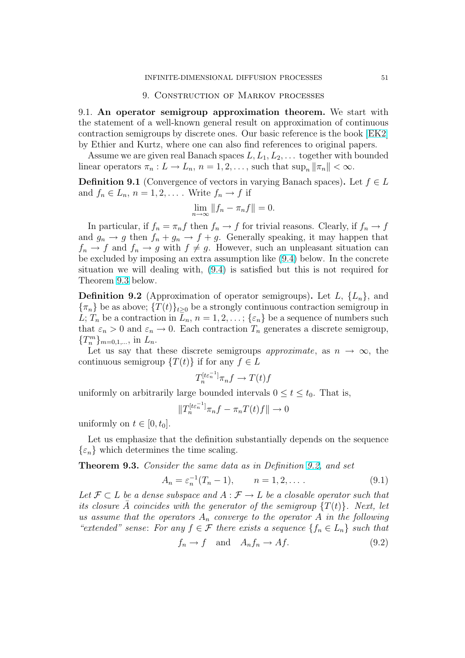#### 9. Construction of Markov processes

<span id="page-50-0"></span>9.1. An operator semigroup approximation theorem. We start with the statement of a well-known general result on approximation of continuous contraction semigroups by discrete ones. Our basic reference is the book [EK2] by Ethier and Kurtz, where one can also find references to original papers.

Assume we are given real Banach spaces  $L, L_1, L_2, \ldots$  together with bounded linear operators  $\pi_n: L \to L_n$ ,  $n = 1, 2, \ldots$ , such that  $\sup_n ||\pi_n|| < \infty$ .

**Definition 9.1** (Convergence of vectors in varying Banach spaces). Let  $f \in L$ and  $f_n \in L_n$ ,  $n = 1, 2, \ldots$ . Write  $f_n \to f$  if

$$
\lim_{n \to \infty} \|f_n - \pi_n f\| = 0.
$$

In particular, if  $f_n = \pi_n f$  then  $f_n \to f$  for trivial reasons. Clearly, if  $f_n \to f$ and  $g_n \to g$  then  $f_n + g_n \to f + g$ . Generally speaking, it may happen that  $f_n \to f$  and  $f_n \to g$  with  $f \neq g$ . However, such an unpleasant situation can be excluded by imposing an extra assumption like (9.4) below. In the concrete situation we will dealing with, (9.4) is satisfied but this is not required for Theorem 9.3 below.

**Definition 9.2** (Approximation of operator semi[grou](#page-52-0)ps). Let  $L$ ,  $\{L_n\}$ , and  ${\lbrace \pi_n \rbrace}$  be as above;  ${T(t)}_{t\geq0}$  be a [stro](#page-52-0)ngly continuous contraction semigroup in L;  $T_n$  be a contraction in  $L_n$ ,  $n = 1, 2, \ldots$ ;  $\{\varepsilon_n\}$  be a sequence of numbers such that  $\varepsilon_n > 0$  and  $\varepsilon_n \to 0$ . Each contraction  $T_n$  generates a discrete semigroup,  ${T_n^m}_{n=0,1,...}$ , in  $L_n$ .

Let us say that these discrete semigroups *approximate*, as  $n \to \infty$ , the continuous semigroup  $\{T(t)\}\$ if for any  $f \in L$ 

$$
T_n^{[t\varepsilon_n^{-1}]} \pi_n f \to T(t)f
$$

uniformly on arbitrarily large bounded intervals  $0 \le t \le t_0$ . That is,

$$
||T_n^{[t\varepsilon_n^{-1}]} \pi_n f - \pi_n T(t) f|| \to 0
$$

uniformly on  $t \in [0, t_0]$ .

Let us emphasize that the definition substantially depends on the sequence  $\{\varepsilon_n\}$  which determines the time scaling.

Theorem 9.3. Consider the same data as in Definition 9.2, and set

$$
A_n = \varepsilon_n^{-1}(T_n - 1), \qquad n = 1, 2, \dots
$$
 (9.1)

Let  $\mathcal{F} \subset L$  be a dense subspace and  $A : \mathcal{F} \to L$  be a closable operator such that its closure A coincides with the generator of the semigroup  ${T(t)}$ . Next, let us assume that the operators  $A_n$  converge to the operator A in the following "extended" sense: For any  $f \in \mathcal{F}$  there exists a sequence  $\{f_n \in L_n\}$  such that

$$
f_n \to f \quad \text{and} \quad A_n f_n \to A f. \tag{9.2}
$$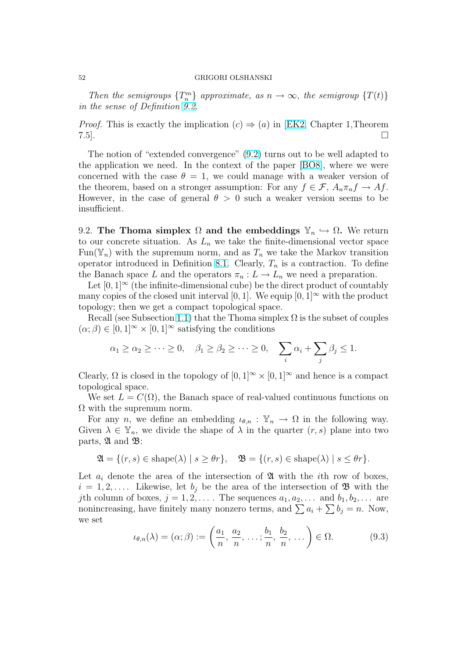<span id="page-51-0"></span>Then the semigroups  $\{T_n^m\}$  approximate, as  $n \to \infty$ , the semigroup  $\{T(t)\}$ in the sense of Definition 9.2.

*Proof.* This is exactly the implication  $(c) \Rightarrow (a)$  in [EK2, Chapter 1, Theorem  $7.5$ ].

The notion of "extended convergence" (9.2) turns out to be well adapted to the application we need. In the context of the pa[per \[B](#page-60-0)O8], where we were concerned with the case  $\theta = 1$ , we could manage with a weaker version of the theorem, based on a stronger assumption: For any  $f \in \mathcal{F}$ ,  $A_n \pi_n f \to Af$ . However, in the case of general  $\theta > 0$  [such](#page-50-0) a weake[r vers](#page-60-0)ion seems to be insufficient.

9.2. The Thoma simplex  $\Omega$  and the embeddings  $\mathbb{Y}_n \hookrightarrow \Omega$ . We return to our concrete situation. As  $L_n$  we take the finite-dimensional vector space Fun( $\mathbb{Y}_n$ ) with the supremum norm, and as  $T_n$  we take the Markov transition operator introduced in Definition 8.1. Clearly,  $T_n$  is a contraction. To define the Banach space L and the operators  $\pi_n : L \to L_n$  we need a preparation.

Let  $[0,1]^\infty$  (the infinite-dimensional cube) be the direct product of countably many copies of the closed unit interval [0, 1]. We equip [0, 1] $\infty$  with the product topology; then we get a compact [topo](#page-43-0)logical space.

Recall (see Subsection 1.1) that the Thoma simplex  $\Omega$  is the subset of couples  $(\alpha; \beta) \in [0, 1]^\infty \times [0, 1]^\infty$  satisfying the conditions

$$
\alpha_1 \ge \alpha_2 \ge \cdots \ge 0
$$
,  $\beta_1 \ge \beta_2 \ge \cdots \ge 0$ ,  $\sum_i \alpha_i + \sum_j \beta_j \le 1$ .

Clearly,  $\Omega$  is closed in the topology of  $[0, 1]^\infty \times [0, 1]^\infty$  and hence is a compact topological space.

We set  $L = C(\Omega)$ , the Banach space of real-valued continuous functions on  $\Omega$  with the supremum norm.

For any *n*, we define an embedding  $u_{\theta,n}$ :  $\mathbb{Y}_n \to \Omega$  in the following way. Given  $\lambda \in \mathbb{Y}_n$ , we divide the shape of  $\lambda$  in the quarter  $(r, s)$  plane into two parts,  $\mathfrak A$  and  $\mathfrak B$ :

$$
\mathfrak{A} = \{ (r, s) \in \text{shape}(\lambda) \mid s \ge \theta r \}, \quad \mathfrak{B} = \{ (r, s) \in \text{shape}(\lambda) \mid s \le \theta r \}.
$$

Let  $a_i$  denote the area of the intersection of  $\mathfrak A$  with the *i*th row of boxes,  $i = 1, 2, \ldots$ . Likewise, let  $b_i$  be the area of the intersection of  $\mathfrak{B}$  with the jth column of boxes,  $j = 1, 2, \ldots$ . The sequences  $a_1, a_2, \ldots$  and  $b_1, b_2, \ldots$  are jun column of boxes,  $j = 1, 2, \ldots$ . The sequences  $a_1, a_2, \ldots$  and  $b_1, b_2, \ldots$  are nonincreasing, have finitely many nonzero terms, and  $\sum a_i + \sum b_j = n$ . Now, we set

$$
\iota_{\theta,n}(\lambda) = (\alpha;\beta) := \left(\frac{a_1}{n}, \frac{a_2}{n}, \dots; \frac{b_1}{n}, \frac{b_2}{n}, \dots\right) \in \Omega.
$$
 (9.3)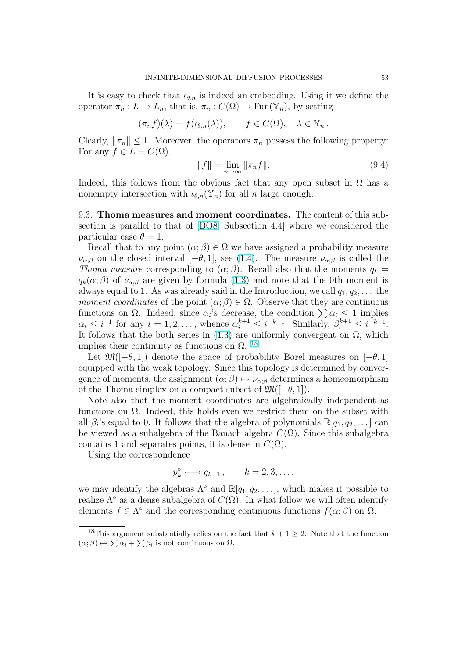<span id="page-52-0"></span>It is easy to check that  $\iota_{\theta,n}$  is indeed an embedding. Using it we define the operator  $\pi_n: L \to L_n$ , that is,  $\pi_n: C(\Omega) \to \text{Fun}(\mathbb{Y}_n)$ , by setting

$$
(\pi_n f)(\lambda) = f(\iota_{\theta,n}(\lambda)), \qquad f \in C(\Omega), \quad \lambda \in \mathbb{Y}_n.
$$

Clearly,  $\|\pi_n\| \leq 1$ . Moreover, the operators  $\pi_n$  possess the following property: For any  $f \in L = C(\Omega)$ ,

$$
||f|| = \lim_{n \to \infty} ||\pi_n f||. \tag{9.4}
$$

Indeed, this follows from the obvious fact that any open subset in  $\Omega$  has a nonempty intersection with  $\iota_{\theta,n}(\mathbb{Y}_n)$  for all n large enough.

9.3. Thoma measures and moment coordinates. The content of this subsection is parallel to that of [BO8, Subsection 4.4] where we considered the particular case  $\theta = 1$ .

Recall that to any point  $(\alpha; \beta) \in \Omega$  we have assigned a probability measure  $\nu_{\alpha;\beta}$  on the closed interval  $[-\theta,1]$ , see (1.4). The measure  $\nu_{\alpha;\beta}$  is called the Thoma measure corresponding to  $(\alpha;\beta)$ . Recall also that the moments  $q_k =$  $q_k(\alpha;\beta)$  of  $\nu_{\alpha;\beta}$  are given by formula (1.3) and note that the 0th moment is always equal to 1. As was already said in the Introduction, we call  $q_1, q_2, \ldots$  the moment coordinates of the point  $(\alpha; \beta) \in \Omega$ . Observe that they are continuous *moment coordinates* of the point  $(\alpha; \rho) \in \Omega$ . Observe that they are continuous functions on  $\Omega$ . Indeed, since  $\alpha_i$ 's de[creas](#page-5-0)e, the condition  $\sum \alpha_i \leq 1$  implies  $\alpha_i \leq i^{-1}$  for any  $i = 1, 2, \ldots$ , whence  $\alpha_i^{k+1} \leq i^{-k-1}$ . Similarly,  $\beta_i^{k+1} \leq i^{-k-1}$ . It follows that the both series in  $(1.3)$  are uniformly convergent on  $\Omega$ , which implies their continuity as functions on  $\Omega$ . <sup>18</sup>

Let  $\mathfrak{M}(-\theta,1)$  denote the space of probability Borel measures on  $[-\theta,1]$ equipped with the weak topology. [Sinc](#page-5-0)e this topology is determined by convergence of moments, the assignment  $(\alpha; \beta) \mapsto \nu_{\alpha; \beta}$  determines a homeomorphism of the Thoma simplex on a compact subset of  $\mathfrak{M}(-\theta,1)$ .

Note also that the moment coordinates are algebraically independent as functions on  $\Omega$ . Indeed, this holds even we restrict them on the subset with all  $\beta_i$ 's equal to 0. It follows that the algebra of polynomials  $\mathbb{R}[q_1, q_2, \dots]$  can be viewed as a subalgebra of the Banach algebra  $C(\Omega)$ . Since this subalgebra contains 1 and separates points, it is dense in  $C(\Omega)$ .

Using the correspondence

$$
p_k^{\circ} \longleftrightarrow q_{k-1}, \qquad k = 2, 3, \dots,
$$

we may identify the algebras  $\Lambda^{\circ}$  and  $\mathbb{R}[q_1, q_2, \ldots]$ , which makes it possible to realize  $\Lambda^{\circ}$  as a dense subalgebra of  $C(\Omega)$ . In what follow we will often identify elements  $f \in \Lambda^{\circ}$  and the corresponding continuous functions  $f(\alpha; \beta)$  on  $\Omega$ .

<sup>&</sup>lt;sup>18</sup>This argument substantially relies on the fact that  $k + 1 \geq 2$ . Note that the function This argument substantially relies on the<br>  $(\alpha;\beta) \mapsto \sum \alpha_i + \sum \beta_i$  is not continuous on  $\Omega$ .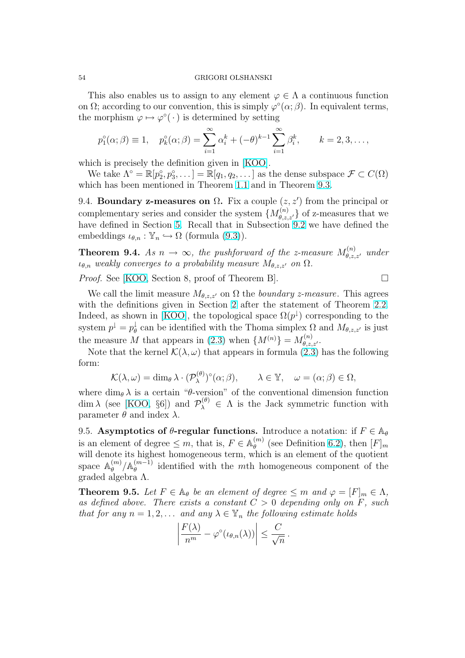<span id="page-53-0"></span>This also enables us to assign to any element  $\varphi \in \Lambda$  a continuous function on  $\Omega$ ; according to our convention, this is simply  $\varphi^{\circ}(\alpha;\beta)$ . In equivalent terms, the morphism  $\varphi \mapsto \varphi^{\circ}(\cdot)$  is determined by setting

$$
p_1^{\circ}(\alpha;\beta) \equiv 1, \quad p_k^{\circ}(\alpha;\beta) = \sum_{i=1}^{\infty} \alpha_i^k + (-\theta)^{k-1} \sum_{i=1}^{\infty} \beta_i^k, \qquad k = 2, 3, \dots,
$$

which is precisely the definition given in [KOO].

We take  $\Lambda^{\circ} = \mathbb{R}[p_2^{\circ}, p_3^{\circ}, \dots] = \mathbb{R}[q_1, q_2, \dots]$  as the dense subspace  $\mathcal{F} \subset C(\Omega)$ which has been mentioned in Theorem 1.1 and in Theorem 9.3.

9.4. Boundary z-measures on  $\Omega$ . Fix [a coup](#page-61-0)le  $(z, z')$  from the principal or complementary series and consider the system  $\{M_{\theta,z,z'}^{(n)}\}$  of z-measures that we have defined in Section 5. Recall that [in S](#page-6-0)ubsection 9.2 w[e ha](#page-50-0)ve defined the embeddings  $\iota_{\theta,n} : \mathbb{Y}_n \hookrightarrow \Omega$  (formula (9.3)).

**Theorem 9.4.** As  $n \to \infty$ , the pushforward of the z-measure  $M_{\theta,z,z'}^{(n)}$  under  $\iota_{\theta,n}$  weakly converges to [a](#page-21-0) probability measure  $M_{\theta,z,z'}$  [on](#page-51-0)  $\Omega$ .

*Proof.* See [KOO, Section 8, proof o[f Th](#page-51-0)eorem B]. □

We call the limit measure  $M_{\theta,z,z'}$  on  $\Omega$  the *boundary z-measure*. This agrees with the definitions given in Section 2 after the statement of Theorem 2.2. Indeed, as [shown](#page-61-0) in [KOO], the topological space  $\Omega(p^{\downarrow})$  corresponding to the system  $p^{\downarrow} = p^{\downarrow}_{\theta}$  $\theta$  can be identified with the Thoma simplex  $\Omega$  and  $M_{\theta,z,z'}$  is just the measure M that appears in (2.3) [wh](#page-13-0)en  $\{M^{(n)}\} = M_{\theta,z,z'}^{(n)}$ .

Note that the kernel  $\mathcal{K}(\lambda, \omega)$  $\mathcal{K}(\lambda, \omega)$  $\mathcal{K}(\lambda, \omega)$  that appears in formula (2.3) has the follo[wing](#page-14-0) form:

$$
\mathcal{K}(\lambda,\omega) = \dim_{\theta} \lambda \cdot (\mathcal{P}_{\lambda}^{(\theta)})^{\circ}(\alpha;\beta), \qquad \lambda \in \mathbb{Y}, \quad \omega = (\alpha;\beta) \in \Omega,
$$

where  $\dim_{\theta} \lambda$  is a certain " $\theta$ -version" of the convention[al d](#page-15-0)imension function dim  $\lambda$  (see [KOO, §6]) and  $\mathcal{P}_{\lambda}^{(\theta)} \in \Lambda$  is the Jack symmetric function with parameter  $θ$  and index  $λ$ .

9.5. Asymptotics of  $\theta$ -regular functions. Introduce a notation: if  $F \in A_{\theta}$ is an eleme[nt of d](#page-61-0)egree  $\leq m$ , that is,  $F \in \mathbb{A}_\theta^{(m)}$  $\binom{m}{\theta}$  (see Definition 6.2), then  $[F]_m$ will denote its highest homogeneous term, which is an element of the quotient space  $\mathbb{A}_\theta^{(m)}$  $\int\limits_\theta^{(m)}/\mathbb{A}_\theta^{(m-1)}$  $\theta_{\theta}^{(m-1)}$  identified with the mth homogeneous component of the graded algebra Λ.

**Theorem 9.5.** Let  $F \in \mathbb{A}_{\theta}$  be an element of degree  $\leq m$  and  $\varphi = [F]_m \in \Lambda$ , as defined above. There exists a constant  $C > 0$  depending only on F, such that for any  $n = 1, 2, \ldots$  and any  $\lambda \in \mathbb{Y}_n$  the following estimate holds

$$
\left|\frac{F(\lambda)}{n^m}-\varphi^{\circ}(\iota_{\theta,n}(\lambda))\right|\leq \frac{C}{\sqrt{n}}.
$$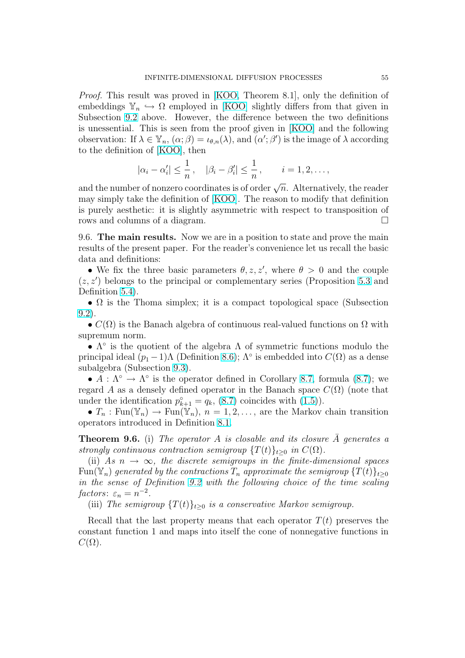<span id="page-54-0"></span>Proof. This result was proved in [KOO, Theorem 8.1], only the definition of embeddings  $\mathbb{Y}_n \hookrightarrow \Omega$  employed in [KOO] slightly differs from that given in Subsection 9.2 above. However, the difference between the two definitions is unessential. This is seen from [the pr](#page-61-0)oof given in [KOO] and the following observation: If  $\lambda \in \mathbb{Y}_n$ ,  $(\alpha; \beta) = \iota_{\theta,n}(\lambda)$ , and  $(\alpha'; \beta')$  is the image of  $\lambda$  according to the defin[ition](#page-51-0) of [KOO], then

$$
|\alpha_i - \alpha'_i| \leq \frac{1}{n}
$$
,  $|\beta_i - \beta'_i| \leq \frac{1}{n}$ ,  $i = 1, 2, \ldots$ ,

and the number of n[onzero](#page-61-0) coordinates is of order  $\sqrt{n}$ . Alternatively, the reader may simply take the definition of [KOO]. The reason to modify that definition is purely aesthetic: it is slightly asymmetric with respect to transposition of rows and columns of a diagram.  $\Box$ 

9.6. The main results. Now we [are in](#page-61-0) a position to state and prove the main results of the present paper. For the reader's convenience let us recall the basic data and definitions:

• We fix the three basic parameters  $\theta$ , z, z', where  $\theta > 0$  and the couple  $(z, z')$  belongs to the principal or complementary series (Proposition 5.3 and Definition 5.4).

•  $\Omega$  is the Thoma simplex; it is a compact topological space (Subsection 9.2).

•  $C(\Omega)$  is the Banach algebra of continuous real-valued functions on  $\Omega$  with supremum [nor](#page-23-0)m.

•  $\Lambda^{\circ}$  is the quotient of the algebra  $\Lambda$  of symmetric functions modulo the [prin](#page-51-0)cipal ideal  $(p_1-1)\Lambda$  (Definition 8.6);  $\Lambda^{\circ}$  is embedded into  $C(\Omega)$  as a dense subalgebra (Subsection 9.3).

•  $A : \Lambda^{\circ} \to \Lambda^{\circ}$  is the operator defined in Corollary 8.7, formula (8.7); we regard A as a densely defined operator in the Banach space  $C(\Omega)$  (note that under the identification  $p_{k+1}^{\circ} = q_k$ , [\(8.7\)](#page-49-0) coincides with (1.5)).

•  $T_n : \text{Fun}(\mathbb{Y}_n) \to \text{Fun}(\mathbb{Y}_n)$ ,  $n = 1, 2, \ldots$ , are the M[arko](#page-49-0)v chain t[rans](#page-49-0)ition operators introduced in Definition 8.1.

**Theorem 9.6.** (i) The operator A [is](#page-49-0) [clos](#page-6-0)able and its closure  $\overline{A}$  generates a strongly continuous contraction semigroup  $\{T(t)\}_{t\geq0}$  in  $C(\Omega)$ .

(ii) As  $n \to \infty$ , the discrete s[emig](#page-43-0)roups in the finite-dimensional spaces Fun( $\mathbb{Y}_n$ ) generated by the contractions  $T_n$  approximate the semigroup  $\{T(t)\}_{t\geq 0}$ in the sense of Definition 9.2 with the following choice of the time scaling factors:  $\varepsilon_n = n^{-2}$ .

(iii) The semigroup  $\{T(t)\}_{t>0}$  is a conservative Markov semigroup.

Recall that the last pro[perty](#page-50-0) means that each operator  $T(t)$  preserves the constant function 1 and maps into itself the cone of nonnegative functions in  $C(\Omega)$ .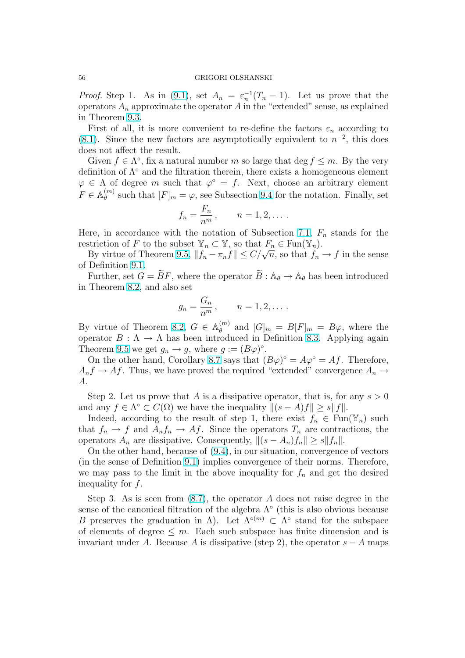*Proof.* Step 1. As in (9.1), set  $A_n = \varepsilon_n^{-1}(T_n - 1)$ . Let us prove that the operators  $A_n$  approximate the operator A in the "extended" sense, as explained in Theorem 9.3.

First of all, it is more convenient to re-define the factors  $\varepsilon_n$  according to (8.1). Since the new f[acto](#page-50-0)rs are asymptotically equivalent to  $n^{-2}$ , this does does not aff[ect](#page-50-0) the result.

Given  $f \in \Lambda^{\circ}$ , fix a natural number m so large that  $\deg f \leq m$ . By the very [defin](#page-44-0)ition of  $\Lambda^{\circ}$  and the filtration therein, there exists a homogeneous element  $\varphi \in \Lambda$  of degree m such that  $\varphi^{\circ} = f$ . Next, choose an arbitrary element  $F \in \mathbb{A}_{\theta}^{(m)}$  $\theta_{\theta}^{(m)}$  such that  $[F]_m = \varphi$ , see Subsection 9.4 for the notation. Finally, set

$$
f_n = \frac{F_n}{n^m}, \qquad n = 1, 2, \dots.
$$

Here, in accordance with the notation of S[ubse](#page-53-0)ction 7.1,  $F_n$  stands for the restriction of F to the subset  $\mathbb{Y}_n \subset \mathbb{Y}$ , so that  $F_n \in \text{Fun}(\mathbb{Y}_n)$ .

By virtue of Theorem 9.5,  $||f_n - \pi_n f|| \le C/\sqrt{n}$ , so that  $f_n \to f$  in the sense of Definition 9.1.

Further, set  $G = \widetilde{B}F$ , where the operator  $\widetilde{B}: \mathbb{A}_{\theta} \to \mathbb{A}_{\theta}$  $\widetilde{B}: \mathbb{A}_{\theta} \to \mathbb{A}_{\theta}$  $\widetilde{B}: \mathbb{A}_{\theta} \to \mathbb{A}_{\theta}$  has been introduced in Theorem 8.2, and als[o set](#page-53-0)

$$
g_n = \frac{G_n}{n^m}, \qquad n = 1, 2, \dots.
$$

By virtue o[f Th](#page-44-0)eorem 8.2,  $G \in \mathbb{A}_\theta^{(m)}$  $\binom{m}{\theta}$  and  $[G]_m = B[F]_m = B\varphi$ , where the operator  $B : \Lambda \to \Lambda$  has been introduced in Definition 8.3. Applying again Theorem 9.5 we get  $g_n \to g$ , where  $g := (B\varphi)^\circ$ .

On the other hand, Corollary 8.7 says that  $(B\varphi)^\circ = A\varphi^\circ = Af$ . Therefore,  $A_n f \to Af$ . Thus, we [have](#page-44-0) proved the required "extende[d" c](#page-47-0)onvergence  $A_n \to$ A.

Step 2. Let us prove that A i[s a d](#page-49-0)issipative operator, that is, for any  $s > 0$ and any  $f \in \Lambda^{\circ} \subset C(\Omega)$  we have the inequality  $||(s - A)f|| \geq s||f||$ .

Indeed, according to the result of step 1, there exist  $f_n \in \text{Fun}(\mathbb{Y}_n)$  such that  $f_n \to f$  and  $A_n f_n \to Af$ . Since the operators  $T_n$  are contractions, the operators  $A_n$  are dissipative. Consequently,  $||(s - A_n)f_n|| \geq s||f_n||$ .

On the other hand, because of (9.4), in our situation, convergence of vectors (in the sense of Definition 9.1) implies convergence of their norms. Therefore, we may pass to the limit in the above inequality for  $f_n$  and get the desired inequality for f.

Step 3. As is seen from  $(8.7)$ , the operator A does not raise degree in the sense of the canonical filtration of the algebra  $\Lambda^{\circ}$  (this is also obvious because B preserves the graduation in  $\Lambda$ ). Let  $\Lambda^{\circ(m)} \subset \Lambda^{\circ}$  stand for the subspace of elements of degree  $\leq m$ . [Ea](#page-49-0)ch such subspace has finite dimension and is invariant under A. Because A is dissipative (step 2), the operator  $s - A$  maps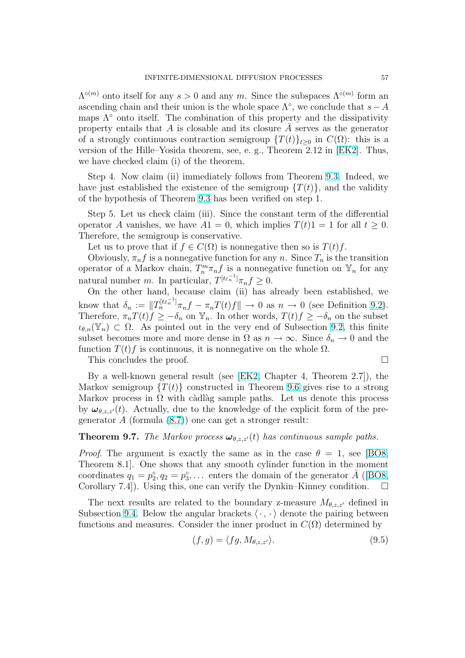<span id="page-56-0"></span> $\Lambda^{\circ(m)}$  onto itself for any  $s > 0$  and any m. Since the subspaces  $\Lambda^{\circ(m)}$  form an ascending chain and their union is the whole space  $\Lambda^{\circ}$ , we conclude that  $s-A$ maps  $\Lambda^{\circ}$  onto itself. The combination of this property and the dissipativity property entails that A is closable and its closure  $\overline{A}$  serves as the generator of a strongly continuous contraction semigroup  $\{T(t)\}_{t\geq0}$  in  $C(\Omega)$ : this is a version of the Hille–Yosida theorem, see, e. g., Theorem 2.12 in [EK2]. Thus, we have checked claim (i) of the theorem.

Step 4. Now claim (ii) immediately follows from Theorem 9.3. Indeed, we have just establishe[d the](#page-60-0) existence of the semigroup  $\{T(t)\}\$ , and the validity of the hypothesis of Theorem 9.3 has been verified on step 1.

Step 5. Let us check claim (iii). Since the constant term o[f th](#page-50-0)e differential operator A vanishes, we have  $A1 = 0$ , which implies  $T(t)1 = 1$  for all  $t \geq 0$ . Therefore, the semigroup is c[onse](#page-50-0)rvative.

Let us to prove that if  $f \in C(\Omega)$  is nonnegative then so is  $T(t)f$ .

Obviously,  $\pi_n f$  is a nonnegative function for any n. Since  $T_n$  is the transition operator of a Markov chain,  $T_n^m \pi_n f$  is a nonnegative function on  $\mathbb{Y}_n$  for any natural number *m*. In particular,  $T^{[t\varepsilon_n^{-1}]} \pi_n f \geq 0$ .

On the other hand, because claim (ii) has already been established, we know that  $\delta_n := ||T_n^{[t\varepsilon_n^{-1}]} \pi_n f - \pi_n T(t) f|| \to 0$  as  $n \to 0$  (see Definition 9.2). Therefore,  $\pi_n T(t)f \geq -\delta_n$  on  $\mathbb{Y}_n$ . In other words,  $T(t)f \geq -\delta_n$  on the subset  $\iota_{\theta,n}(\mathbb{Y}_n) \subset \Omega$ . As pointed out in the very end of Subsection 9.2, this finite subset becomes more and more dense in  $\Omega$  as  $n \to \infty$ . Since  $\delta_n \to 0$  an[d th](#page-50-0)e function  $T(t)$  f is continuous, it is nonnegative on the whole  $\Omega$ .

This concludes the proof.

By a well-known general result (see [EK2, Chapter 4, Theorem 2.7]), the Markov semigroup  $\{T(t)\}$  constructed in Theorem 9.6 gives rise to a strong Markov process in  $\Omega$  with càdlàg sample paths. Let us denote this process by  $\omega_{\theta,z,z'}(t)$ . Actually, due to the knowledge of the explicit form of the pregenerator  $A$  (formula  $(8.7)$ ) one can get [a stro](#page-60-0)nger [resul](#page-54-0)t:

### **Theorem 9.7.** The Markov process  $\boldsymbol{\omega}_{\theta,z,z'}(t)$  has continuous sample paths.

*Proof.* The argument [is e](#page-49-0)xactly the same as in the case  $\theta = 1$ , see [BO8, Theorem 8.1]. One shows that any smooth cylinder function in the moment coordinates  $q_1 = p_2^{\circ}, q_2 = p_3^{\circ}, \ldots$  enters the domain of the generator  $\bar{A}$  ([BO8, Corollary 7.4]). Using this, one can verify the Dynkin–Kinney condition.  $\Box$ 

The next results are related to the boundary z-measure  $M_{\theta,z,z'}$  defined in Subsection 9.4. Below the angular brackets  $\langle \cdot, \cdot \rangle$  denote the pairing be[tween](#page-60-0) functions and measures. Consider the inner product in  $C(\Omega)$  determined by

$$
(f,g) = \langle fg, M_{\theta,z,z'} \rangle.
$$
\n(9.5)

$$
\qquad \qquad \Box
$$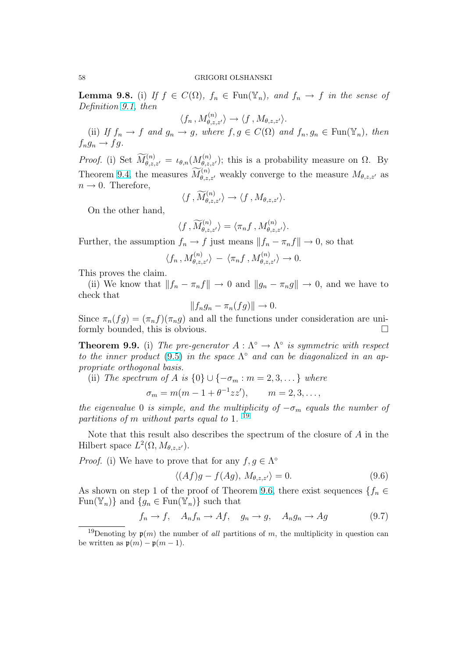<span id="page-57-0"></span>**Lemma 9.8.** (i) If  $f \in C(\Omega)$ ,  $f_n \in \text{Fun}(\mathbb{Y}_n)$ , and  $f_n \to f$  in the sense of Definition 9.1, then

$$
\langle f_n, M_{\theta,z,z'}^{(n)} \rangle \to \langle f, M_{\theta,z,z'} \rangle.
$$

(ii) If  $f_n \to f$  and  $g_n \to g$ , where  $f, g \in C(\Omega)$  and  $f_n, g_n \in \text{Fun}(\mathbb{Y}_n)$ , then  $f_n q_n \to f q$ [.](#page-50-0)

*Proof.* (i) Set  $\widetilde{M}_{\theta,z,z'}^{(n)} = \iota_{\theta,n}(M_{\theta,z,z'}^{(n)})$ ; this is a probability measure on  $\Omega$ . By Theorem 9.4, the measures  $\widetilde{M}_{\theta,z,z'}^{(n)}$  weakly converge to the measure  $M_{\theta,z,z'}$  as  $n \rightarrow 0$ . Therefore,

$$
\langle f\, , \widetilde{M}^{(n)}_{\theta,z,z'} \rangle \to \langle f\, , M_{\theta,z,z'} \rangle.
$$

On the [oth](#page-53-0)er hand,

$$
\langle f, \widetilde{M}^{(n)}_{\theta,z,z'} \rangle = \langle \pi_n f, M^{(n)}_{\theta,z,z'} \rangle.
$$

Further, the assumption  $f_n \to f$  just means  $||f_n - \pi_n f|| \to 0$ , so that

$$
\langle f_n, M_{\theta,z,z'}^{(n)} \rangle - \langle \pi_n f, M_{\theta,z,z'}^{(n)} \rangle \to 0.
$$

This proves the claim.

(ii) We know that  $||f_n - \pi_n f|| \to 0$  and  $||g_n - \pi_n g|| \to 0$ , and we have to check that

$$
||f_n g_n - \pi_n(fg)|| \to 0.
$$

Since  $\pi_n(fg) = (\pi_n f)(\pi_n g)$  and all the functions under consideration are uniformly bounded, this is obvious.

**Theorem 9.9.** (i) The pre-generator  $A : \Lambda^{\circ} \to \Lambda^{\circ}$  is symmetric with respect to the inner product (9.5) in the space  $\Lambda^{\circ}$  and can be diagonalized in an appropriate orthogonal basis.

(ii) The spectrum of A is  $\{0\} \cup \{-\sigma_m : m = 2, 3, \dots\}$  where

$$
\sigma_m = m(m - 1 + \theta^{-1}zz'),
$$
   
\n $m = 2, 3, ...,$ 

the eigenvalue 0 is simple, and the multiplicity of  $-\sigma_m$  equals the number of partitions of m without parts equal to 1.<sup>19</sup>

Note that this result also describes the spectrum of the closure of  $A$  in the Hilbert space  $L^2(\Omega, M_{\theta, z, z'})$ .

*Proof.* (i) We have to prove that for any  $f, g \in \Lambda^{\circ}$ 

$$
\langle (Af)g - f(Ag), M_{\theta, z, z'} \rangle = 0.
$$
\n(9.6)

As shown on step 1 of the proof of Theorem 9.6, there exist sequences  $\{f_n \in$ Fun( $\mathbb{Y}_n$ ) and  $\{g_n \in \text{Fun}(\mathbb{Y}_n)\}\$  such that

$$
f_n \to f, \quad A_n f_n \to A f, \quad g_n \to g, \quad A_n g_n \to A g \tag{9.7}
$$

<sup>&</sup>lt;sup>19</sup>Denoting by  $p(m)$  $p(m)$  $p(m)$  the number of all partitions of m, the multiplicity in question can be written as  $\mathfrak{p}(m) - \mathfrak{p}(m-1)$ .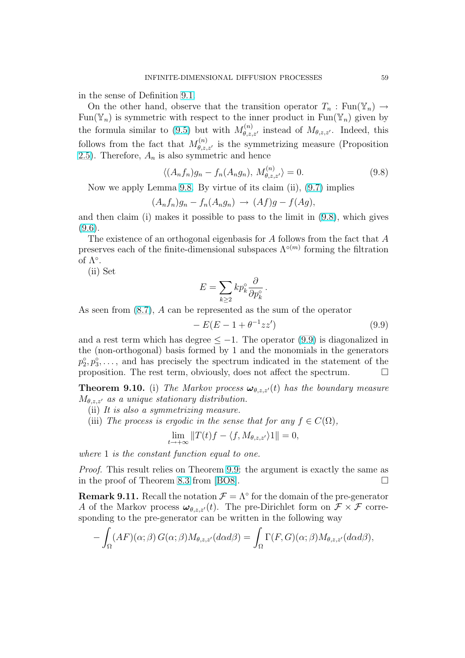<span id="page-58-0"></span>in the sense of Definition 9.1.

On the other hand, observe that the transition operator  $T_n : \text{Fun}(\mathbb{Y}_n) \to$ Fun( $\mathbb{Y}_n$ ) is symmetric with respect to the inner product in Fun( $\mathbb{Y}_n$ ) given by the formula similar to (9[.5\)](#page-50-0) but with  $M_{\theta,z,z'}^{(n)}$  instead of  $M_{\theta,z,z'}$ . Indeed, this follows from the fact that  $M_{\theta,z,z'}^{(n)}$  is the symmetrizing measure (Proposition 2.5). Therefore,  $A_n$  is also symmetric and hence

$$
\langle (A_n f_n)g_n - f_n(A_n g_n), M_{\theta, z, z'}^{(n)} \rangle = 0.
$$
\n(9.8)

[N](#page-16-0)ow we apply Lemma 9.8. By virtue of its claim (ii), (9.7) implies

$$
(A_nf_n)g_n-f_n(A_ng_n)\rightarrow (Af)g-f(Ag),
$$

and then claim (i) makes it possible to pass to the limit in (9.8), which gives  $(9.6).$ 

The existence of an orthogonal eigenbasis for  $A$  follows from the fact that  $A$ preserves each of the finite-dimensional subspaces  $\Lambda^{\circ(m)}$  forming the filtration of  $\Lambda^{\circ}$ .

(ii) Set

$$
E = \sum_{k \ge 2} k p_k^{\circ} \frac{\partial}{\partial p_k^{\circ}}.
$$

As seen from (8.7), A can be represented as the sum of the operator

$$
- E(E - 1 + \theta^{-1}zz') \tag{9.9}
$$

and a rest term which has degree  $\leq -1$ . The operator (9.9) is diagonalized in the (non-orth[ogon](#page-49-0)al) basis formed by 1 and the monomials in the generators  $p_2^{\circ}, p_3^{\circ}, \ldots$ , and has precisely the spectrum indicated in the statement of the proposition. The rest term, obviously, does not affect the spectrum.  $\Box$ 

**Theorem 9.10.** (i) The Markov process  $\boldsymbol{\omega}_{\theta,z,z'}(t)$  has the boundary measure  $M_{\theta,z,z'}$  as a unique stationary distribution.

- (ii) It is also a symmetrizing measure.
- (iii) The process is ergodic in the sense that for any  $f \in C(\Omega)$ ,

$$
\lim_{t \to +\infty} ||T(t)f - \langle f, M_{\theta, z, z'} \rangle 1|| = 0,
$$

where 1 is the constant function equal to one.

Proof. This result relies on Theorem 9.9: the argument is exactly the same as in the proof of Theorem 8.3 from  $|BO8|$ .

**Remark 9.11.** Recall the notation  $\mathcal{F} = \Lambda^{\circ}$  for the domain of the pre-generator A of the Markov process  $\omega_{\theta,z,z'}(t)$ . [The](#page-57-0) pre-Dirichlet form on  $\mathcal{F} \times \mathcal{F}$  corresponding to the pre-gen[erato](#page-47-0)r can [be w](#page-60-0)ritten in the following way  $\overline{a}$ 

$$
-\int_{\Omega} (AF)(\alpha;\beta) G(\alpha;\beta) M_{\theta,z,z'}(d\alpha d\beta) = \int_{\Omega} \Gamma(F,G)(\alpha;\beta) M_{\theta,z,z'}(d\alpha d\beta),
$$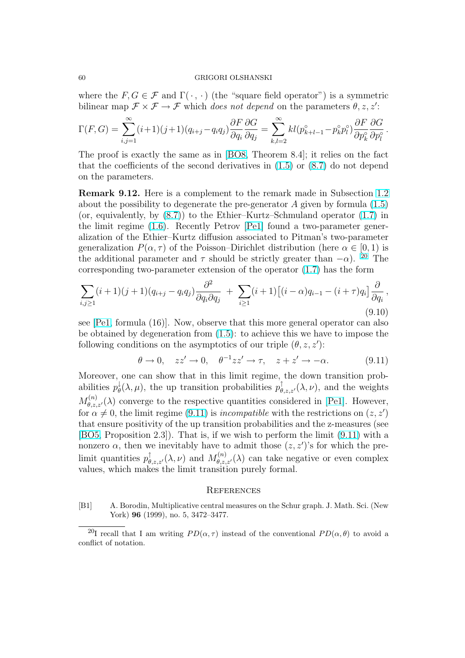<span id="page-59-0"></span>where the  $F, G \in \mathcal{F}$  and  $\Gamma(\cdot, \cdot)$  (the "square field operator") is a symmetric bilinear map  $\mathcal{F} \times \mathcal{F} \to \mathcal{F}$  which does not depend on the parameters  $\theta$ , z, z':

$$
\Gamma(F,G) = \sum_{i,j=1}^{\infty} (i+1)(j+1)(q_{i+j} - q_i q_j) \frac{\partial F}{\partial q_i} \frac{\partial G}{\partial q_j} = \sum_{k,l=2}^{\infty} k l(p_{k+l-1}^{\circ} - p_k^{\circ} p_l^{\circ}) \frac{\partial F}{\partial p_k^{\circ}} \frac{\partial G}{\partial p_l^{\circ}}.
$$

The proof is exactly the same as in [BO8, Theorem 8.4]; it relies on the fact that the coefficients of the second derivatives in  $(1.5)$  or  $(8.7)$  do not depend on the parameters.

Remark 9.12. Here is a compleme[nt to](#page-60-0) the remark made in Subsection 1.2 about the possibility to degenerate the pre-genera[tor](#page-6-0)  $A$  gi[ven b](#page-49-0)y formula  $(1.5)$ (or, equivalently, by (8.7)) to the Ethier–Kurtz–Schmuland operator (1.7) in the limit regime (1.6). Recently Petrov [Pe1] found a two-parameter generalization of the Ethier–Kurtz diffusion associated to Pitman's two-param[eter](#page-5-0) generalization  $P(\alpha, \tau)$  of the Poisson–Dirichlet distribution (here  $\alpha \in [0, 1)$  is the additional param[eter](#page-49-0) and  $\tau$  should be strictly greater than  $-\alpha$ ). <sup>[20](#page-7-0)</sup> The corresponding tw[o-par](#page-6-0)ameter extension of [the](#page-61-0) operator (1.7) has the form

$$
\sum_{i,j\geq 1} (i+1)(j+1)(q_{i+j}-q_iq_j)\frac{\partial^2}{\partial q_i \partial q_j} + \sum_{i\geq 1} (i+1) \left[ (i-\alpha)q_{i-1} - (i+\tau)q_i \right] \frac{\partial}{\partial q_i},
$$
\n(9.10)

see [Pe1, formula (16)]. Now, observe that this more general operator can also be obtained by degeneration from (1.5): to achieve this we have to impose the following conditions on the asymptotics of our triple  $(\theta, z, z')$ :

$$
\theta \to 0, \quad zz' \to 0, \quad \theta^{-1}zz' \to \tau, \quad z + z' \to -\alpha. \tag{9.11}
$$

Moreover, one can show that in t[his l](#page-6-0)imit regime, the down transition probabilities  $p_{\theta}^{\downarrow}$  $\phi_{\theta}^{\dagger}(\lambda,\mu)$ , the up transition probabilities  $p^{\uparrow}_{\theta,z,z'}(\lambda,\nu)$ , and the weights  $M_{\theta,z,z'}^{(n)}(\lambda)$  converge to the respective quantities considered in [Pe1]. However, for  $\alpha \neq 0$ , the limit regime (9.11) is incompatible with the restrictions on  $(z, z')$ that ensure positivity of the up transition probabilities and the z-measures (see [BO5, Proposition 2.3]). That is, if we wish to perform the li[mit \(9](#page-61-0).11) with a nonzero  $\alpha$ , then we inevitably have to admit those  $(z, z')$ 's for which the prelimit quantities  $p^{\uparrow}_{\theta, z, z'}(\lambda, \nu)$  and  $M_{\theta, z, z'}^{(n)}(\lambda)$  can take negative or even complex [values](#page-60-0), which makes the limit transition purely formal.

#### **REFERENCES**

[B1] A. Borodin, Multiplicative central measures on the Schur graph. J. Math. Sci. (New York) **96** (1999), no. 5, 3472-3477.

<sup>&</sup>lt;sup>20</sup>I recall that I am writing  $PD(\alpha, \tau)$  instead of the conventional  $PD(\alpha, \theta)$  to avoid a conflict of notation.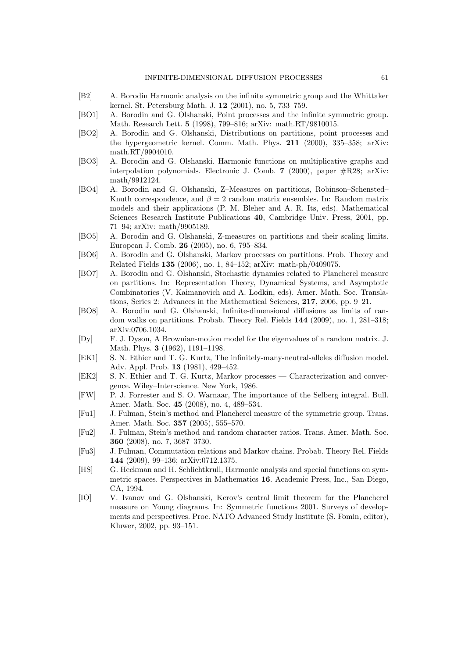- <span id="page-60-0"></span>[B2] A. Borodin Harmonic analysis on the infinite symmetric group and the Whittaker kernel. St. Petersburg Math. J. 12 (2001), no. 5, 733–759.
- [BO1] A. Borodin and G. Olshanski, Point processes and the infinite symmetric group. Math. Research Lett. 5 (1998), 799–816; arXiv: math.RT/9810015.
- [BO2] A. Borodin and G. Olshanski, Distributions on partitions, point processes and the hypergeometric kernel. Comm. Math. Phys. 211 (2000), 335–358; arXiv: math.RT/9904010.
- [BO3] A. Borodin and G. Olshanski. Harmonic functions on multiplicative graphs and interpolation polynomials. Electronic J. Comb. 7 (2000), paper #R28; arXiv: math/9912124.
- [BO4] A. Borodin and G. Olshanski, Z–Measures on partitions, Robinson–Schensted– Knuth correspondence, and  $\beta = 2$  random matrix ensembles. In: Random matrix models and their applications (P. M. Bleher and A. R. Its, eds). Mathematical Sciences Research Institute Publications 40, Cambridge Univ. Press, 2001, pp. 71–94; arXiv: math/9905189.
- [BO5] A. Borodin and G. Olshanski, Z-measures on partitions and their scaling limits. European J. Comb. 26 (2005), no. 6, 795–834.
- [BO6] A. Borodin and G. Olshanski, Markov processes on partitions. Prob. Theory and Related Fields 135 (2006), no. 1, 84–152; arXiv: math-ph/0409075.
- [BO7] A. Borodin and G. Olshanski, Stochastic dynamics related to Plancherel measure on partitions. In: Representation Theory, Dynamical Systems, and Asymptotic Combinatorics (V. Kaimanovich and A. Lodkin, eds). Amer. Math. Soc. Translations, Series 2: Advances in the Mathematical Sciences, 217, 2006, pp. 9–21.
- [BO8] A. Borodin and G. Olshanski, Infinite-dimensional diffusions as limits of random walks on partitions. Probab. Theory Rel. Fields 144 (2009), no. 1, 281–318; arXiv:0706.1034.
- [Dy] F. J. Dyson, A Brownian-motion model for the eigenvalues of a random matrix. J. Math. Phys. 3 (1962), 1191–1198.
- [EK1] S. N. Ethier and T. G. Kurtz, The infinitely-many-neutral-alleles diffusion model. Adv. Appl. Prob. 13 (1981), 429–452.
- [EK2] S. N. Ethier and T. G. Kurtz, Markov processes Characterization and convergence. Wiley–Interscience. New York, 1986.
- [FW] P. J. Forrester and S. O. Warnaar, The importance of the Selberg integral. Bull. Amer. Math. Soc. 45 (2008), no. 4, 489–534.
- [Fu1] J. Fulman, Stein's method and Plancherel measure of the symmetric group. Trans. Amer. Math. Soc. 357 (2005), 555–570.
- [Fu2] J. Fulman, Stein's method and random character ratios. Trans. Amer. Math. Soc. 360 (2008), no. 7, 3687–3730.
- [Fu3] J. Fulman, Commutation relations and Markov chains. Probab. Theory Rel. Fields 144 (2009), 99–136; arXiv:0712.1375.
- [HS] G. Heckman and H. Schlichtkrull, Harmonic analysis and special functions on symmetric spaces. Perspectives in Mathematics 16. Academic Press, Inc., San Diego, CA, 1994.
- [IO] V. Ivanov and G. Olshanski, Kerov's central limit theorem for the Plancherel measure on Young diagrams. In: Symmetric functions 2001. Surveys of developments and perspectives. Proc. NATO Advanced Study Institute (S. Fomin, editor), Kluwer, 2002, pp. 93–151.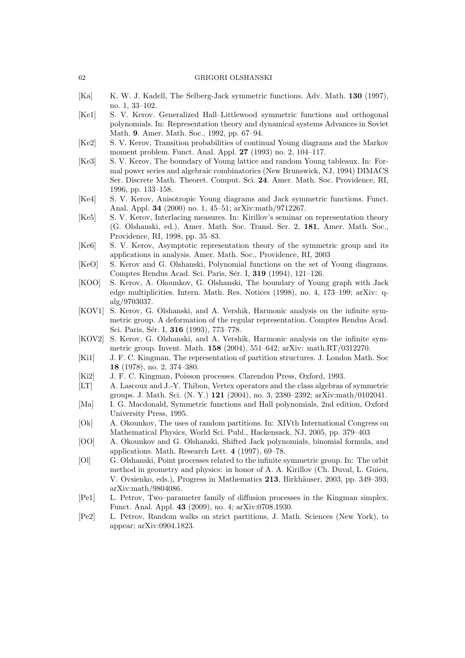#### <span id="page-61-0"></span>62 GRIGORI OLSHANSKI

- [Ka] K. W. J. Kadell, The Selberg-Jack symmetric functions. Adv. Math. 130 (1997), no. 1, 33–102.
- [Ke1] S. V. Kerov. Generalized Hall–Littlewood symmetric functions and orthogonal polynomials. In: Representation theory and dynamical systems Advances in Soviet Math. 9. Amer. Math. Soc., 1992, pp. 67–94.
- [Ke2] S. V. Kerov, Transition probabilities of continual Young diagrams and the Markov moment problem. Funct. Anal. Appl. 27 (1993) no. 2, 104–117.
- [Ke3] S. V. Kerov, The boundary of Young lattice and random Young tableaux. In: Formal power series and algebraic combinatorics (New Brunswick, NJ, 1994) DIMACS Ser. Discrete Math. Theoret. Comput. Sci. 24. Amer. Math. Soc. Providence, RI, 1996, pp. 133–158.
- [Ke4] S. V. Kerov, Anisotropic Young diagrams and Jack symmetric functions. Funct. Anal. Appl. 34 (2000) no. 1, 45–51; arXiv:math/9712267.
- [Ke5] S. V. Kerov, Interlacing measures. In: Kirillov's seminar on representation theory (G. Olshanski, ed.), Amer. Math. Soc. Transl. Ser. 2, 181, Amer. Math. Soc., Providence, RI, 1998, pp. 35–83.
- [Ke6] S. V. Kerov, Asymptotic representation theory of the symmetric group and its applications in analysis. Amer. Math. Soc., Providence, RI, 2003
- [KeO] S. Kerov and G. Olshanski, Polynomial functions on the set of Young diagrams. Comptes Rendus Acad. Sci. Paris, Sér. I, **319** (1994), 121–126.
- [KOO] S. Kerov, A. Okounkov, G. Olshanski, The boundary of Young graph with Jack edge multiplicities. Intern. Math. Res. Notices (1998), no. 4, 173–199; arXiv: qalg/9703037.
- [KOV1] S. Kerov, G. Olshanski, and A. Vershik, Harmonic analysis on the infinite symmetric group. A deformation of the regular representation. Comptes Rendus Acad. Sci. Paris, Sér. I, 316 (1993), 773-778.
- [KOV2] S. Kerov, G. Olshanski, and A. Vershik, Harmonic analysis on the infinite symmetric group. Invent. Math. 158 (2004), 551–642; arXiv: math.RT/0312270.
- [Ki1] J. F. C. Kingman, The representation of partition structures. J. London Math. Soc 18 (1978), no. 2, 374–380.
- [Ki2] J. F. C. Kingman, Poisson processes. Clarendon Press, Oxford, 1993.
- [LT] A. Lascoux and J.-Y. Thibon, Vertex operators and the class algebras of symmetric groups. J. Math. Sci. (N. Y.) 121 (2004), no. 3, 2380–2392; arXiv:math/0102041.
- [Ma] I. G. Macdonald, Symmetric functions and Hall polynomials, 2nd edition, Oxford University Press, 1995.
- [Ok] A. Okounkov, The uses of random partitions. In: XIVth International Congress on Mathematical Physics, World Sci. Publ., Hackensack, NJ, 2005, pp. 379–403
- [OO] A. Okounkov and G. Olshanski, Shifted Jack polynomials, binomial formula, and applications. Math. Research Lett. 4 (1997), 69–78.
- [Ol] G. Olshanski, Point processes related to the infinite symmetric group. In: The orbit method in geometry and physics: in honor of A. A. Kirillov (Ch. Duval, L. Guieu, V. Ovsienko, eds.), Progress in Mathematics 213, Birkhäuser, 2003, pp. 349–393; arXiv:math/9804086.
- [Pe1] L. Petrov, Two–parameter family of diffusion processes in the Kingman simplex. Funct. Anal. Appl. 43 (2009), no. 4; arXiv:0708.1930.
- [Pe2] L. Petrov, Random walks on strict partitions, J. Math. Sciences (New York), to appear; arXiv:0904.1823.